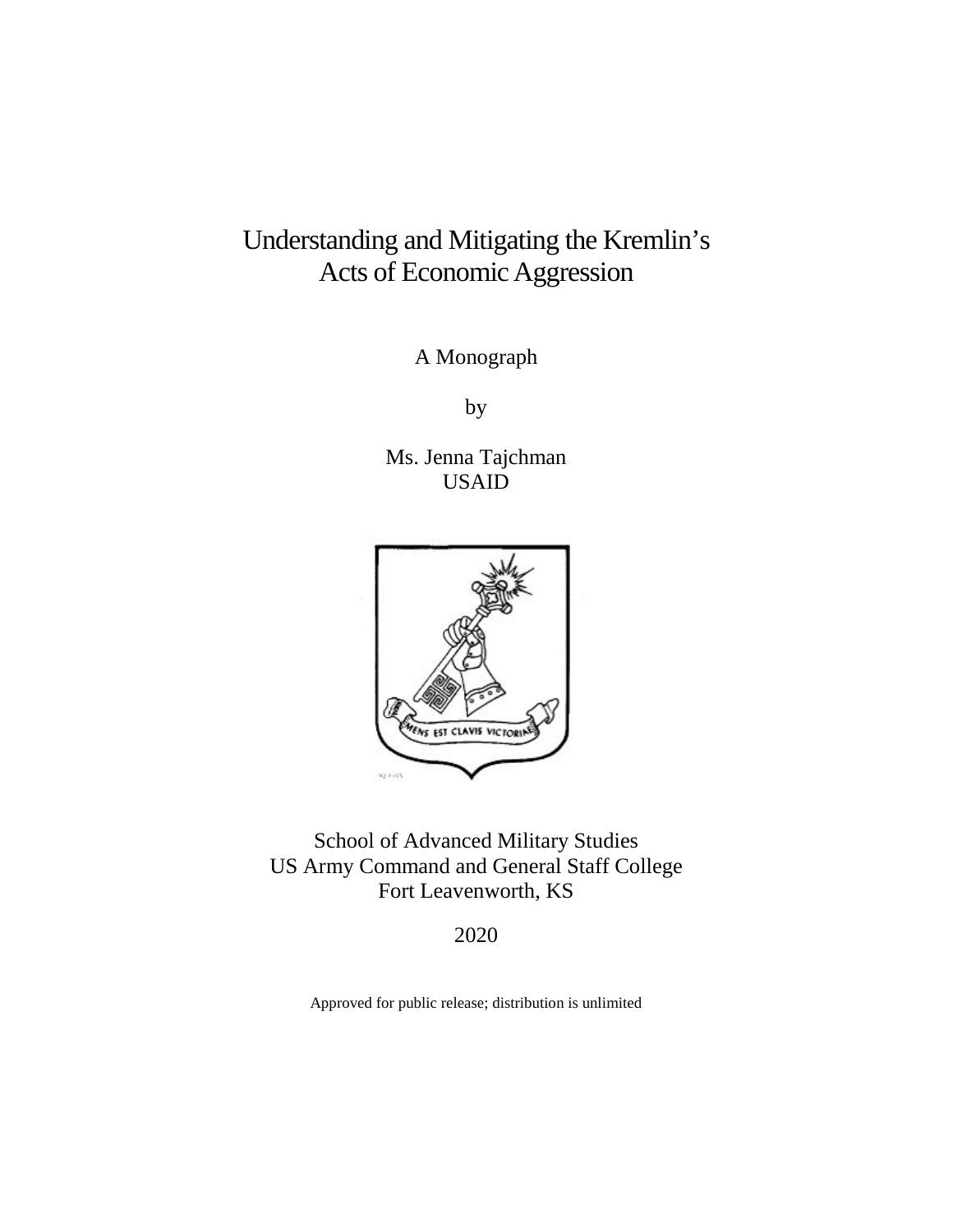# Understanding and Mitigating the Kremlin's Acts of Economic Aggression

A Monograph

by

Ms. Jenna Tajchman USAID



School of Advanced Military Studies US Army Command and General Staff College Fort Leavenworth, KS

2020

Approved for public release; distribution is unlimited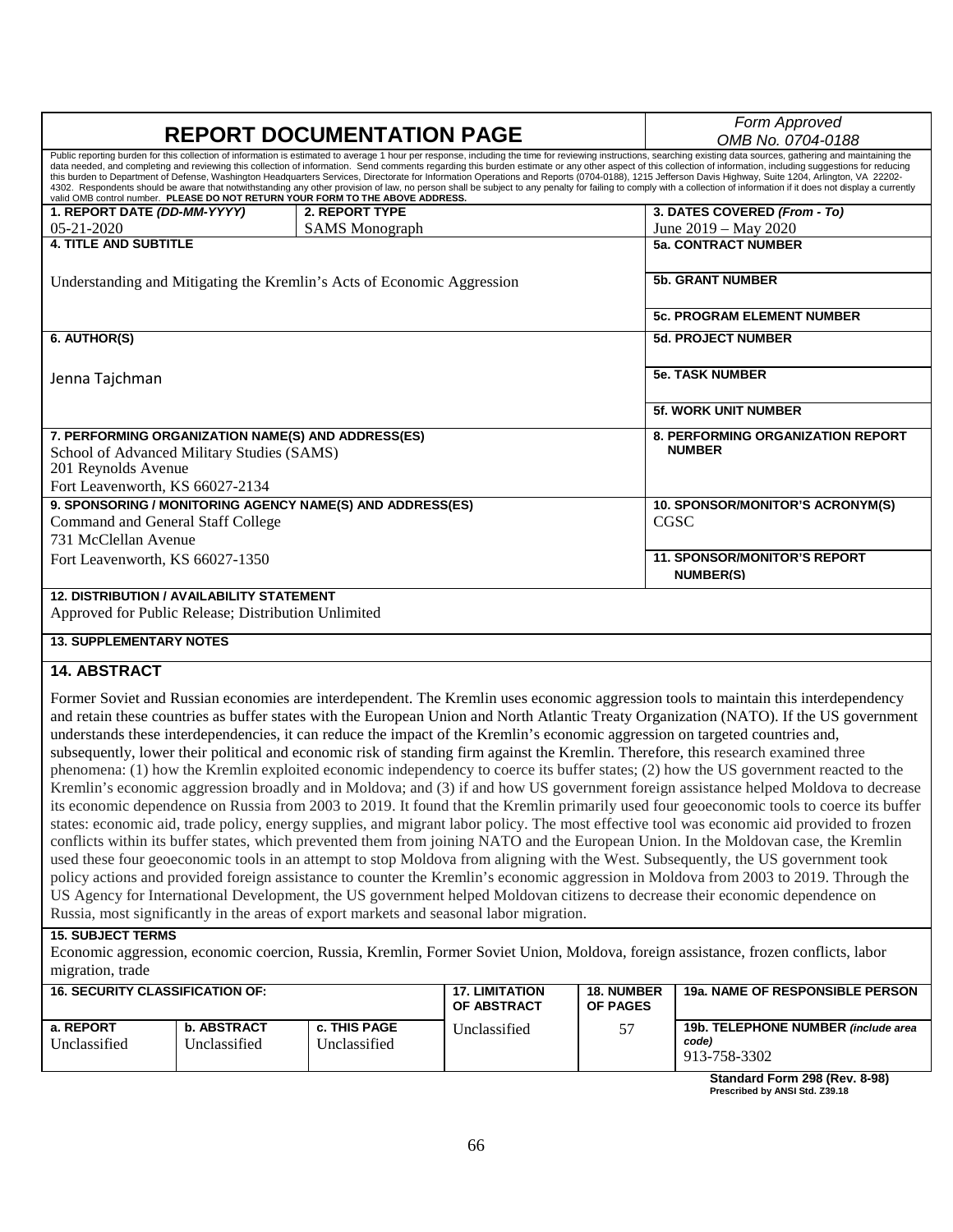| <b>REPORT DOCUMENTATION PAGE</b>                                                                                                                                                                                                                                                                                                                                                                                                                                                                                                                                                                                                                                                                                                                                                                                                                                                                                                                                | Form Approved                                                                                                                                                                                                                                                                                                                                                                                                   |                                   |  |  |  |
|-----------------------------------------------------------------------------------------------------------------------------------------------------------------------------------------------------------------------------------------------------------------------------------------------------------------------------------------------------------------------------------------------------------------------------------------------------------------------------------------------------------------------------------------------------------------------------------------------------------------------------------------------------------------------------------------------------------------------------------------------------------------------------------------------------------------------------------------------------------------------------------------------------------------------------------------------------------------|-----------------------------------------------------------------------------------------------------------------------------------------------------------------------------------------------------------------------------------------------------------------------------------------------------------------------------------------------------------------------------------------------------------------|-----------------------------------|--|--|--|
|                                                                                                                                                                                                                                                                                                                                                                                                                                                                                                                                                                                                                                                                                                                                                                                                                                                                                                                                                                 | OMB No. 0704-0188                                                                                                                                                                                                                                                                                                                                                                                               |                                   |  |  |  |
| Public reporting burden for this collection of information is estimated to average 1 hour per response, including the time for reviewing instructions, searching existing data sources, gathering and maintaining the<br>data needed, and completing and reviewing this collection of information. Send comments regarding this burden estimate or any other aspect of this collection of information, including suggestions for reducing<br>this burden to Department of Defense, Washington Headquarters Services, Directorate for Information Operations and Reports (0704-0188), 1215 Jefferson Davis Highway, Suite 1204, Arlington, VA 22202-<br>4302. Respondents should be aware that notwithstanding any other provision of law, no person shall be subject to any penalty for failing to comply with a collection of information if it does not display a currently<br>valid OMB control number. PLEASE DO NOT RETURN YOUR FORM TO THE ABOVE ADDRESS. |                                                                                                                                                                                                                                                                                                                                                                                                                 |                                   |  |  |  |
| 1. REPORT DATE (DD-MM-YYYY)                                                                                                                                                                                                                                                                                                                                                                                                                                                                                                                                                                                                                                                                                                                                                                                                                                                                                                                                     | 3. DATES COVERED (From - To)                                                                                                                                                                                                                                                                                                                                                                                    |                                   |  |  |  |
| $05 - 21 - 2020$                                                                                                                                                                                                                                                                                                                                                                                                                                                                                                                                                                                                                                                                                                                                                                                                                                                                                                                                                | <b>SAMS</b> Monograph                                                                                                                                                                                                                                                                                                                                                                                           | June 2019 – May 2020              |  |  |  |
| <b>4. TITLE AND SUBTITLE</b>                                                                                                                                                                                                                                                                                                                                                                                                                                                                                                                                                                                                                                                                                                                                                                                                                                                                                                                                    | <b>5a. CONTRACT NUMBER</b>                                                                                                                                                                                                                                                                                                                                                                                      |                                   |  |  |  |
| Understanding and Mitigating the Kremlin's Acts of Economic Aggression                                                                                                                                                                                                                                                                                                                                                                                                                                                                                                                                                                                                                                                                                                                                                                                                                                                                                          | <b>5b. GRANT NUMBER</b>                                                                                                                                                                                                                                                                                                                                                                                         |                                   |  |  |  |
|                                                                                                                                                                                                                                                                                                                                                                                                                                                                                                                                                                                                                                                                                                                                                                                                                                                                                                                                                                 |                                                                                                                                                                                                                                                                                                                                                                                                                 | <b>5c. PROGRAM ELEMENT NUMBER</b> |  |  |  |
| 6. AUTHOR(S)                                                                                                                                                                                                                                                                                                                                                                                                                                                                                                                                                                                                                                                                                                                                                                                                                                                                                                                                                    | <b>5d. PROJECT NUMBER</b>                                                                                                                                                                                                                                                                                                                                                                                       |                                   |  |  |  |
| Jenna Tajchman                                                                                                                                                                                                                                                                                                                                                                                                                                                                                                                                                                                                                                                                                                                                                                                                                                                                                                                                                  | <b>5e. TASK NUMBER</b>                                                                                                                                                                                                                                                                                                                                                                                          |                                   |  |  |  |
|                                                                                                                                                                                                                                                                                                                                                                                                                                                                                                                                                                                                                                                                                                                                                                                                                                                                                                                                                                 |                                                                                                                                                                                                                                                                                                                                                                                                                 | <b>5f. WORK UNIT NUMBER</b>       |  |  |  |
| 7. PERFORMING ORGANIZATION NAME(S) AND ADDRESS(ES)                                                                                                                                                                                                                                                                                                                                                                                                                                                                                                                                                                                                                                                                                                                                                                                                                                                                                                              |                                                                                                                                                                                                                                                                                                                                                                                                                 | 8. PERFORMING ORGANIZATION REPORT |  |  |  |
| School of Advanced Military Studies (SAMS)                                                                                                                                                                                                                                                                                                                                                                                                                                                                                                                                                                                                                                                                                                                                                                                                                                                                                                                      |                                                                                                                                                                                                                                                                                                                                                                                                                 | <b>NUMBER</b>                     |  |  |  |
| 201 Reynolds Avenue                                                                                                                                                                                                                                                                                                                                                                                                                                                                                                                                                                                                                                                                                                                                                                                                                                                                                                                                             |                                                                                                                                                                                                                                                                                                                                                                                                                 |                                   |  |  |  |
| Fort Leavenworth, KS 66027-2134                                                                                                                                                                                                                                                                                                                                                                                                                                                                                                                                                                                                                                                                                                                                                                                                                                                                                                                                 |                                                                                                                                                                                                                                                                                                                                                                                                                 |                                   |  |  |  |
| 9. SPONSORING / MONITORING AGENCY NAME(S) AND ADDRESS(ES)                                                                                                                                                                                                                                                                                                                                                                                                                                                                                                                                                                                                                                                                                                                                                                                                                                                                                                       |                                                                                                                                                                                                                                                                                                                                                                                                                 | 10. SPONSOR/MONITOR'S ACRONYM(S)  |  |  |  |
| Command and General Staff College                                                                                                                                                                                                                                                                                                                                                                                                                                                                                                                                                                                                                                                                                                                                                                                                                                                                                                                               |                                                                                                                                                                                                                                                                                                                                                                                                                 | CGSC                              |  |  |  |
| 731 McClellan Avenue                                                                                                                                                                                                                                                                                                                                                                                                                                                                                                                                                                                                                                                                                                                                                                                                                                                                                                                                            |                                                                                                                                                                                                                                                                                                                                                                                                                 |                                   |  |  |  |
| Fort Leavenworth, KS 66027-1350                                                                                                                                                                                                                                                                                                                                                                                                                                                                                                                                                                                                                                                                                                                                                                                                                                                                                                                                 | <b>11. SPONSOR/MONITOR'S REPORT</b><br><b>NUMBER(S)</b>                                                                                                                                                                                                                                                                                                                                                         |                                   |  |  |  |
| <b>12. DISTRIBUTION / AVAILABILITY STATEMENT</b>                                                                                                                                                                                                                                                                                                                                                                                                                                                                                                                                                                                                                                                                                                                                                                                                                                                                                                                |                                                                                                                                                                                                                                                                                                                                                                                                                 |                                   |  |  |  |
| Approved for Public Release; Distribution Unlimited                                                                                                                                                                                                                                                                                                                                                                                                                                                                                                                                                                                                                                                                                                                                                                                                                                                                                                             |                                                                                                                                                                                                                                                                                                                                                                                                                 |                                   |  |  |  |
| <b>13. SUPPLEMENTARY NOTES</b>                                                                                                                                                                                                                                                                                                                                                                                                                                                                                                                                                                                                                                                                                                                                                                                                                                                                                                                                  |                                                                                                                                                                                                                                                                                                                                                                                                                 |                                   |  |  |  |
| <b>14. ABSTRACT</b>                                                                                                                                                                                                                                                                                                                                                                                                                                                                                                                                                                                                                                                                                                                                                                                                                                                                                                                                             |                                                                                                                                                                                                                                                                                                                                                                                                                 |                                   |  |  |  |
|                                                                                                                                                                                                                                                                                                                                                                                                                                                                                                                                                                                                                                                                                                                                                                                                                                                                                                                                                                 | Former Soviet and Russian economies are interdependent. The Kremlin uses economic aggression tools to maintain this interdependency<br>and retain these countries as buffer states with the European Union and North Atlantic Treaty Organization (NATO). If the US government<br>understands these interdependencies, it can reduce the impact of the Kremlin's economic aggression on targeted countries and, |                                   |  |  |  |

subsequently, lower their political and economic risk of standing firm against the Kremlin. Therefore, this research examined three phenomena: (1) how the Kremlin exploited economic independency to coerce its buffer states; (2) how the US government reacted to the Kremlin's economic aggression broadly and in Moldova; and (3) if and how US government foreign assistance helped Moldova to decrease its economic dependence on Russia from 2003 to 2019. It found that the Kremlin primarily used four geoeconomic tools to coerce its buffer states: economic aid, trade policy, energy supplies, and migrant labor policy. The most effective tool was economic aid provided to frozen conflicts within its buffer states, which prevented them from joining NATO and the European Union. In the Moldovan case, the Kremlin used these four geoeconomic tools in an attempt to stop Moldova from aligning with the West. Subsequently, the US government took policy actions and provided foreign assistance to counter the Kremlin's economic aggression in Moldova from 2003 to 2019. Through the US Agency for International Development, the US government helped Moldovan citizens to decrease their economic dependence on Russia, most significantly in the areas of export markets and seasonal labor migration.

#### **15. SUBJECT TERMS**

Economic aggression, economic coercion, Russia, Kremlin, Former Soviet Union, Moldova, foreign assistance, frozen conflicts, labor migration, trade

| <b>16. SECURITY CLASSIFICATION OF:</b> |                                      |                              | <b>17. LIMITATION</b><br><b>OF ABSTRACT</b> | <b>18. NUMBER</b><br><b>OF PAGES</b> | <b>19a. NAME OF RESPONSIBLE PERSON</b>                       |
|----------------------------------------|--------------------------------------|------------------------------|---------------------------------------------|--------------------------------------|--------------------------------------------------------------|
| a. REPORT<br><sup>•</sup> Jnclassified | <b>b. ABSTRACT</b><br>: Inclassified | c. THIS PAGE<br>Unclassified | Unclassified                                |                                      | 19b. TELEPHONE NUMBER (include area<br>code)<br>913-758-3302 |

**Standard Form 298 (Rev. 8-98) Prescribed by ANSI Std. Z39.18**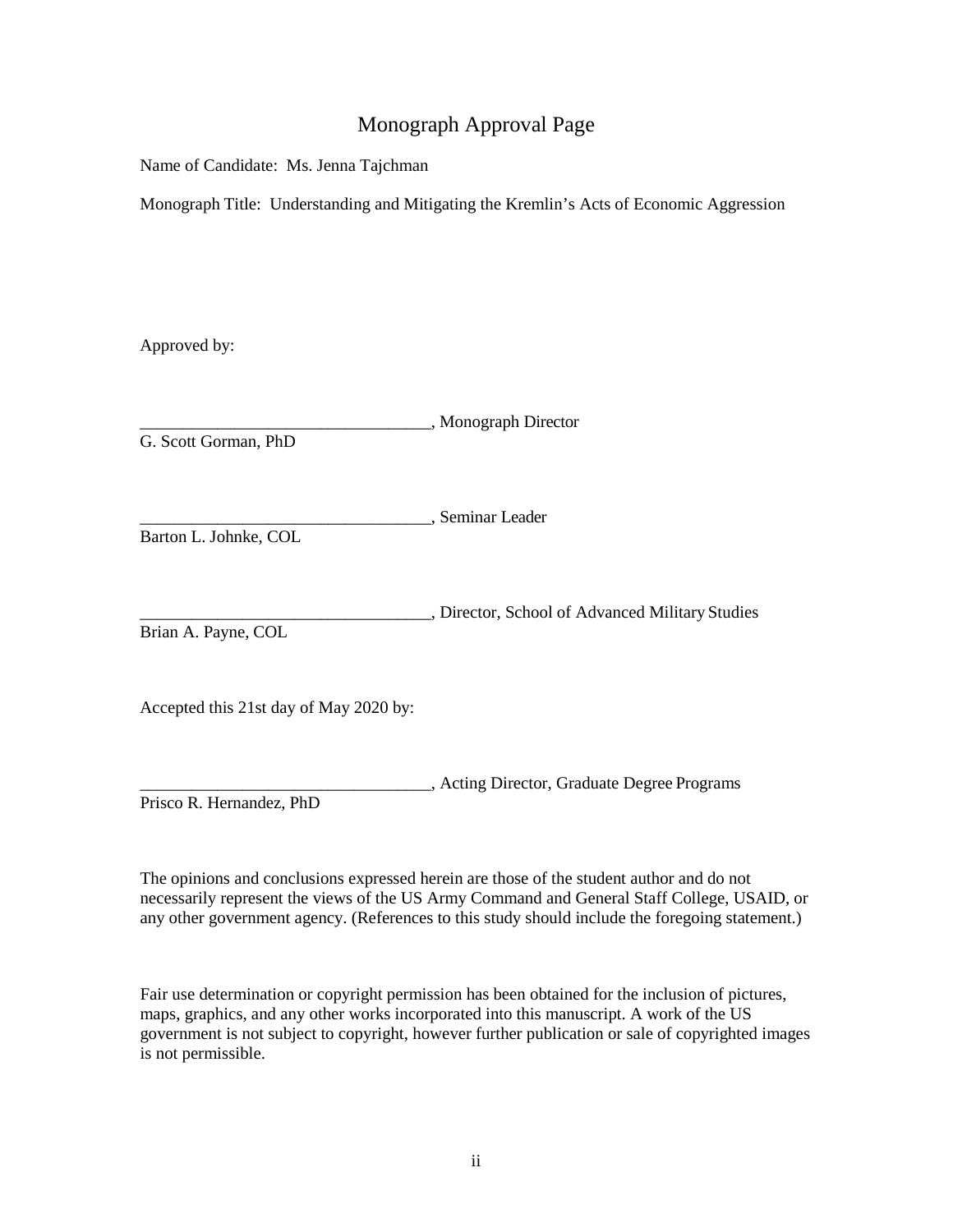# Monograph Approval Page

Name of Candidate: Ms. Jenna Tajchman

Monograph Title: Understanding and Mitigating the Kremlin's Acts of Economic Aggression

Approved by:

| G. Scott Gorman, PhD                   | , Monograph Director                            |
|----------------------------------------|-------------------------------------------------|
| Barton L. Johnke, COL                  | , Seminar Leader                                |
| Brian A. Payne, COL                    | , Director, School of Advanced Military Studies |
| Accepted this 21st day of May 2020 by: |                                                 |

\_\_\_\_\_\_\_\_\_\_\_\_\_\_\_\_\_\_\_\_\_\_\_\_\_\_\_\_\_\_\_\_\_\_, Acting Director, Graduate Degree Programs Prisco R. Hernandez, PhD

The opinions and conclusions expressed herein are those of the student author and do not necessarily represent the views of the US Army Command and General Staff College, USAID, or any other government agency. (References to this study should include the foregoing statement.)

Fair use determination or copyright permission has been obtained for the inclusion of pictures, maps, graphics, and any other works incorporated into this manuscript. A work of the US government is not subject to copyright, however further publication or sale of copyrighted images is not permissible.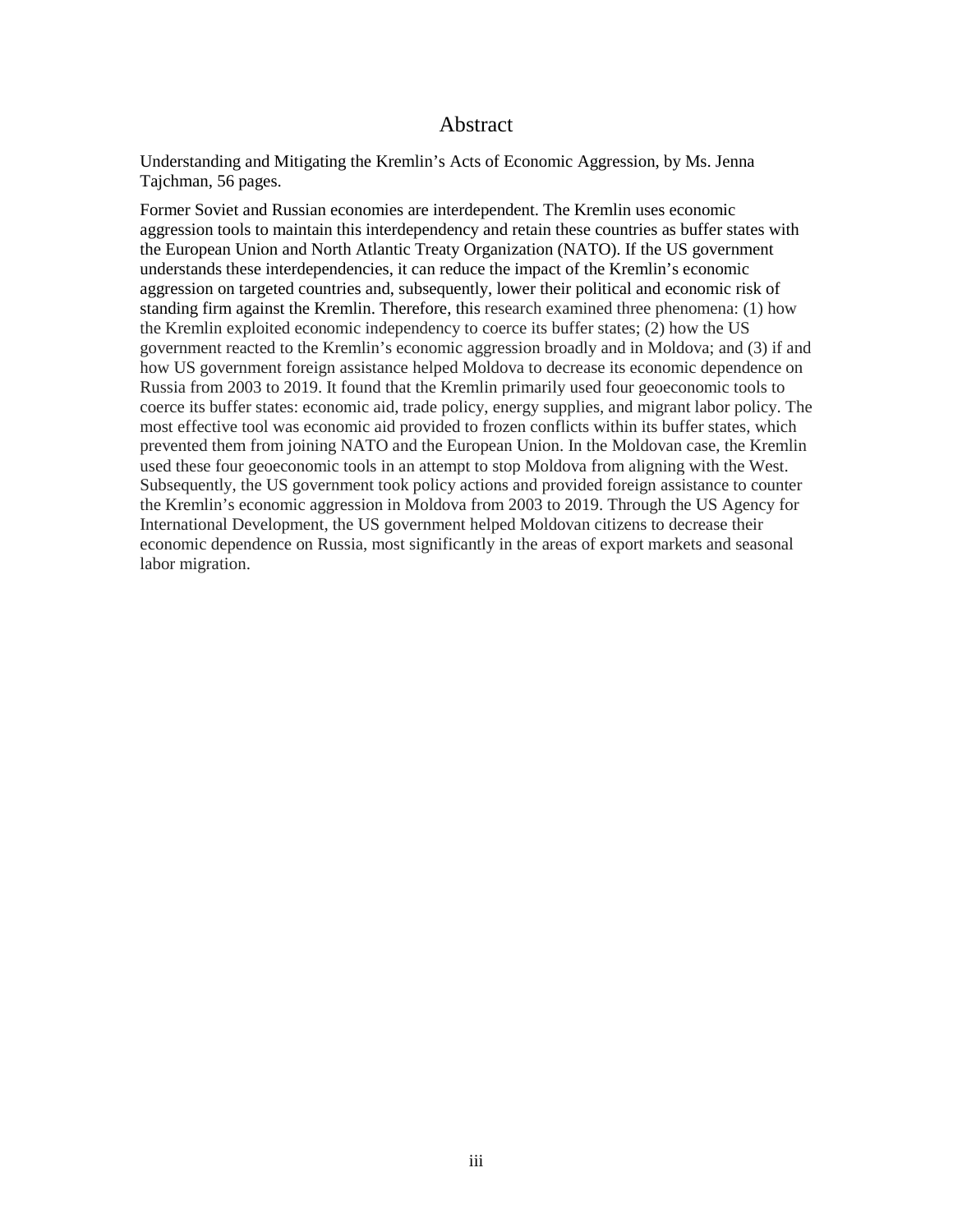#### Abstract

Understanding and Mitigating the Kremlin's Acts of Economic Aggression, by Ms. Jenna Tajchman, 56 pages.

Former Soviet and Russian economies are interdependent. The Kremlin uses economic aggression tools to maintain this interdependency and retain these countries as buffer states with the European Union and North Atlantic Treaty Organization (NATO). If the US government understands these interdependencies, it can reduce the impact of the Kremlin's economic aggression on targeted countries and, subsequently, lower their political and economic risk of standing firm against the Kremlin. Therefore, this research examined three phenomena: (1) how the Kremlin exploited economic independency to coerce its buffer states; (2) how the US government reacted to the Kremlin's economic aggression broadly and in Moldova; and (3) if and how US government foreign assistance helped Moldova to decrease its economic dependence on Russia from 2003 to 2019. It found that the Kremlin primarily used four geoeconomic tools to coerce its buffer states: economic aid, trade policy, energy supplies, and migrant labor policy. The most effective tool was economic aid provided to frozen conflicts within its buffer states, which prevented them from joining NATO and the European Union. In the Moldovan case, the Kremlin used these four geoeconomic tools in an attempt to stop Moldova from aligning with the West. Subsequently, the US government took policy actions and provided foreign assistance to counter the Kremlin's economic aggression in Moldova from 2003 to 2019. Through the US Agency for International Development, the US government helped Moldovan citizens to decrease their economic dependence on Russia, most significantly in the areas of export markets and seasonal labor migration.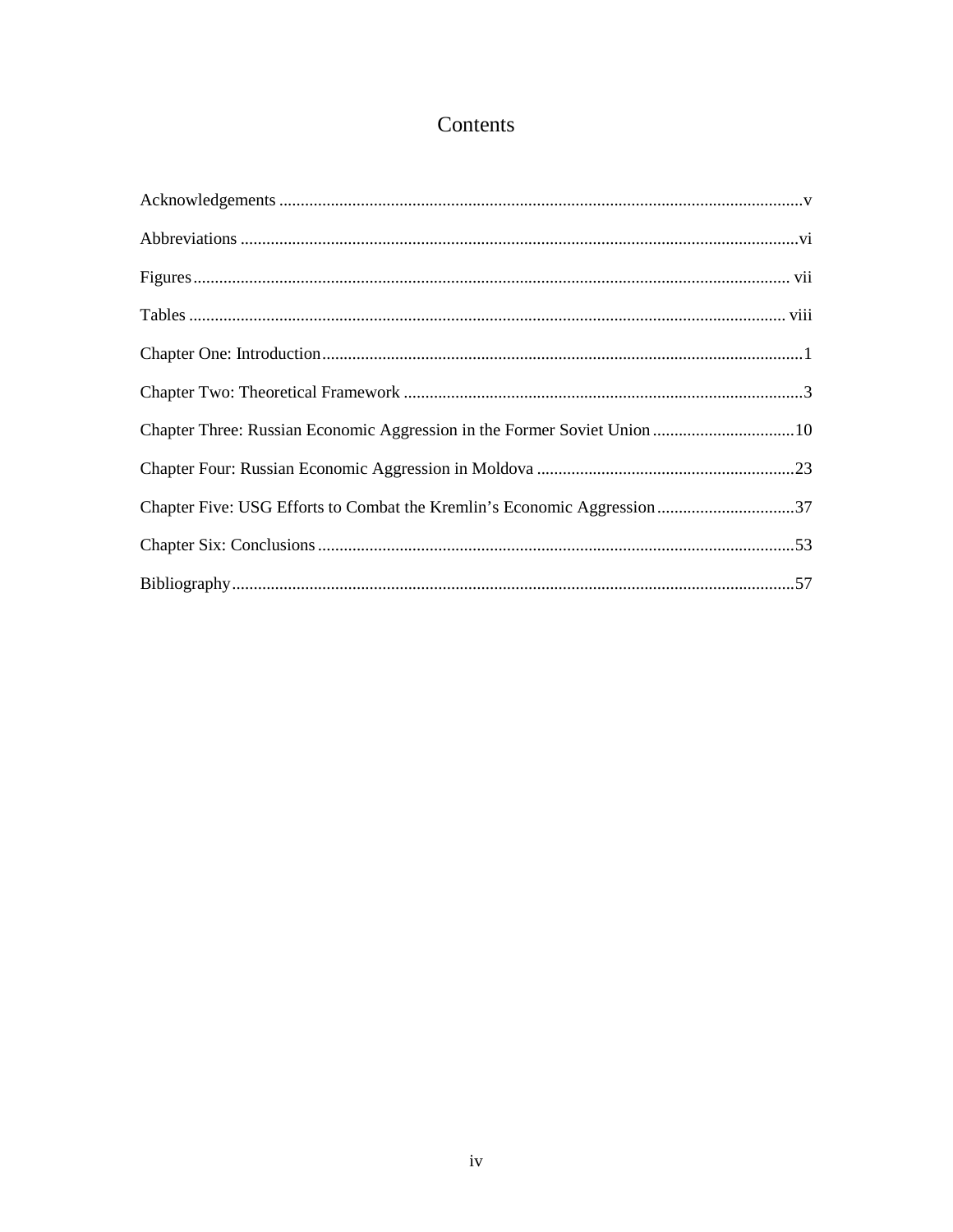# Contents

| Chapter Five: USG Efforts to Combat the Kremlin's Economic Aggression37 |  |
|-------------------------------------------------------------------------|--|
|                                                                         |  |
|                                                                         |  |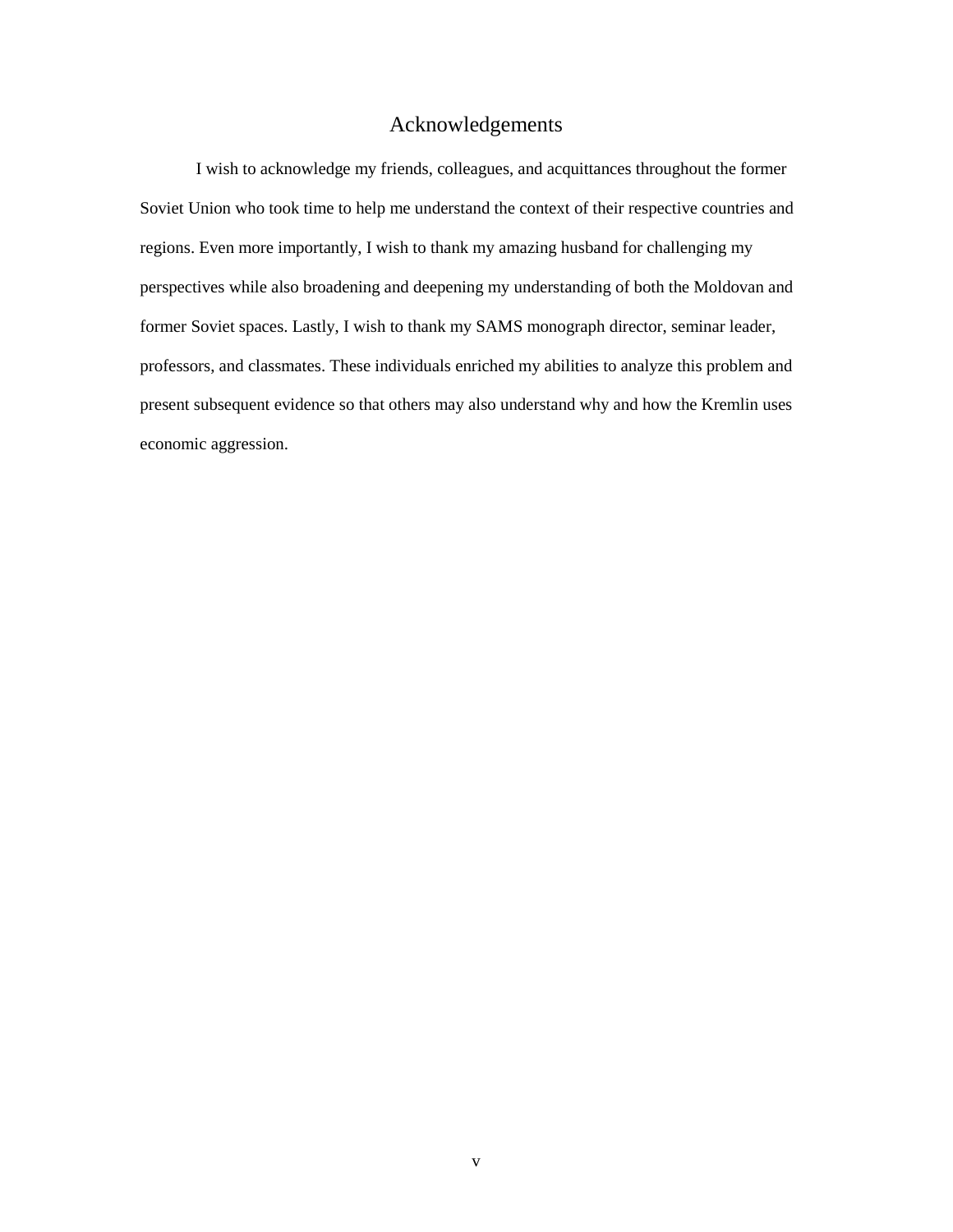# Acknowledgements

<span id="page-5-0"></span>I wish to acknowledge my friends, colleagues, and acquittances throughout the former Soviet Union who took time to help me understand the context of their respective countries and regions. Even more importantly, I wish to thank my amazing husband for challenging my perspectives while also broadening and deepening my understanding of both the Moldovan and former Soviet spaces. Lastly, I wish to thank my SAMS monograph director, seminar leader, professors, and classmates. These individuals enriched my abilities to analyze this problem and present subsequent evidence so that others may also understand why and how the Kremlin uses economic aggression.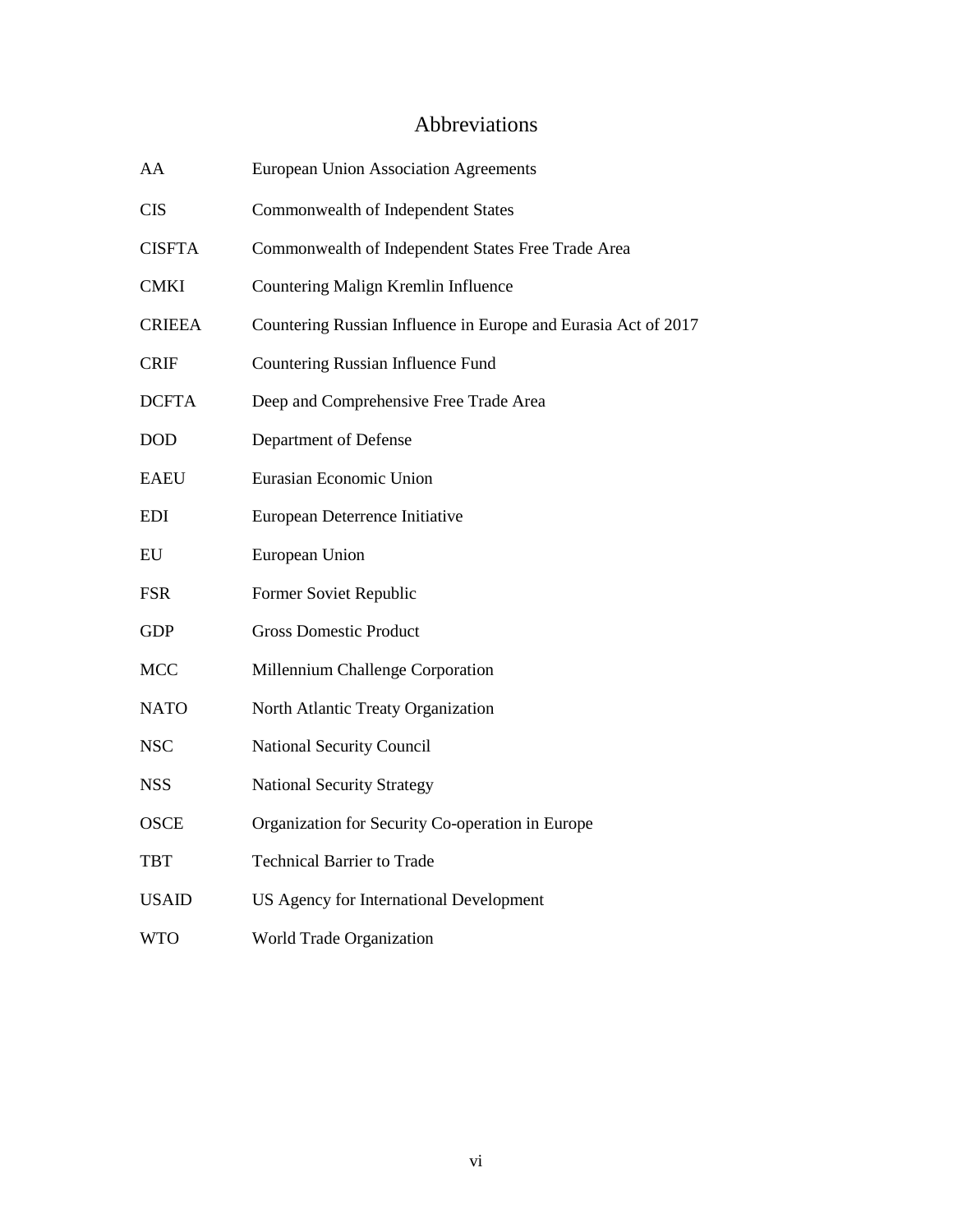# Abbreviations

<span id="page-6-0"></span>

| AA            | <b>European Union Association Agreements</b>                   |
|---------------|----------------------------------------------------------------|
| <b>CIS</b>    | Commonwealth of Independent States                             |
| <b>CISFTA</b> | Commonwealth of Independent States Free Trade Area             |
| <b>CMKI</b>   | Countering Malign Kremlin Influence                            |
| <b>CRIEEA</b> | Countering Russian Influence in Europe and Eurasia Act of 2017 |
| <b>CRIF</b>   | Countering Russian Influence Fund                              |
| <b>DCFTA</b>  | Deep and Comprehensive Free Trade Area                         |
| <b>DOD</b>    | Department of Defense                                          |
| <b>EAEU</b>   | Eurasian Economic Union                                        |
| <b>EDI</b>    | European Deterrence Initiative                                 |
| EU            | European Union                                                 |
| <b>FSR</b>    | Former Soviet Republic                                         |
| <b>GDP</b>    | <b>Gross Domestic Product</b>                                  |
| <b>MCC</b>    | Millennium Challenge Corporation                               |
| <b>NATO</b>   | North Atlantic Treaty Organization                             |
| <b>NSC</b>    | <b>National Security Council</b>                               |
| <b>NSS</b>    | <b>National Security Strategy</b>                              |
| <b>OSCE</b>   | Organization for Security Co-operation in Europe               |
| TBT           | <b>Technical Barrier to Trade</b>                              |
| <b>USAID</b>  | US Agency for International Development                        |
| <b>WTO</b>    | World Trade Organization                                       |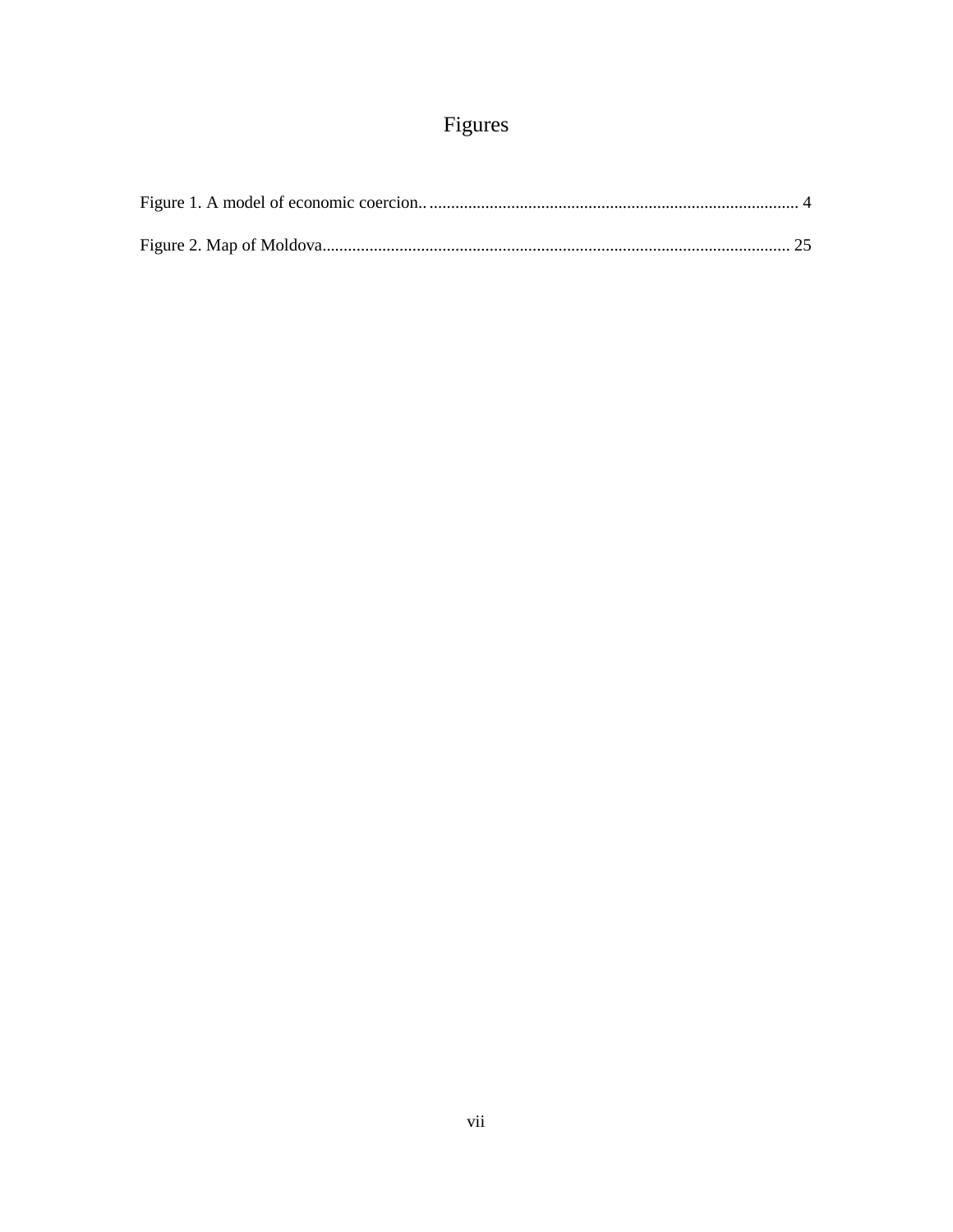# Figures

<span id="page-7-0"></span>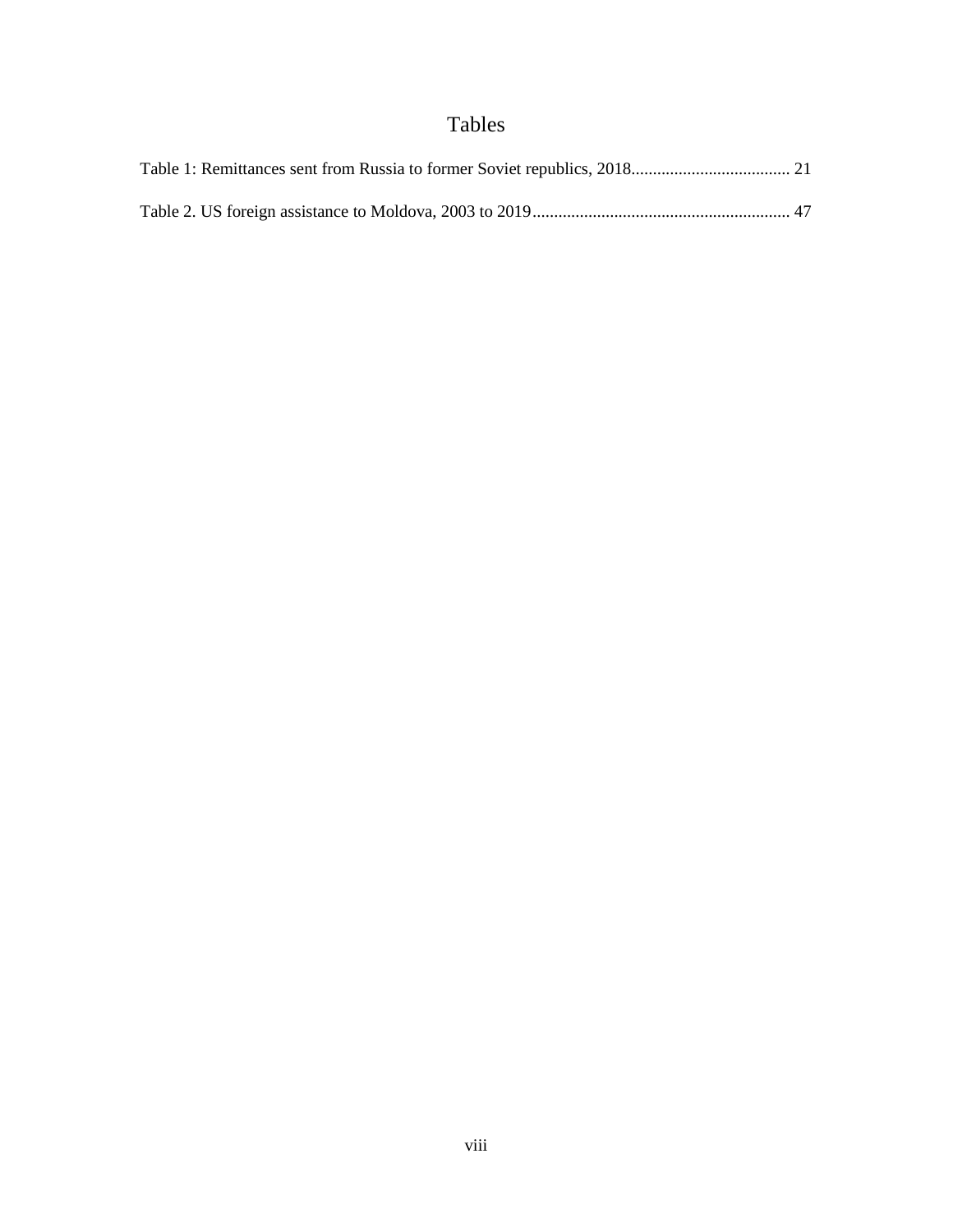# Tables

<span id="page-8-0"></span>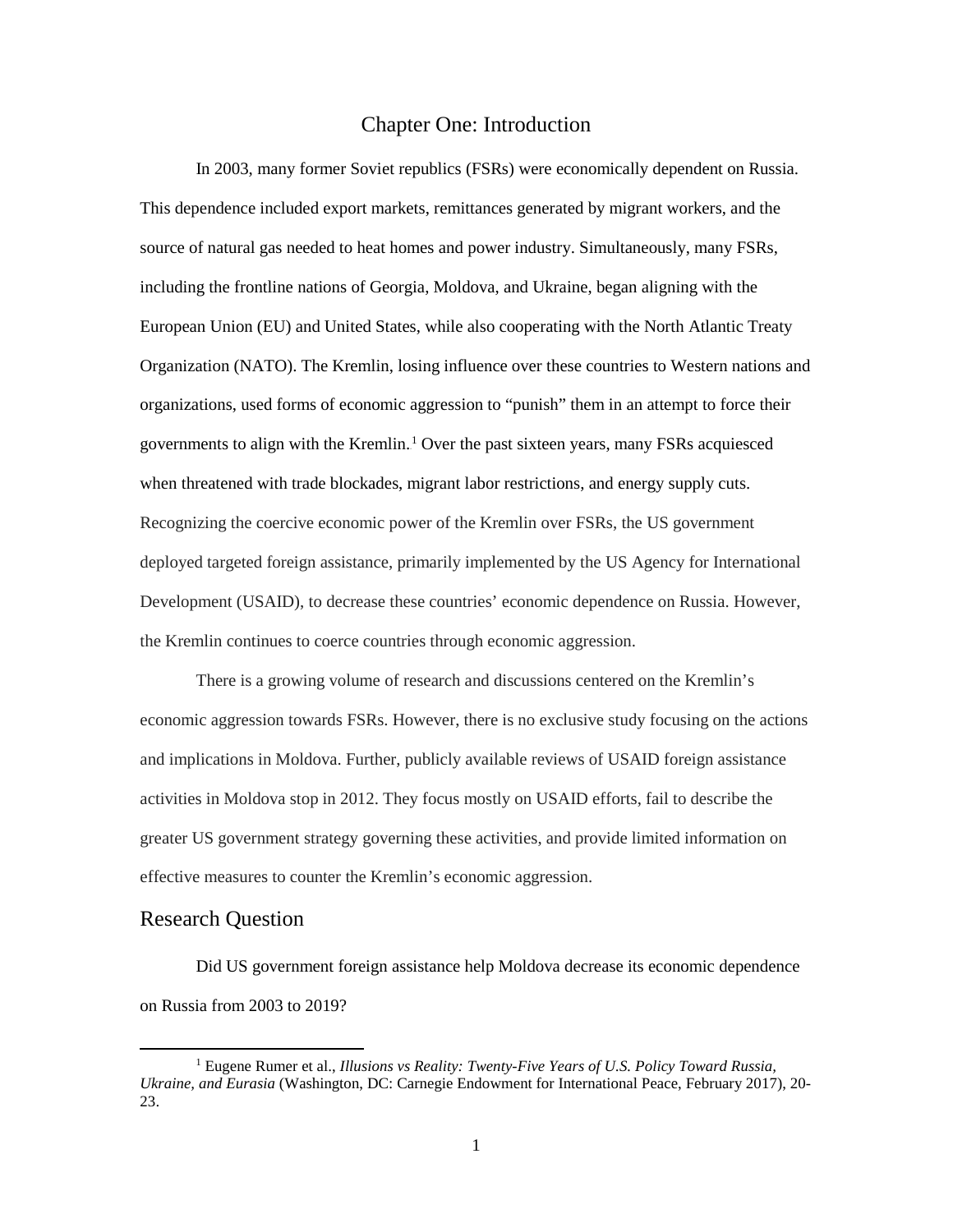#### Chapter One: Introduction

<span id="page-9-0"></span>In 2003, many former Soviet republics (FSRs) were economically dependent on Russia. This dependence included export markets, remittances generated by migrant workers, and the source of natural gas needed to heat homes and power industry. Simultaneously, many FSRs, including the frontline nations of Georgia, Moldova, and Ukraine, began aligning with the European Union (EU) and United States, while also cooperating with the North Atlantic Treaty Organization (NATO). The Kremlin, losing influence over these countries to Western nations and organizations, used forms of economic aggression to "punish" them in an attempt to force their governments to align with the Kremlin.<sup>1</sup> Over the past sixteen years, many FSRs acquiesced when threatened with trade blockades, migrant labor restrictions, and energy supply cuts. Recognizing the coercive economic power of the Kremlin over FSRs, the US government deployed targeted foreign assistance, primarily implemented by the US Agency for International Development (USAID), to decrease these countries' economic dependence on Russia. However, the Kremlin continues to coerce countries through economic aggression.

There is a growing volume of research and discussions centered on the Kremlin's economic aggression towards FSRs. However, there is no exclusive study focusing on the actions and implications in Moldova. Further, publicly available reviews of USAID foreign assistance activities in Moldova stop in 2012. They focus mostly on USAID efforts, fail to describe the greater US government strategy governing these activities, and provide limited information on effective measures to counter the Kremlin's economic aggression.

#### Research Question

l

Did US government foreign assistance help Moldova decrease its economic dependence on Russia from 2003 to 2019?

<sup>1</sup> Eugene Rumer et al., *Illusions vs Reality: Twenty-Five Years of U.S. Policy Toward Russia, Ukraine, and Eurasia* (Washington, DC: Carnegie Endowment for International Peace, February 2017), 20- 23.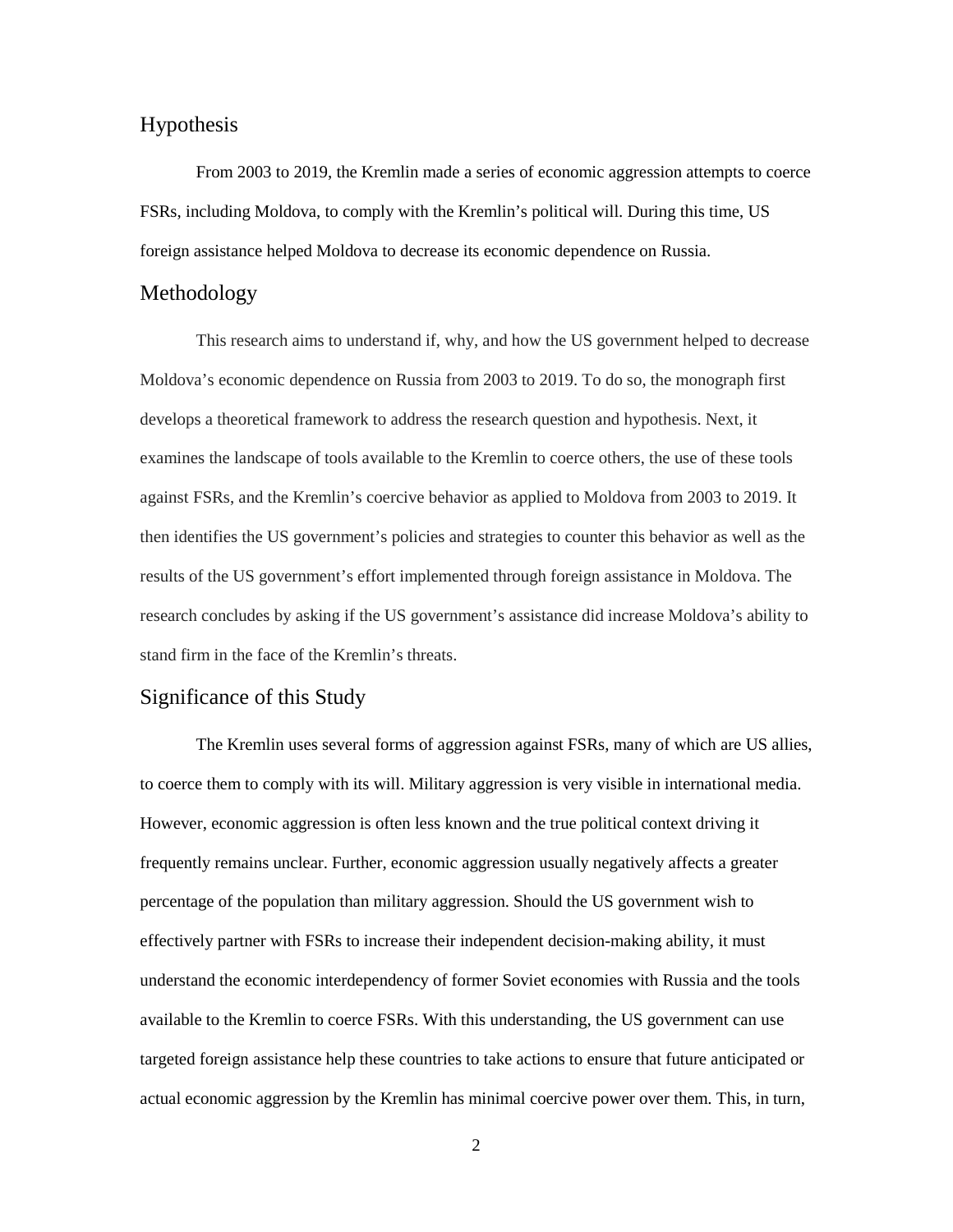## Hypothesis

From 2003 to 2019, the Kremlin made a series of economic aggression attempts to coerce FSRs, including Moldova, to comply with the Kremlin's political will. During this time, US foreign assistance helped Moldova to decrease its economic dependence on Russia.

## Methodology

This research aims to understand if, why, and how the US government helped to decrease Moldova's economic dependence on Russia from 2003 to 2019. To do so, the monograph first develops a theoretical framework to address the research question and hypothesis. Next, it examines the landscape of tools available to the Kremlin to coerce others, the use of these tools against FSRs, and the Kremlin's coercive behavior as applied to Moldova from 2003 to 2019. It then identifies the US government's policies and strategies to counter this behavior as well as the results of the US government's effort implemented through foreign assistance in Moldova. The research concludes by asking if the US government's assistance did increase Moldova's ability to stand firm in the face of the Kremlin's threats.

# Significance of this Study

The Kremlin uses several forms of aggression against FSRs, many of which are US allies, to coerce them to comply with its will. Military aggression is very visible in international media. However, economic aggression is often less known and the true political context driving it frequently remains unclear. Further, economic aggression usually negatively affects a greater percentage of the population than military aggression. Should the US government wish to effectively partner with FSRs to increase their independent decision-making ability, it must understand the economic interdependency of former Soviet economies with Russia and the tools available to the Kremlin to coerce FSRs. With this understanding, the US government can use targeted foreign assistance help these countries to take actions to ensure that future anticipated or actual economic aggression by the Kremlin has minimal coercive power over them. This, in turn,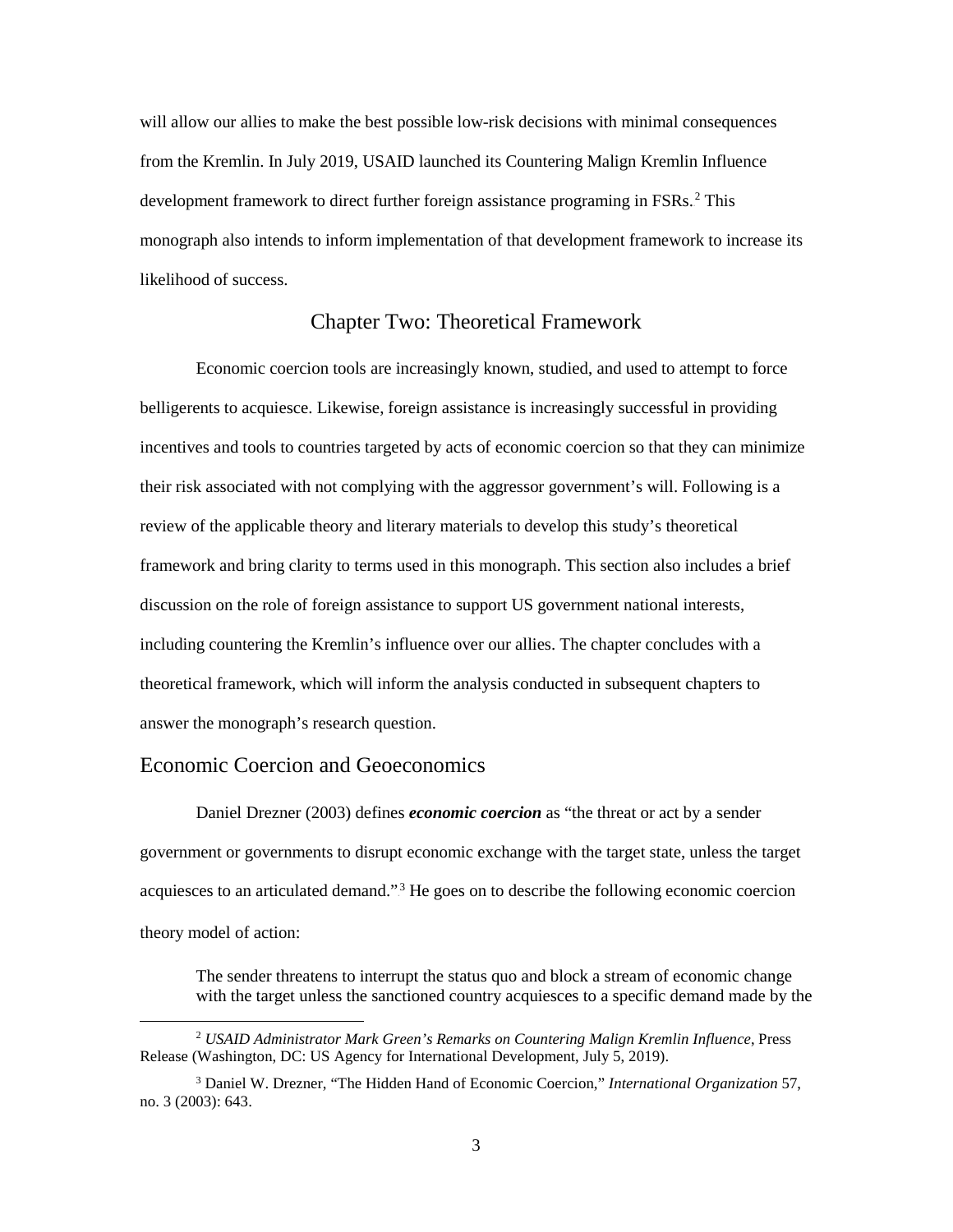will allow our allies to make the best possible low-risk decisions with minimal consequences from the Kremlin. In July 2019, USAID launched its Countering Malign Kremlin Influence development framework to direct further foreign assistance programing in FSRs.<sup>2</sup> This monograph also intends to inform implementation of that development framework to increase its likelihood of success.

## Chapter Two: Theoretical Framework

<span id="page-11-0"></span>Economic coercion tools are increasingly known, studied, and used to attempt to force belligerents to acquiesce. Likewise, foreign assistance is increasingly successful in providing incentives and tools to countries targeted by acts of economic coercion so that they can minimize their risk associated with not complying with the aggressor government's will. Following is a review of the applicable theory and literary materials to develop this study's theoretical framework and bring clarity to terms used in this monograph. This section also includes a brief discussion on the role of foreign assistance to support US government national interests, including countering the Kremlin's influence over our allies. The chapter concludes with a theoretical framework, which will inform the analysis conducted in subsequent chapters to answer the monograph's research question.

## Economic Coercion and Geoeconomics

l

Daniel Drezner (2003) defines *economic coercion* as "the threat or act by a sender government or governments to disrupt economic exchange with the target state, unless the target acquiesces to an articulated demand."<sup>3</sup> He goes on to describe the following economic coercion theory model of action:

The sender threatens to interrupt the status quo and block a stream of economic change with the target unless the sanctioned country acquiesces to a specific demand made by the

<sup>2</sup> *USAID Administrator Mark Green's Remarks on Countering Malign Kremlin Influence*, Press Release (Washington, DC: US Agency for International Development, July 5, 2019).

<sup>3</sup> Daniel W. Drezner, "The Hidden Hand of Economic Coercion," *International Organization* 57, no. 3 (2003): 643.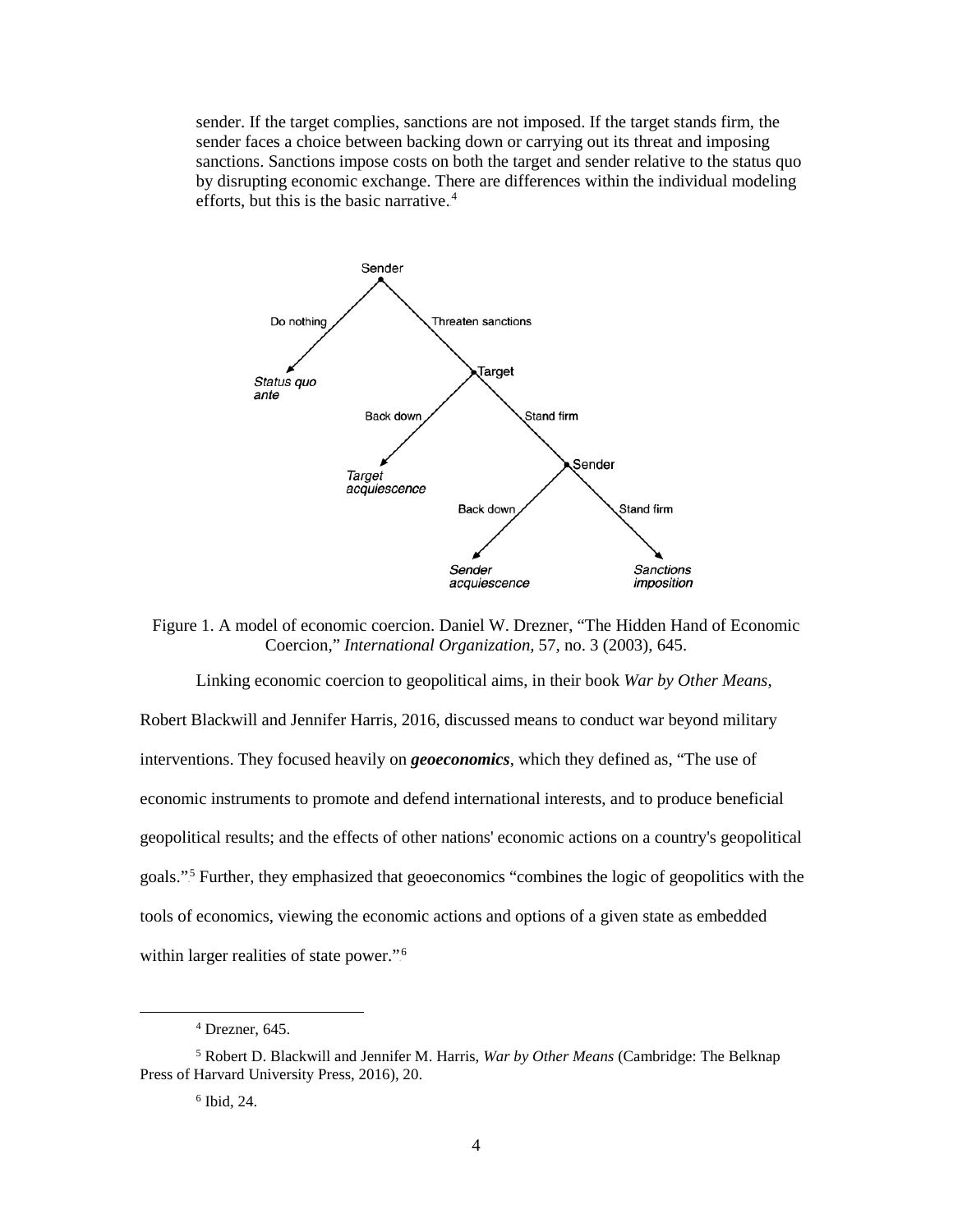sender. If the target complies, sanctions are not imposed. If the target stands firm, the sender faces a choice between backing down or carrying out its threat and imposing sanctions. Sanctions impose costs on both the target and sender relative to the status quo by disrupting economic exchange. There are differences within the individual modeling efforts, but this is the basic narrative. $4$ 



<span id="page-12-0"></span>Figure 1. A model of economic coercion. Daniel W. Drezner, "The Hidden Hand of Economic Coercion," *International Organization,* 57, no. 3 (2003), 645.

Linking economic coercion to geopolitical aims, in their book *War by Other Means*, Robert Blackwill and Jennifer Harris, 2016, discussed means to conduct war beyond military interventions. They focused heavily on *geoeconomics*, which they defined as, "The use of economic instruments to promote and defend international interests, and to produce beneficial geopolitical results; and the effects of other nations' economic actions on a country's geopolitical goals."<sup>5</sup> Further, they emphasized that geoeconomics "combines the logic of geopolitics with the tools of economics, viewing the economic actions and options of a given state as embedded within larger realities of state power."<sup>6</sup>

 $4$  Drezner, 645.

<sup>5</sup> Robert D. Blackwill and Jennifer M. Harris, *War by Other Means* (Cambridge: The Belknap Press of Harvard University Press, 2016), 20.

 $6$  Ibid, 24.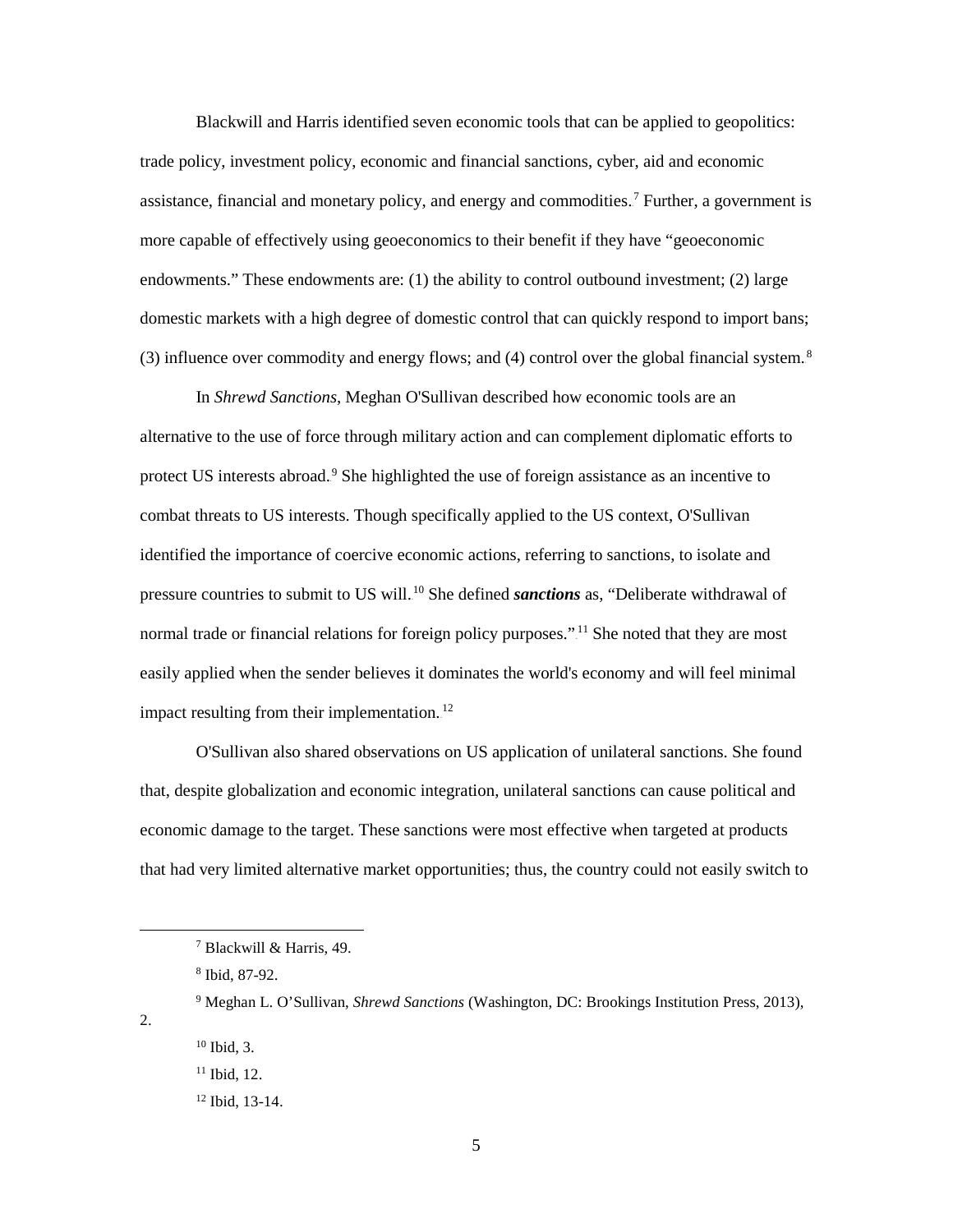Blackwill and Harris identified seven economic tools that can be applied to geopolitics: trade policy, investment policy, economic and financial sanctions, cyber, aid and economic assistance, financial and monetary policy, and energy and commodities.<sup>7</sup> Further, a government is more capable of effectively using geoeconomics to their benefit if they have "geoeconomic endowments." These endowments are: (1) the ability to control outbound investment; (2) large domestic markets with a high degree of domestic control that can quickly respond to import bans; (3) influence over commodity and energy flows; and (4) control over the global financial system. ${}^{8}$ 

 In *Shrewd Sanctions*, Meghan O'Sullivan described how economic tools are an alternative to the use of force through military action and can complement diplomatic efforts to protect US interests abroad.<sup>9</sup> She highlighted the use of foreign assistance as an incentive to combat threats to US interests. Though specifically applied to the US context, O'Sullivan identified the importance of coercive economic actions, referring to sanctions, to isolate and pressure countries to submit to US will.<sup>10</sup> She defined *sanctions* as, "Deliberate withdrawal of normal trade or financial relations for foreign policy purposes."<sup>11</sup> She noted that they are most easily applied when the sender believes it dominates the world's economy and will feel minimal impact resulting from their implementation.<sup>12</sup>

O'Sullivan also shared observations on US application of unilateral sanctions. She found that, despite globalization and economic integration, unilateral sanctions can cause political and economic damage to the target. These sanctions were most effective when targeted at products that had very limited alternative market opportunities; thus, the country could not easily switch to

l

2.

<sup>7</sup> Blackwill & Harris, 49.

<sup>8</sup> Ibid, 87-92.

<sup>9</sup> Meghan L. O'Sullivan, *Shrewd Sanctions* (Washington, DC: Brookings Institution Press, 2013),

 $10$  Ibid, 3.

 $11$  Ibid, 12.

<sup>12</sup> Ibid, 13-14.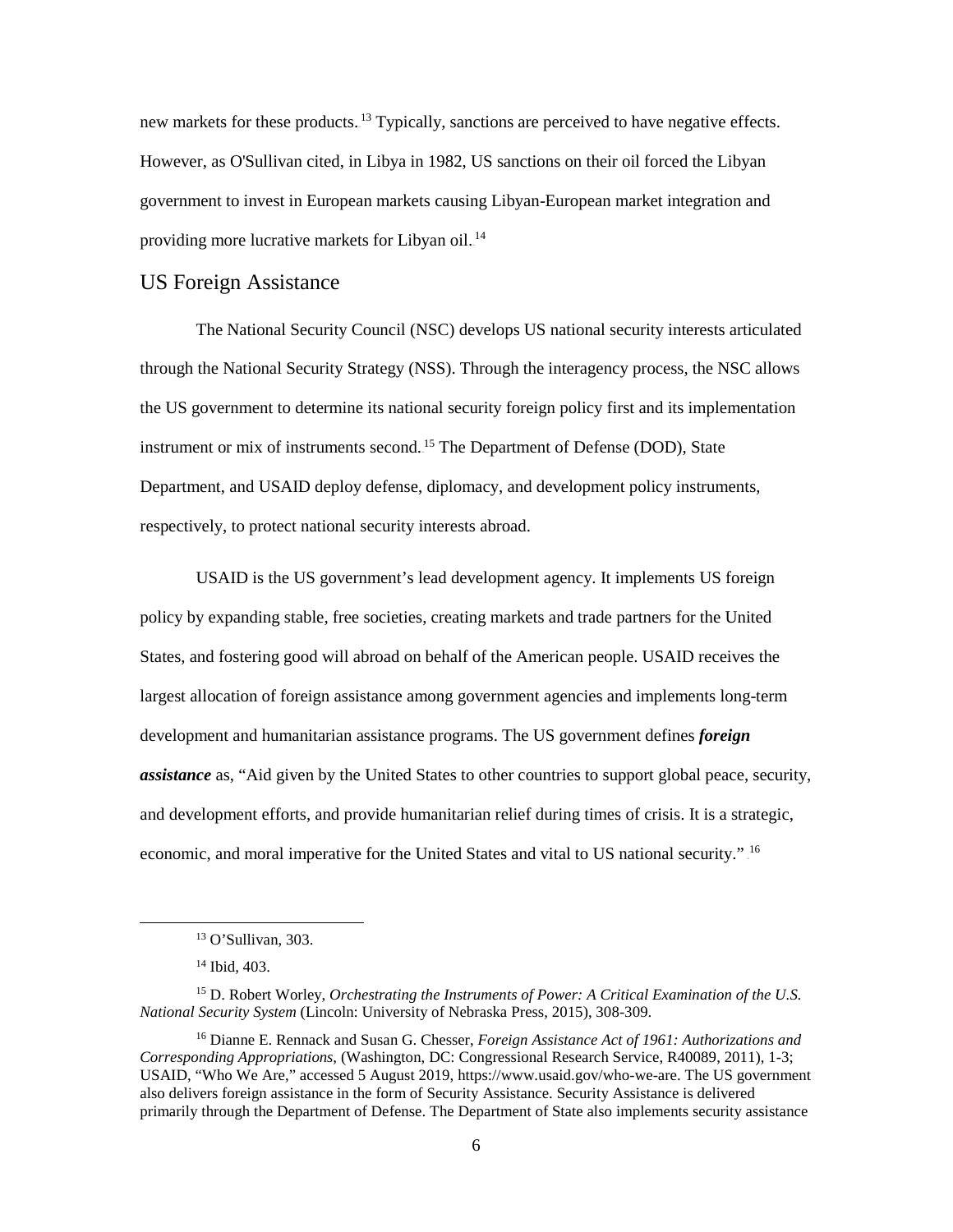new markets for these products.<sup>13</sup> Typically, sanctions are perceived to have negative effects. However, as O'Sullivan cited, in Libya in 1982, US sanctions on their oil forced the Libyan government to invest in European markets causing Libyan-European market integration and providing more lucrative markets for Libyan oil.<sup>14</sup>

#### US Foreign Assistance

The National Security Council (NSC) develops US national security interests articulated through the National Security Strategy (NSS). Through the interagency process, the NSC allows the US government to determine its national security foreign policy first and its implementation instrument or mix of instruments second.<sup>15</sup> The Department of Defense (DOD), State Department, and USAID deploy defense, diplomacy, and development policy instruments, respectively, to protect national security interests abroad.

USAID is the US government's lead development agency. It implements US foreign policy by expanding stable, free societies, creating markets and trade partners for the United States, and fostering good will abroad on behalf of the American people. USAID receives the largest allocation of foreign assistance among government agencies and implements long-term development and humanitarian assistance programs. The US government defines *foreign assistance* as, "Aid given by the United States to other countries to support global peace, security, and development efforts, and provide humanitarian relief during times of crisis. It is a strategic, economic, and moral imperative for the United States and vital to US national security." <sup>16</sup>

<sup>13</sup> O'Sullivan, 303.

<sup>14</sup> Ibid, 403.

<sup>15</sup> D. Robert Worley, *Orchestrating the Instruments of Power: A Critical Examination of the U.S. National Security System* (Lincoln: University of Nebraska Press, 2015), 308-309.

<sup>16</sup> Dianne E. Rennack and Susan G. Chesser, *Foreign Assistance Act of 1961: Authorizations and Corresponding Appropriations*, (Washington, DC: Congressional Research Service, R40089, 2011), 1-3; USAID, "Who We Are," accessed 5 August 2019, https://www.usaid.gov/who-we-are. The US government also delivers foreign assistance in the form of Security Assistance. Security Assistance is delivered primarily through the Department of Defense. The Department of State also implements security assistance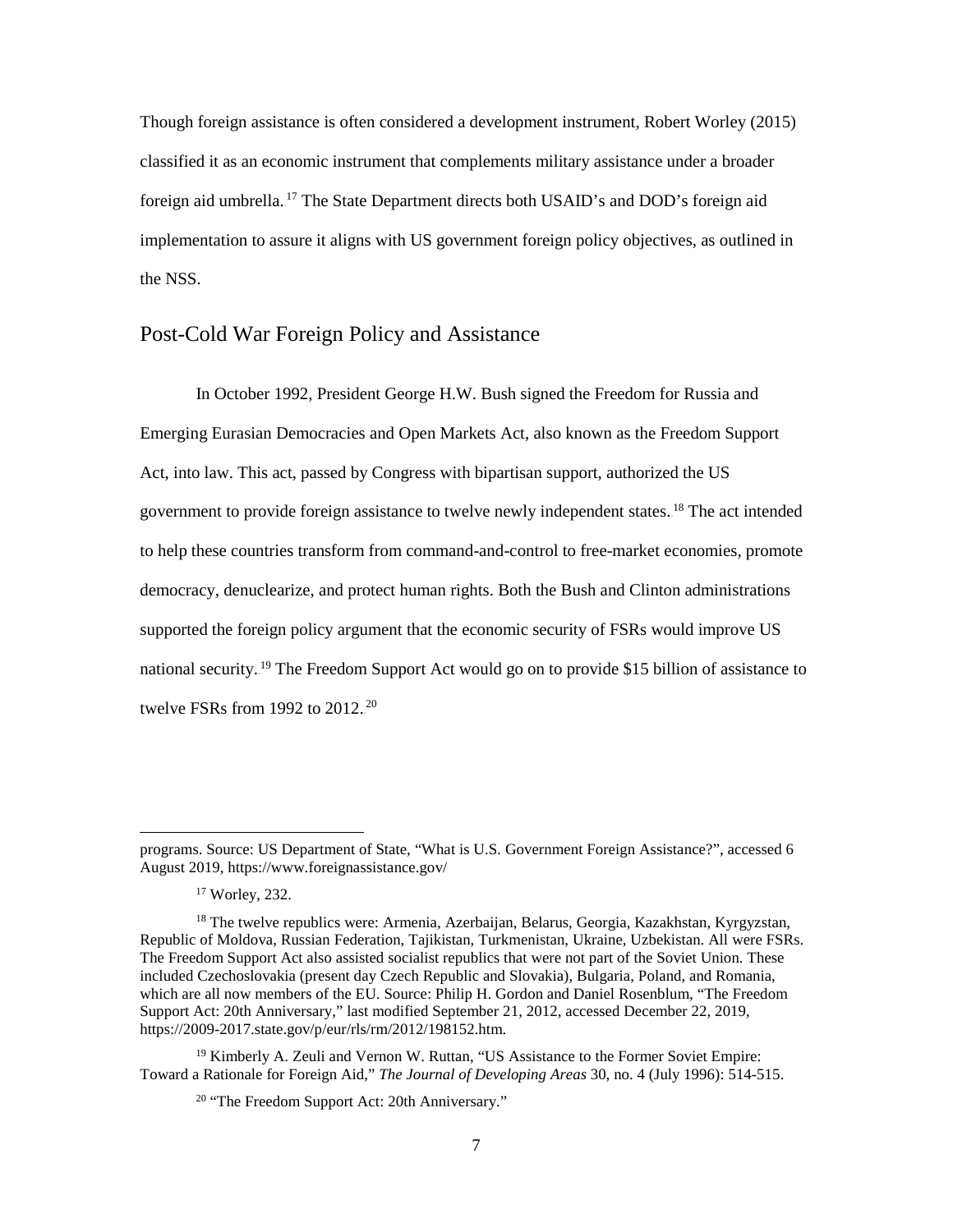Though foreign assistance is often considered a development instrument, Robert Worley (2015) classified it as an economic instrument that complements military assistance under a broader foreign aid umbrella.<sup>17</sup> The State Department directs both USAID's and DOD's foreign aid implementation to assure it aligns with US government foreign policy objectives, as outlined in the NSS.

# Post-Cold War Foreign Policy and Assistance

In October 1992, President George H.W. Bush signed the Freedom for Russia and Emerging Eurasian Democracies and Open Markets Act, also known as the Freedom Support Act, into law. This act, passed by Congress with bipartisan support, authorized the US government to provide foreign assistance to twelve newly independent states.<sup>18</sup> The act intended to help these countries transform from command-and-control to free-market economies, promote democracy, denuclearize, and protect human rights. Both the Bush and Clinton administrations supported the foreign policy argument that the economic security of FSRs would improve US national security.<sup>19</sup> The Freedom Support Act would go on to provide \$15 billion of assistance to twelve FSRs from 1992 to  $2012.^{20}$ 

l

<sup>19</sup> Kimberly A. Zeuli and Vernon W. Ruttan, "US Assistance to the Former Soviet Empire: Toward a Rationale for Foreign Aid," *The Journal of Developing Areas* 30, no. 4 (July 1996): 514-515.

programs. Source: US Department of State, "What is U.S. Government Foreign Assistance?", accessed 6 August 2019, https://www.foreignassistance.gov/

<sup>17</sup> Worley, 232.

<sup>18</sup> The twelve republics were: Armenia, Azerbaijan, Belarus, Georgia, Kazakhstan, Kyrgyzstan, Republic of Moldova, Russian Federation, Tajikistan, Turkmenistan, Ukraine, Uzbekistan. All were FSRs. The Freedom Support Act also assisted socialist republics that were not part of the Soviet Union. These included Czechoslovakia (present day Czech Republic and Slovakia), Bulgaria, Poland, and Romania, which are all now members of the EU. Source: Philip H. Gordon and Daniel Rosenblum, "The Freedom Support Act: 20th Anniversary," last modified September 21, 2012, accessed December 22, 2019, https://2009-2017.state.gov/p/eur/rls/rm/2012/198152.htm.

<sup>&</sup>lt;sup>20</sup> "The Freedom Support Act: 20th Anniversary."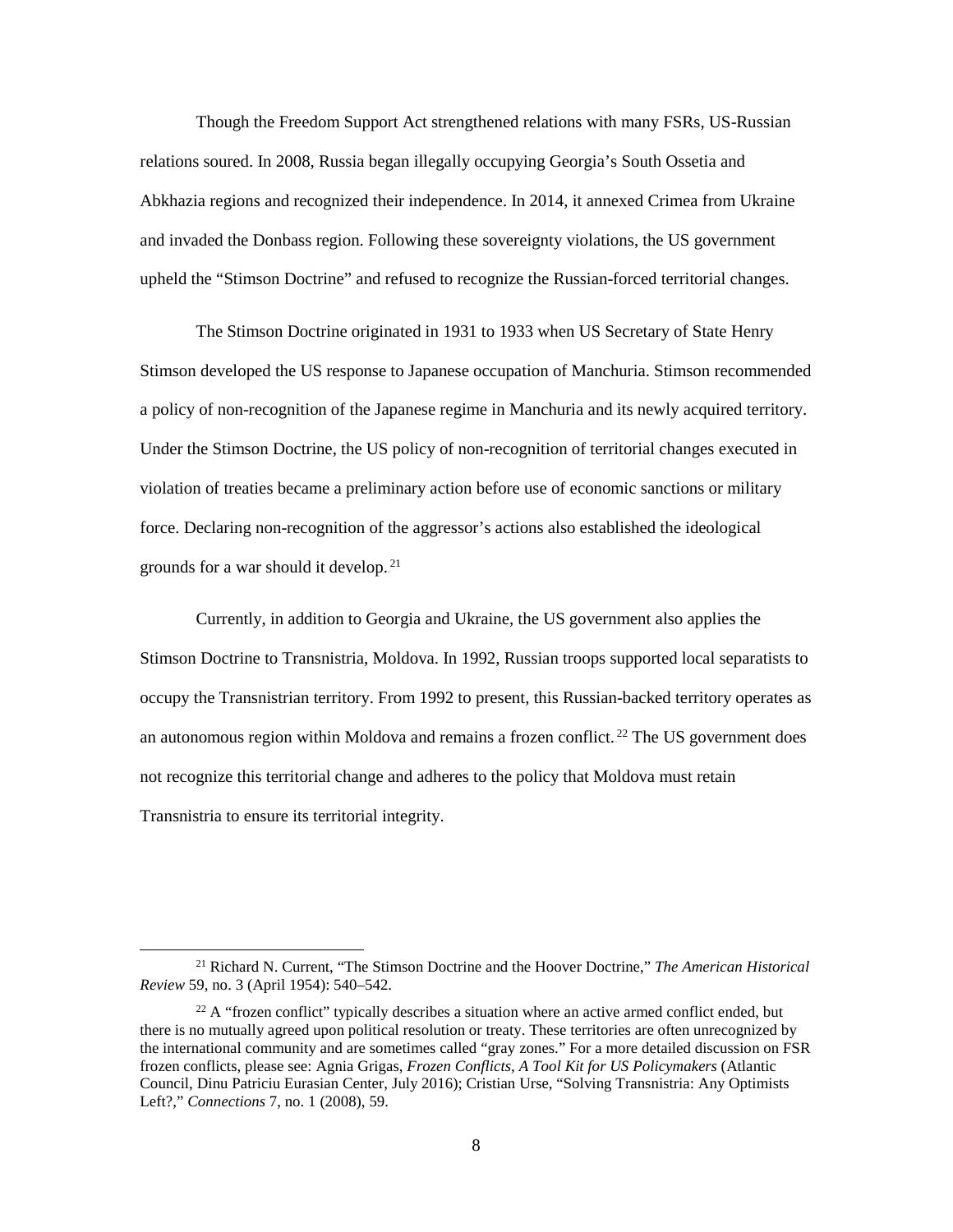Though the Freedom Support Act strengthened relations with many FSRs, US-Russian relations soured. In 2008, Russia began illegally occupying Georgia's South Ossetia and Abkhazia regions and recognized their independence. In 2014, it annexed Crimea from Ukraine and invaded the Donbass region. Following these sovereignty violations, the US government upheld the "Stimson Doctrine" and refused to recognize the Russian-forced territorial changes.

The Stimson Doctrine originated in 1931 to 1933 when US Secretary of State Henry Stimson developed the US response to Japanese occupation of Manchuria. Stimson recommended a policy of non-recognition of the Japanese regime in Manchuria and its newly acquired territory. Under the Stimson Doctrine, the US policy of non-recognition of territorial changes executed in violation of treaties became a preliminary action before use of economic sanctions or military force. Declaring non-recognition of the aggressor's actions also established the ideological grounds for a war should it develop.<sup>21</sup>

Currently, in addition to Georgia and Ukraine, the US government also applies the Stimson Doctrine to Transnistria, Moldova. In 1992, Russian troops supported local separatists to occupy the Transnistrian territory. From 1992 to present, this Russian-backed territory operates as an autonomous region within Moldova and remains a frozen conflict.<sup>22</sup> The US government does not recognize this territorial change and adheres to the policy that Moldova must retain Transnistria to ensure its territorial integrity.

<sup>21</sup> Richard N. Current, "The Stimson Doctrine and the Hoover Doctrine," *The American Historical Review* 59, no. 3 (April 1954): 540–542.

 $^{22}$  A "frozen conflict" typically describes a situation where an active armed conflict ended, but there is no mutually agreed upon political resolution or treaty. These territories are often unrecognized by the international community and are sometimes called "gray zones." For a more detailed discussion on FSR frozen conflicts, please see: Agnia Grigas, *Frozen Conflicts, A Tool Kit for US Policymakers* (Atlantic Council, Dinu Patriciu Eurasian Center, July 2016); Cristian Urse, "Solving Transnistria: Any Optimists Left?," *Connections* 7, no. 1 (2008), 59.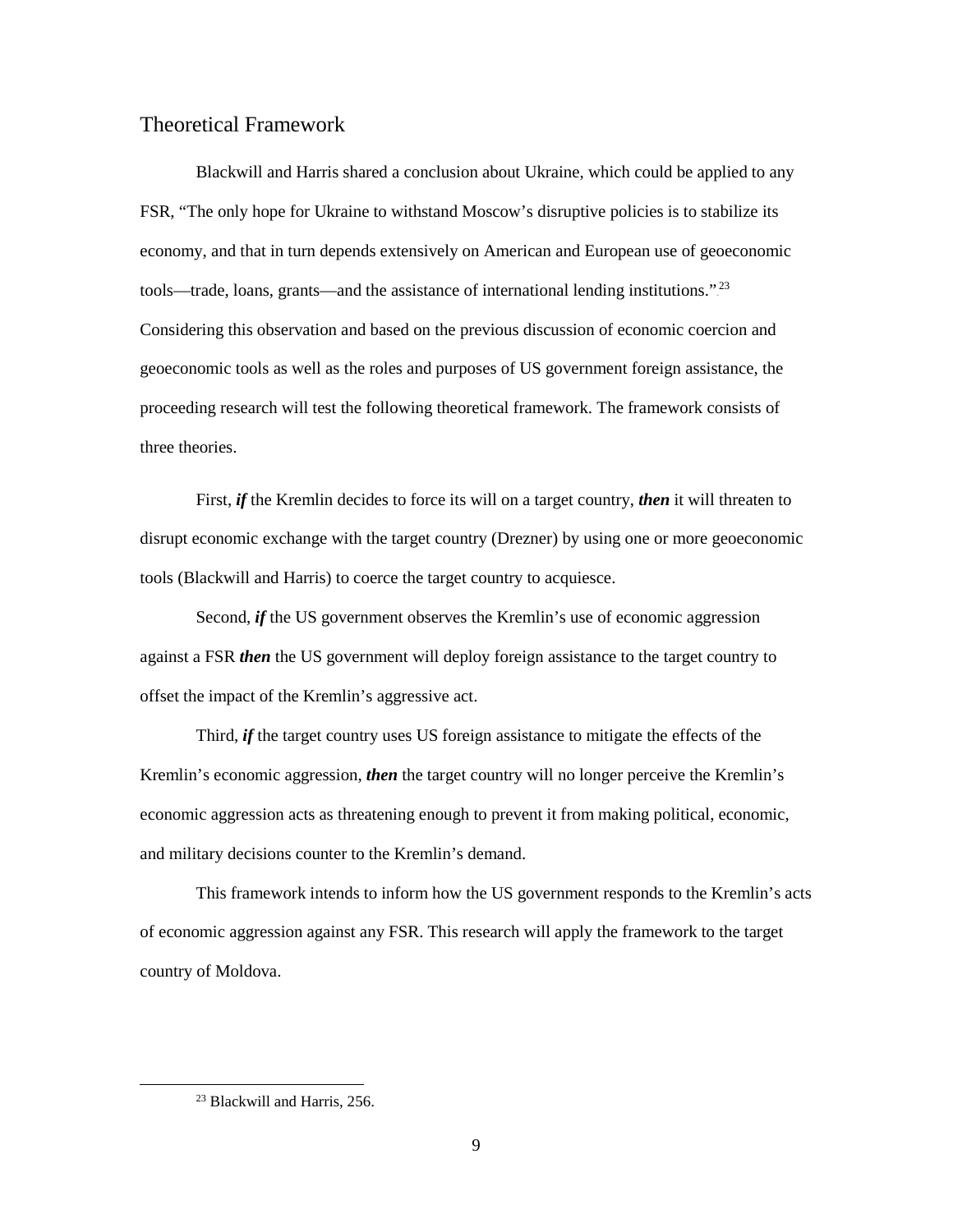# Theoretical Framework

Blackwill and Harris shared a conclusion about Ukraine, which could be applied to any FSR, "The only hope for Ukraine to withstand Moscow's disruptive policies is to stabilize its economy, and that in turn depends extensively on American and European use of geoeconomic tools—trade, loans, grants—and the assistance of international lending institutions."<sup>23</sup> Considering this observation and based on the previous discussion of economic coercion and geoeconomic tools as well as the roles and purposes of US government foreign assistance, the proceeding research will test the following theoretical framework. The framework consists of three theories.

First, *if* the Kremlin decides to force its will on a target country, *then* it will threaten to disrupt economic exchange with the target country (Drezner) by using one or more geoeconomic tools (Blackwill and Harris) to coerce the target country to acquiesce.

Second, *if* the US government observes the Kremlin's use of economic aggression against a FSR *then* the US government will deploy foreign assistance to the target country to offset the impact of the Kremlin's aggressive act.

Third, *if* the target country uses US foreign assistance to mitigate the effects of the Kremlin's economic aggression, *then* the target country will no longer perceive the Kremlin's economic aggression acts as threatening enough to prevent it from making political, economic, and military decisions counter to the Kremlin's demand.

This framework intends to inform how the US government responds to the Kremlin's acts of economic aggression against any FSR. This research will apply the framework to the target country of Moldova.

<sup>&</sup>lt;sup>23</sup> Blackwill and Harris, 256.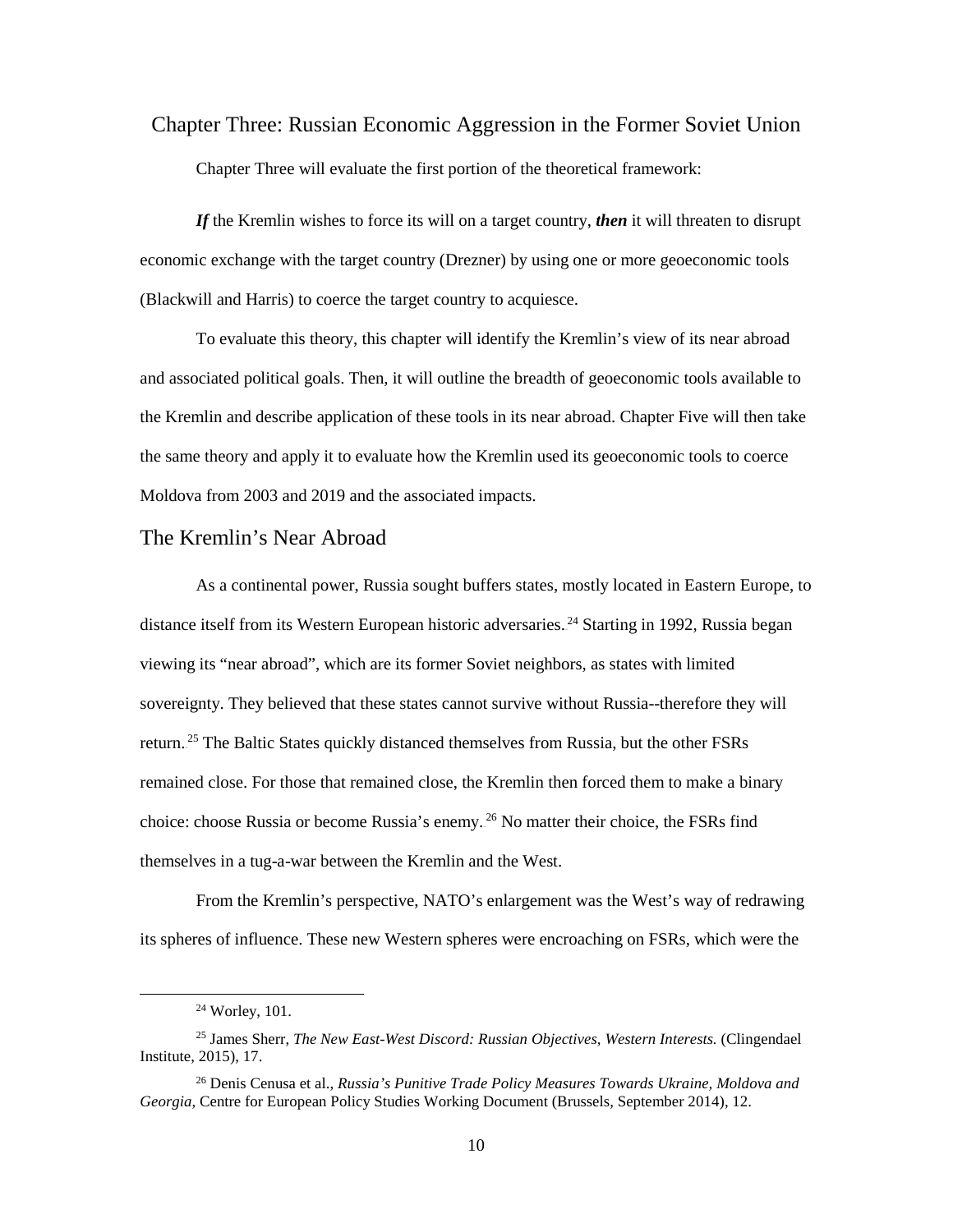<span id="page-18-0"></span>Chapter Three: Russian Economic Aggression in the Former Soviet Union Chapter Three will evaluate the first portion of the theoretical framework:

*If* the Kremlin wishes to force its will on a target country, *then* it will threaten to disrupt economic exchange with the target country (Drezner) by using one or more geoeconomic tools (Blackwill and Harris) to coerce the target country to acquiesce.

 To evaluate this theory, this chapter will identify the Kremlin's view of its near abroad and associated political goals. Then, it will outline the breadth of geoeconomic tools available to the Kremlin and describe application of these tools in its near abroad. Chapter Five will then take the same theory and apply it to evaluate how the Kremlin used its geoeconomic tools to coerce Moldova from 2003 and 2019 and the associated impacts.

## The Kremlin's Near Abroad

As a continental power, Russia sought buffers states, mostly located in Eastern Europe, to distance itself from its Western European historic adversaries.<sup>24</sup> Starting in 1992, Russia began viewing its "near abroad", which are its former Soviet neighbors, as states with limited sovereignty. They believed that these states cannot survive without Russia--therefore they will return.<sup>25</sup> The Baltic States quickly distanced themselves from Russia, but the other FSRs remained close. For those that remained close, the Kremlin then forced them to make a binary choice: choose Russia or become Russia's enemy.<sup>26</sup> No matter their choice, the FSRs find themselves in a tug-a-war between the Kremlin and the West.

From the Kremlin's perspective, NATO's enlargement was the West's way of redrawing its spheres of influence. These new Western spheres were encroaching on FSRs, which were the

 $\overline{\phantom{a}}$ 

<sup>24</sup> Worley, 101.

<sup>25</sup> James Sherr, *The New East-West Discord: Russian Objectives, Western Interests.* (Clingendael Institute, 2015), 17.

<sup>26</sup> Denis Cenusa et al., *Russia's Punitive Trade Policy Measures Towards Ukraine, Moldova and Georgia*, Centre for European Policy Studies Working Document (Brussels, September 2014), 12.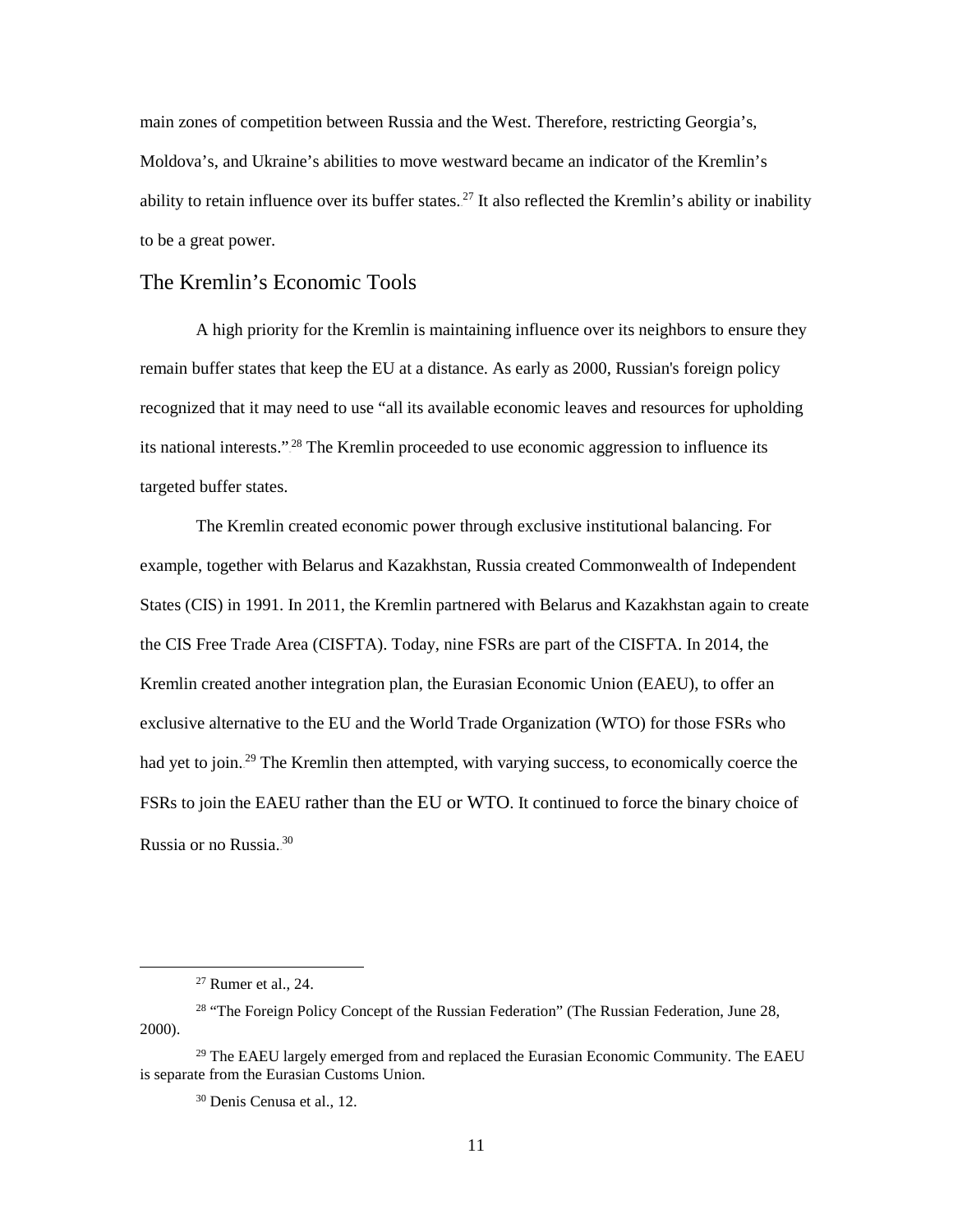main zones of competition between Russia and the West. Therefore, restricting Georgia's, Moldova's, and Ukraine's abilities to move westward became an indicator of the Kremlin's ability to retain influence over its buffer states.<sup>27</sup> It also reflected the Kremlin's ability or inability to be a great power.

## The Kremlin's Economic Tools

A high priority for the Kremlin is maintaining influence over its neighbors to ensure they remain buffer states that keep the EU at a distance. As early as 2000, Russian's foreign policy recognized that it may need to use "all its available economic leaves and resources for upholding its national interests."<sup>28</sup> The Kremlin proceeded to use economic aggression to influence its targeted buffer states.

The Kremlin created economic power through exclusive institutional balancing. For example, together with Belarus and Kazakhstan, Russia created Commonwealth of Independent States (CIS) in 1991. In 2011, the Kremlin partnered with Belarus and Kazakhstan again to create the CIS Free Trade Area (CISFTA). Today, nine FSRs are part of the CISFTA. In 2014, the Kremlin created another integration plan, the Eurasian Economic Union (EAEU), to offer an exclusive alternative to the EU and the World Trade Organization (WTO) for those FSRs who had yet to join.<sup>29</sup> The Kremlin then attempted, with varying success, to economically coerce the FSRs to join the EAEU rather than the EU or WTO. It continued to force the binary choice of Russia or no Russia.<sup>30</sup>

 $\overline{a}$ 

<sup>27</sup> Rumer et al., 24.

<sup>&</sup>lt;sup>28</sup> "The Foreign Policy Concept of the Russian Federation" (The Russian Federation, June 28, 2000).

 $29$  The EAEU largely emerged from and replaced the Eurasian Economic Community. The EAEU is separate from the Eurasian Customs Union.

<sup>30</sup> Denis Cenusa et al., 12.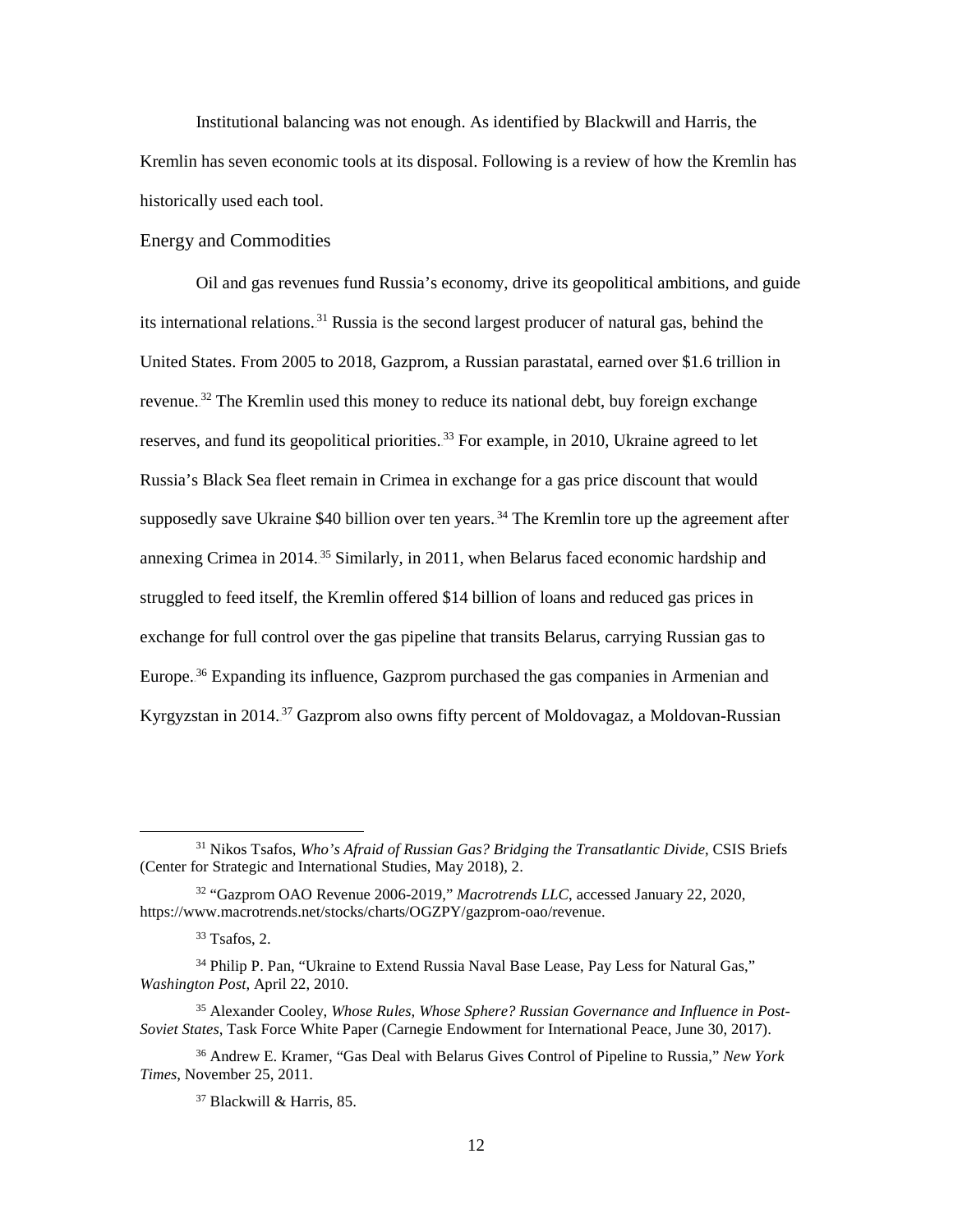Institutional balancing was not enough. As identified by Blackwill and Harris, the Kremlin has seven economic tools at its disposal. Following is a review of how the Kremlin has historically used each tool.

#### Energy and Commodities

Oil and gas revenues fund Russia's economy, drive its geopolitical ambitions, and guide its international relations.<sup>31</sup> Russia is the second largest producer of natural gas, behind the United States. From 2005 to 2018, Gazprom, a Russian parastatal, earned over \$1.6 trillion in revenue.<sup>32</sup> The Kremlin used this money to reduce its national debt, buy foreign exchange reserves, and fund its geopolitical priorities.<sup>33</sup> For example, in 2010, Ukraine agreed to let Russia's Black Sea fleet remain in Crimea in exchange for a gas price discount that would supposedly save Ukraine \$40 billion over ten years.<sup>34</sup> The Kremlin tore up the agreement after annexing Crimea in 2014.<sup>35</sup> Similarly, in 2011, when Belarus faced economic hardship and struggled to feed itself, the Kremlin offered \$14 billion of loans and reduced gas prices in exchange for full control over the gas pipeline that transits Belarus, carrying Russian gas to Europe.<sup>36</sup> Expanding its influence, Gazprom purchased the gas companies in Armenian and Kyrgyzstan in 2014.<sup>37</sup> Gazprom also owns fifty percent of Moldovagaz, a Moldovan-Russian

 $\overline{a}$ 

<sup>31</sup> Nikos Tsafos, *Who's Afraid of Russian Gas? Bridging the Transatlantic Divide*, CSIS Briefs (Center for Strategic and International Studies, May 2018), 2.

<sup>32</sup> "Gazprom OAO Revenue 2006-2019," *Macrotrends LLC*, accessed January 22, 2020, https://www.macrotrends.net/stocks/charts/OGZPY/gazprom-oao/revenue.

 $33$  Tsafos, 2.

<sup>&</sup>lt;sup>34</sup> Philip P. Pan, "Ukraine to Extend Russia Naval Base Lease, Pay Less for Natural Gas," *Washington Post*, April 22, 2010.

<sup>35</sup> Alexander Cooley, *Whose Rules, Whose Sphere? Russian Governance and Influence in Post-Soviet States*, Task Force White Paper (Carnegie Endowment for International Peace, June 30, 2017).

<sup>36</sup> Andrew E. Kramer, "Gas Deal with Belarus Gives Control of Pipeline to Russia," *New York Times*, November 25, 2011.

<sup>37</sup> Blackwill & Harris, 85.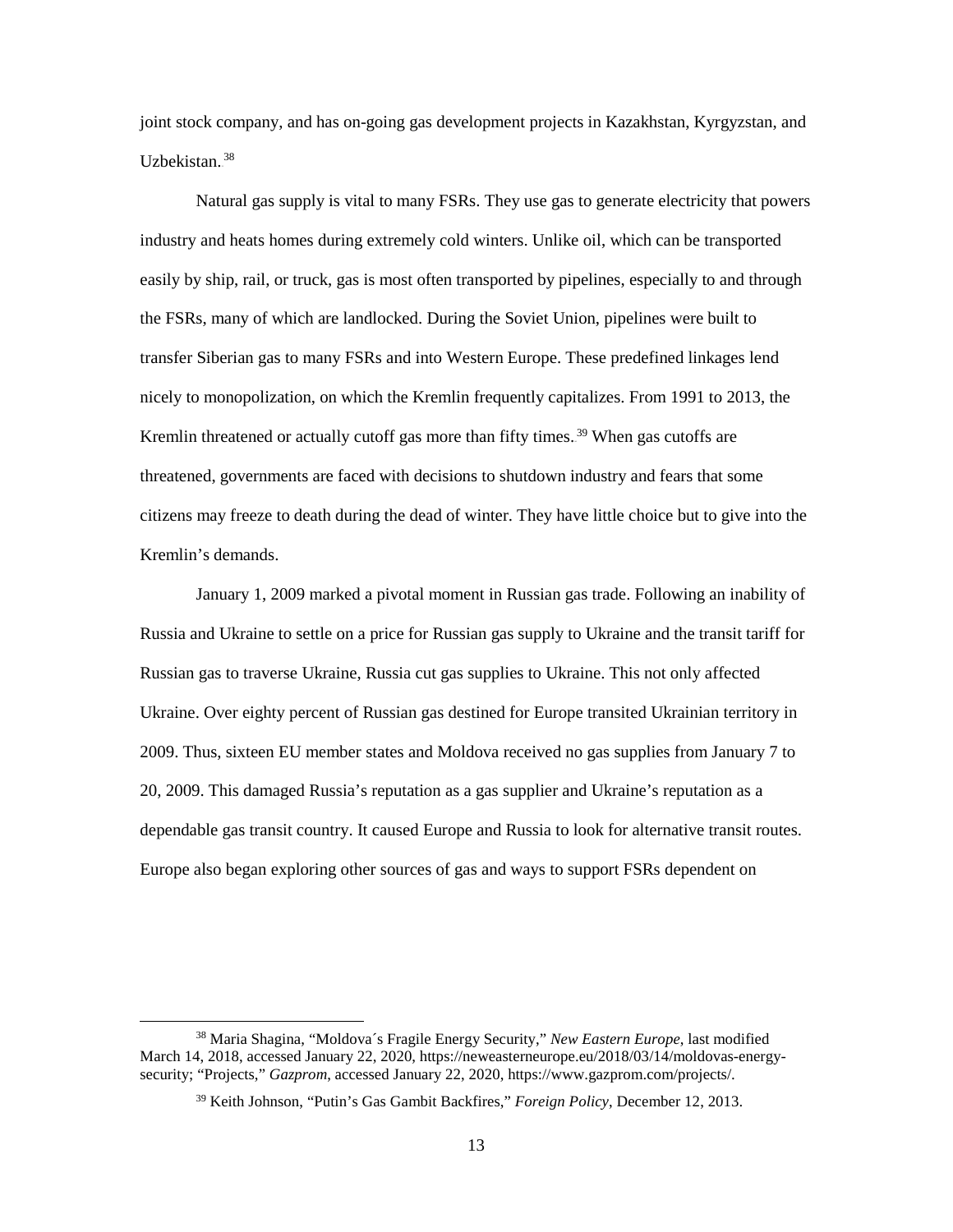joint stock company, and has on-going gas development projects in Kazakhstan, Kyrgyzstan, and Uzbekistan.<sup>38</sup>

Natural gas supply is vital to many FSRs. They use gas to generate electricity that powers industry and heats homes during extremely cold winters. Unlike oil, which can be transported easily by ship, rail, or truck, gas is most often transported by pipelines, especially to and through the FSRs, many of which are landlocked. During the Soviet Union, pipelines were built to transfer Siberian gas to many FSRs and into Western Europe. These predefined linkages lend nicely to monopolization, on which the Kremlin frequently capitalizes. From 1991 to 2013, the Kremlin threatened or actually cutoff gas more than fifty times.<sup>39</sup> When gas cutoffs are threatened, governments are faced with decisions to shutdown industry and fears that some citizens may freeze to death during the dead of winter. They have little choice but to give into the Kremlin's demands.

January 1, 2009 marked a pivotal moment in Russian gas trade. Following an inability of Russia and Ukraine to settle on a price for Russian gas supply to Ukraine and the transit tariff for Russian gas to traverse Ukraine, Russia cut gas supplies to Ukraine. This not only affected Ukraine. Over eighty percent of Russian gas destined for Europe transited Ukrainian territory in 2009. Thus, sixteen EU member states and Moldova received no gas supplies from January 7 to 20, 2009. This damaged Russia's reputation as a gas supplier and Ukraine's reputation as a dependable gas transit country. It caused Europe and Russia to look for alternative transit routes. Europe also began exploring other sources of gas and ways to support FSRs dependent on

<sup>38</sup> Maria Shagina, "Moldova´s Fragile Energy Security," *New Eastern Europe*, last modified March 14, 2018, accessed January 22, 2020, https://neweasterneurope.eu/2018/03/14/moldovas-energysecurity; "Projects," *Gazprom*, accessed January 22, 2020, https://www.gazprom.com/projects/.

<sup>39</sup> Keith Johnson, "Putin's Gas Gambit Backfires," *Foreign Policy*, December 12, 2013.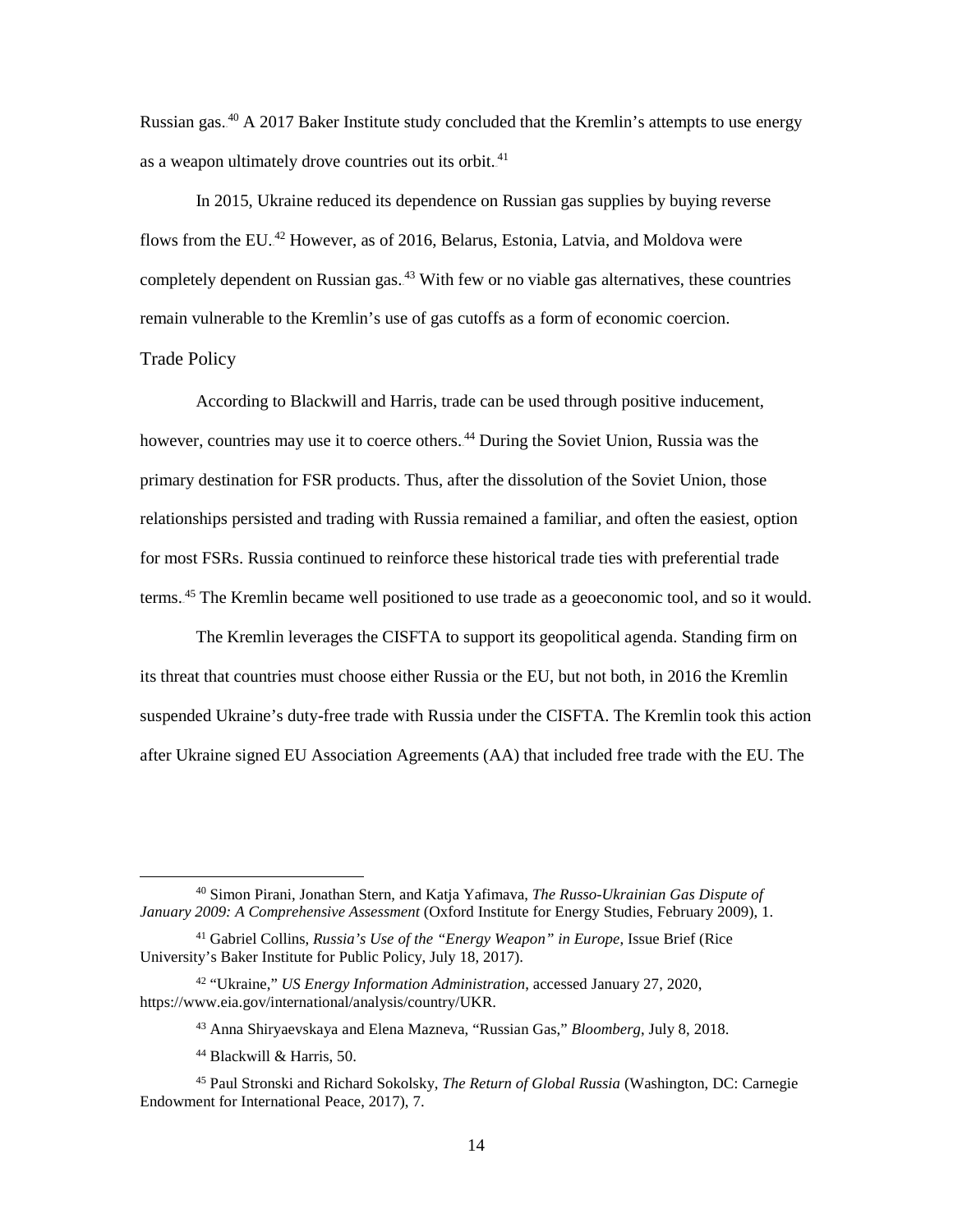Russian gas.<sup>40</sup> A 2017 Baker Institute study concluded that the Kremlin's attempts to use energy as a weapon ultimately drove countries out its orbit.<sup>41</sup>

In 2015, Ukraine reduced its dependence on Russian gas supplies by buying reverse flows from the EU.<sup>42</sup> However, as of 2016, Belarus, Estonia, Latvia, and Moldova were completely dependent on Russian gas.<sup>43</sup> With few or no viable gas alternatives, these countries remain vulnerable to the Kremlin's use of gas cutoffs as a form of economic coercion. Trade Policy

According to Blackwill and Harris, trade can be used through positive inducement, however, countries may use it to coerce others.<sup>44</sup> During the Soviet Union, Russia was the primary destination for FSR products. Thus, after the dissolution of the Soviet Union, those relationships persisted and trading with Russia remained a familiar, and often the easiest, option for most FSRs. Russia continued to reinforce these historical trade ties with preferential trade terms.<sup>45</sup> The Kremlin became well positioned to use trade as a geoeconomic tool, and so it would.

 The Kremlin leverages the CISFTA to support its geopolitical agenda. Standing firm on its threat that countries must choose either Russia or the EU, but not both, in 2016 the Kremlin suspended Ukraine's duty-free trade with Russia under the CISFTA. The Kremlin took this action after Ukraine signed EU Association Agreements (AA) that included free trade with the EU. The

<sup>40</sup> Simon Pirani, Jonathan Stern, and Katja Yafimava, *The Russo-Ukrainian Gas Dispute of January 2009: A Comprehensive Assessment* (Oxford Institute for Energy Studies, February 2009), 1.

<sup>41</sup> Gabriel Collins, *Russia's Use of the "Energy Weapon" in Europe*, Issue Brief (Rice University's Baker Institute for Public Policy, July 18, 2017).

<sup>42</sup> "Ukraine," *US Energy Information Administration*, accessed January 27, 2020, https://www.eia.gov/international/analysis/country/UKR.

<sup>43</sup> Anna Shiryaevskaya and Elena Mazneva, "Russian Gas," *Bloomberg*, July 8, 2018.

<sup>44</sup> Blackwill & Harris, 50.

<sup>45</sup> Paul Stronski and Richard Sokolsky, *The Return of Global Russia* (Washington, DC: Carnegie Endowment for International Peace, 2017), 7.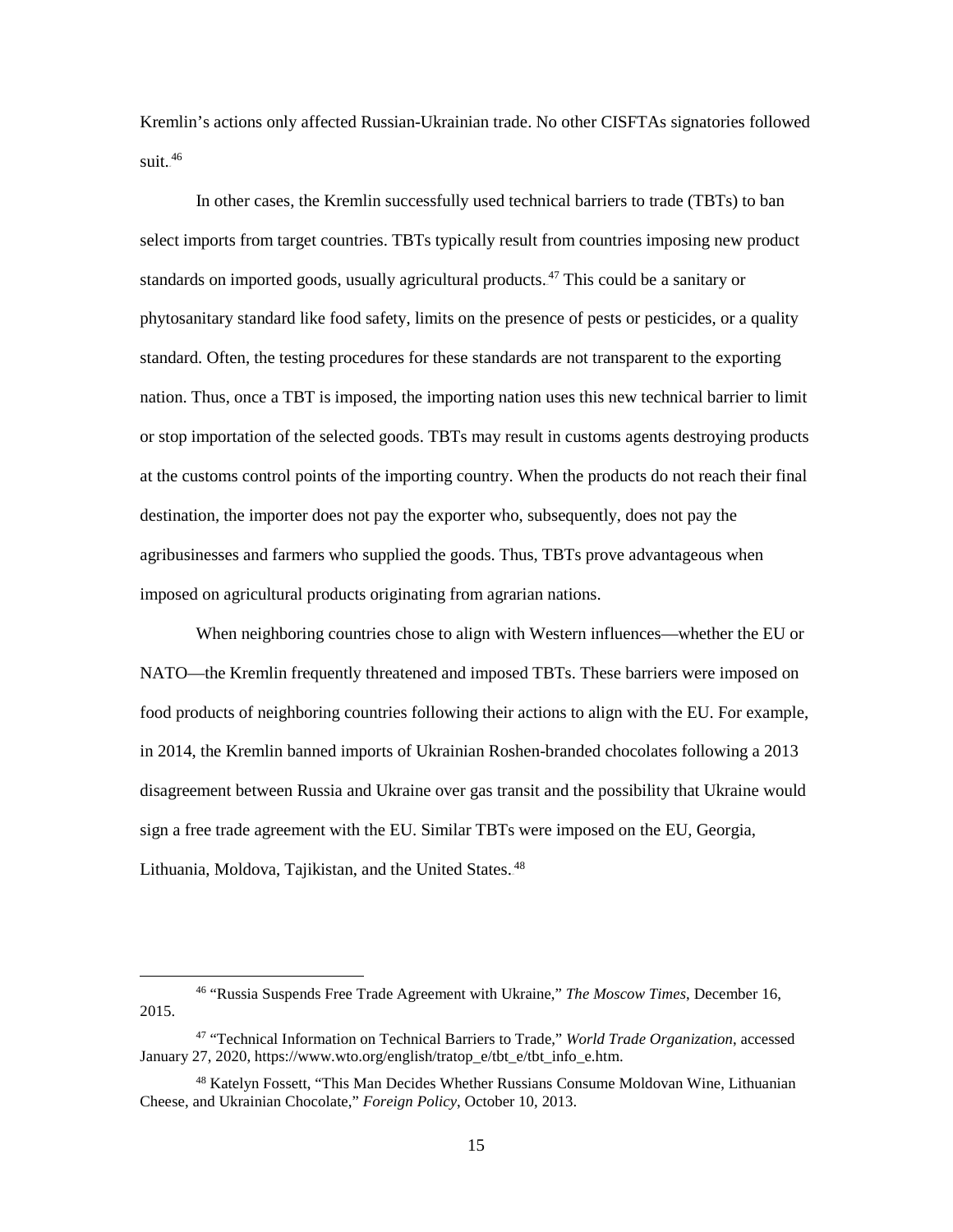Kremlin's actions only affected Russian-Ukrainian trade. No other CISFTAs signatories followed suit. $^{46}$ 

In other cases, the Kremlin successfully used technical barriers to trade (TBTs) to ban select imports from target countries. TBTs typically result from countries imposing new product standards on imported goods, usually agricultural products.<sup>47</sup> This could be a sanitary or phytosanitary standard like food safety, limits on the presence of pests or pesticides, or a quality standard. Often, the testing procedures for these standards are not transparent to the exporting nation. Thus, once a TBT is imposed, the importing nation uses this new technical barrier to limit or stop importation of the selected goods. TBTs may result in customs agents destroying products at the customs control points of the importing country. When the products do not reach their final destination, the importer does not pay the exporter who, subsequently, does not pay the agribusinesses and farmers who supplied the goods. Thus, TBTs prove advantageous when imposed on agricultural products originating from agrarian nations.

 When neighboring countries chose to align with Western influences—whether the EU or NATO—the Kremlin frequently threatened and imposed TBTs. These barriers were imposed on food products of neighboring countries following their actions to align with the EU. For example, in 2014, the Kremlin banned imports of Ukrainian Roshen-branded chocolates following a 2013 disagreement between Russia and Ukraine over gas transit and the possibility that Ukraine would sign a free trade agreement with the EU. Similar TBTs were imposed on the EU, Georgia, Lithuania, Moldova, Tajikistan, and the United States.<sup>48</sup>

 $\overline{a}$ 

<sup>46</sup> "Russia Suspends Free Trade Agreement with Ukraine," *The Moscow Times*, December 16, 2015.

<sup>47</sup> "Technical Information on Technical Barriers to Trade," *World Trade Organization*, accessed January 27, 2020, https://www.wto.org/english/tratop\_e/tbt\_e/tbt\_info\_e.htm.

<sup>48</sup> Katelyn Fossett, "This Man Decides Whether Russians Consume Moldovan Wine, Lithuanian Cheese, and Ukrainian Chocolate," *Foreign Policy*, October 10, 2013.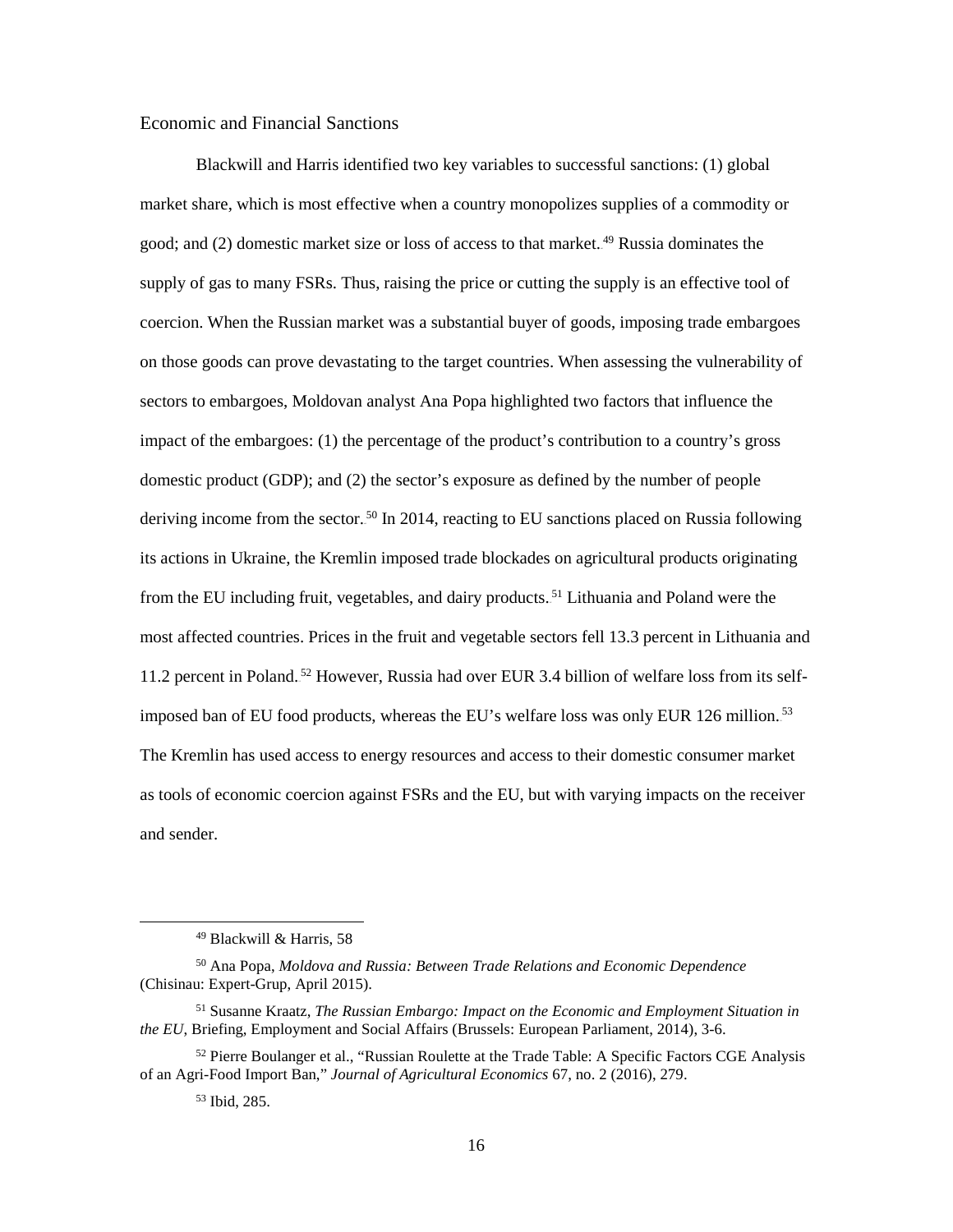#### Economic and Financial Sanctions

Blackwill and Harris identified two key variables to successful sanctions: (1) global market share, which is most effective when a country monopolizes supplies of a commodity or good; and (2) domestic market size or loss of access to that market.<sup>49</sup> Russia dominates the supply of gas to many FSRs. Thus, raising the price or cutting the supply is an effective tool of coercion. When the Russian market was a substantial buyer of goods, imposing trade embargoes on those goods can prove devastating to the target countries. When assessing the vulnerability of sectors to embargoes, Moldovan analyst Ana Popa highlighted two factors that influence the impact of the embargoes: (1) the percentage of the product's contribution to a country's gross domestic product (GDP); and (2) the sector's exposure as defined by the number of people deriving income from the sector.<sup>50</sup> In 2014, reacting to EU sanctions placed on Russia following its actions in Ukraine, the Kremlin imposed trade blockades on agricultural products originating from the EU including fruit, vegetables, and dairy products.<sup>51</sup> Lithuania and Poland were the most affected countries. Prices in the fruit and vegetable sectors fell 13.3 percent in Lithuania and 11.2 percent in Poland.<sup>52</sup> However, Russia had over EUR 3.4 billion of welfare loss from its selfimposed ban of EU food products, whereas the EU's welfare loss was only EUR 126 million.<sup>53</sup> The Kremlin has used access to energy resources and access to their domestic consumer market as tools of economic coercion against FSRs and the EU, but with varying impacts on the receiver and sender.

<sup>49</sup> Blackwill & Harris, 58

<sup>50</sup> Ana Popa, *Moldova and Russia: Between Trade Relations and Economic Dependence* (Chisinau: Expert-Grup, April 2015).

<sup>51</sup> Susanne Kraatz, *The Russian Embargo: Impact on the Economic and Employment Situation in the EU*, Briefing, Employment and Social Affairs (Brussels: European Parliament, 2014), 3-6.

<sup>&</sup>lt;sup>52</sup> Pierre Boulanger et al., "Russian Roulette at the Trade Table: A Specific Factors CGE Analysis of an Agri-Food Import Ban," *Journal of Agricultural Economics* 67, no. 2 (2016), 279.

<sup>53</sup> Ibid, 285.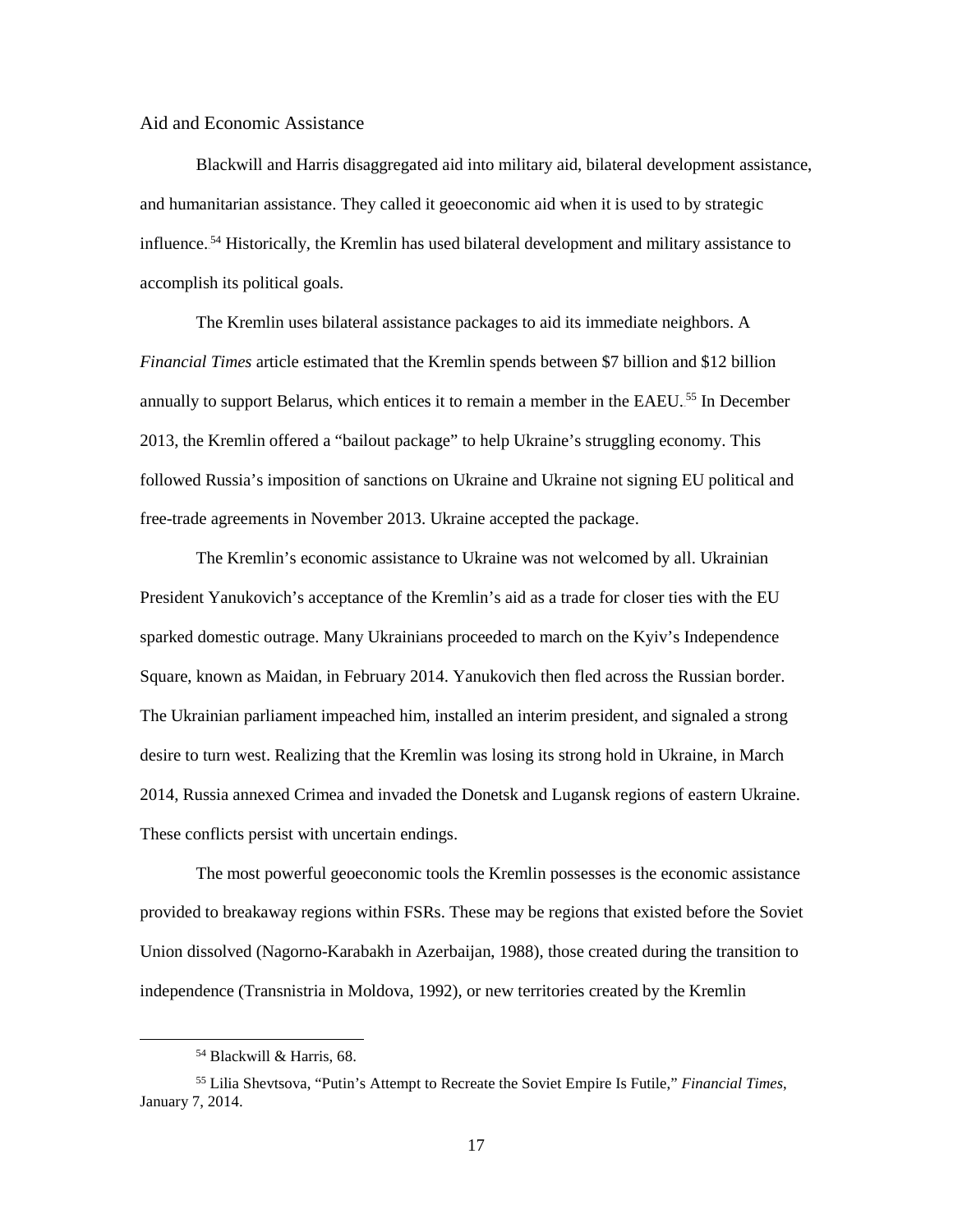#### Aid and Economic Assistance

Blackwill and Harris disaggregated aid into military aid, bilateral development assistance, and humanitarian assistance. They called it geoeconomic aid when it is used to by strategic influence.<sup>54</sup> Historically, the Kremlin has used bilateral development and military assistance to accomplish its political goals.

The Kremlin uses bilateral assistance packages to aid its immediate neighbors. A *Financial Times* article estimated that the Kremlin spends between \$7 billion and \$12 billion annually to support Belarus, which entices it to remain a member in the EAEU.<sup>55</sup> In December 2013, the Kremlin offered a "bailout package" to help Ukraine's struggling economy. This followed Russia's imposition of sanctions on Ukraine and Ukraine not signing EU political and free-trade agreements in November 2013. Ukraine accepted the package.

The Kremlin's economic assistance to Ukraine was not welcomed by all. Ukrainian President Yanukovich's acceptance of the Kremlin's aid as a trade for closer ties with the EU sparked domestic outrage. Many Ukrainians proceeded to march on the Kyiv's Independence Square, known as Maidan, in February 2014. Yanukovich then fled across the Russian border. The Ukrainian parliament impeached him, installed an interim president, and signaled a strong desire to turn west. Realizing that the Kremlin was losing its strong hold in Ukraine, in March 2014, Russia annexed Crimea and invaded the Donetsk and Lugansk regions of eastern Ukraine. These conflicts persist with uncertain endings.

 The most powerful geoeconomic tools the Kremlin possesses is the economic assistance provided to breakaway regions within FSRs. These may be regions that existed before the Soviet Union dissolved (Nagorno-Karabakh in Azerbaijan, 1988), those created during the transition to independence (Transnistria in Moldova, 1992), or new territories created by the Kremlin

<sup>54</sup> Blackwill & Harris, 68.

<sup>55</sup> Lilia Shevtsova, "Putin's Attempt to Recreate the Soviet Empire Is Futile," *Financial Times*, January 7, 2014.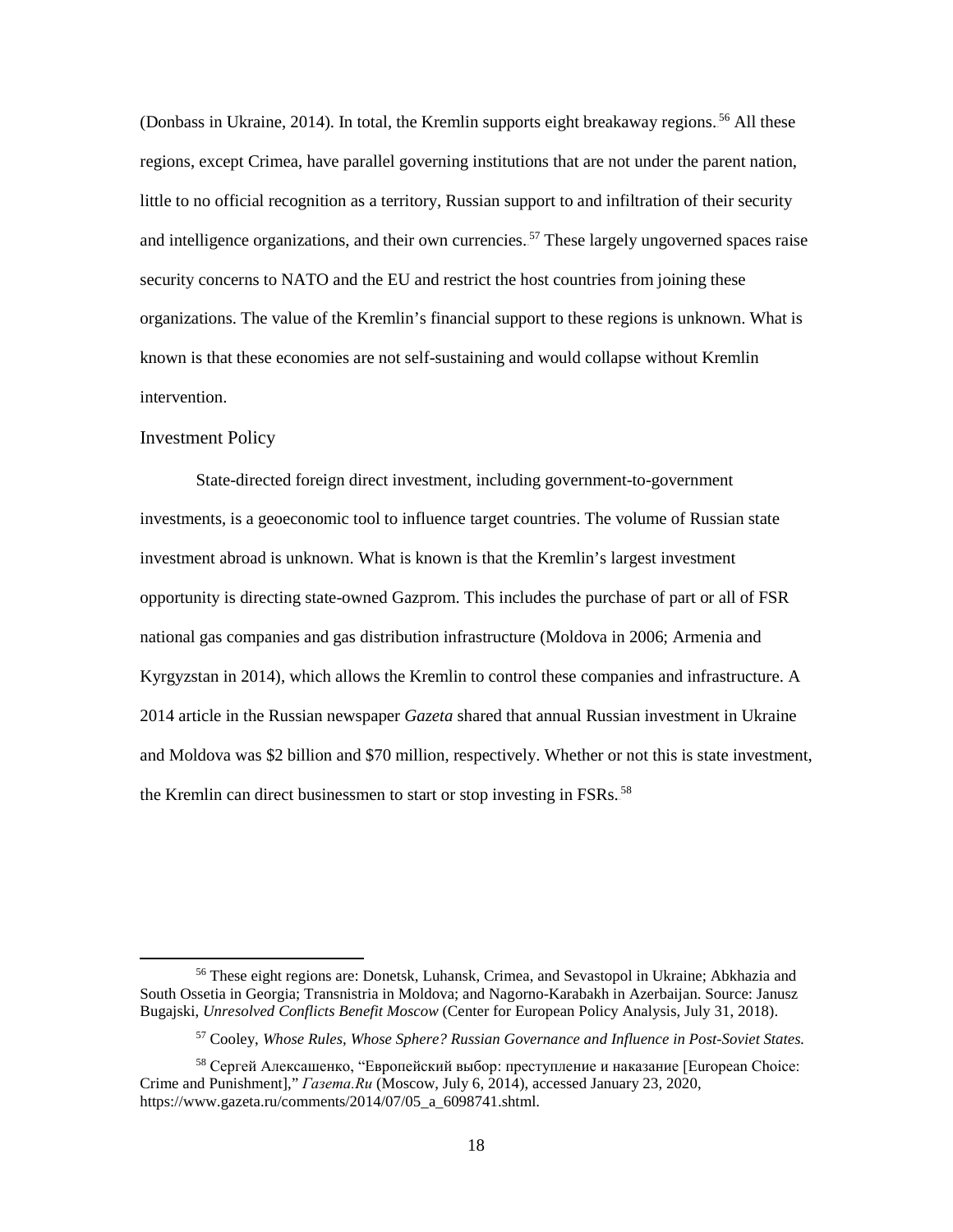(Donbass in Ukraine, 2014). In total, the Kremlin supports eight breakaway regions.<sup>56</sup> All these regions, except Crimea, have parallel governing institutions that are not under the parent nation, little to no official recognition as a territory, Russian support to and infiltration of their security and intelligence organizations, and their own currencies.<sup>57</sup> These largely ungoverned spaces raise security concerns to NATO and the EU and restrict the host countries from joining these organizations. The value of the Kremlin's financial support to these regions is unknown. What is known is that these economies are not self-sustaining and would collapse without Kremlin intervention.

#### Investment Policy

l

State-directed foreign direct investment, including government-to-government investments, is a geoeconomic tool to influence target countries. The volume of Russian state investment abroad is unknown. What is known is that the Kremlin's largest investment opportunity is directing state-owned Gazprom. This includes the purchase of part or all of FSR national gas companies and gas distribution infrastructure (Moldova in 2006; Armenia and Kyrgyzstan in 2014), which allows the Kremlin to control these companies and infrastructure. A 2014 article in the Russian newspaper *Gazeta* shared that annual Russian investment in Ukraine and Moldova was \$2 billion and \$70 million, respectively. Whether or not this is state investment, the Kremlin can direct businessmen to start or stop investing in FSRs.<sup>58</sup>

<sup>56</sup> These eight regions are: Donetsk, Luhansk, Crimea, and Sevastopol in Ukraine; Abkhazia and South Ossetia in Georgia; Transnistria in Moldova; and Nagorno-Karabakh in Azerbaijan. Source: Janusz Bugajski, *Unresolved Conflicts Benefit Moscow* (Center for European Policy Analysis, July 31, 2018).

<sup>57</sup> Cooley, *Whose Rules, Whose Sphere? Russian Governance and Influence in Post-Soviet States.*

<sup>&</sup>lt;sup>58</sup> Сергей Алексашенко, "Европейский выбор: преступление и наказание [European Choice: Crime and Punishment]," *Газета.Ru* (Moscow, July 6, 2014), accessed January 23, 2020, https://www.gazeta.ru/comments/2014/07/05\_a\_6098741.shtml.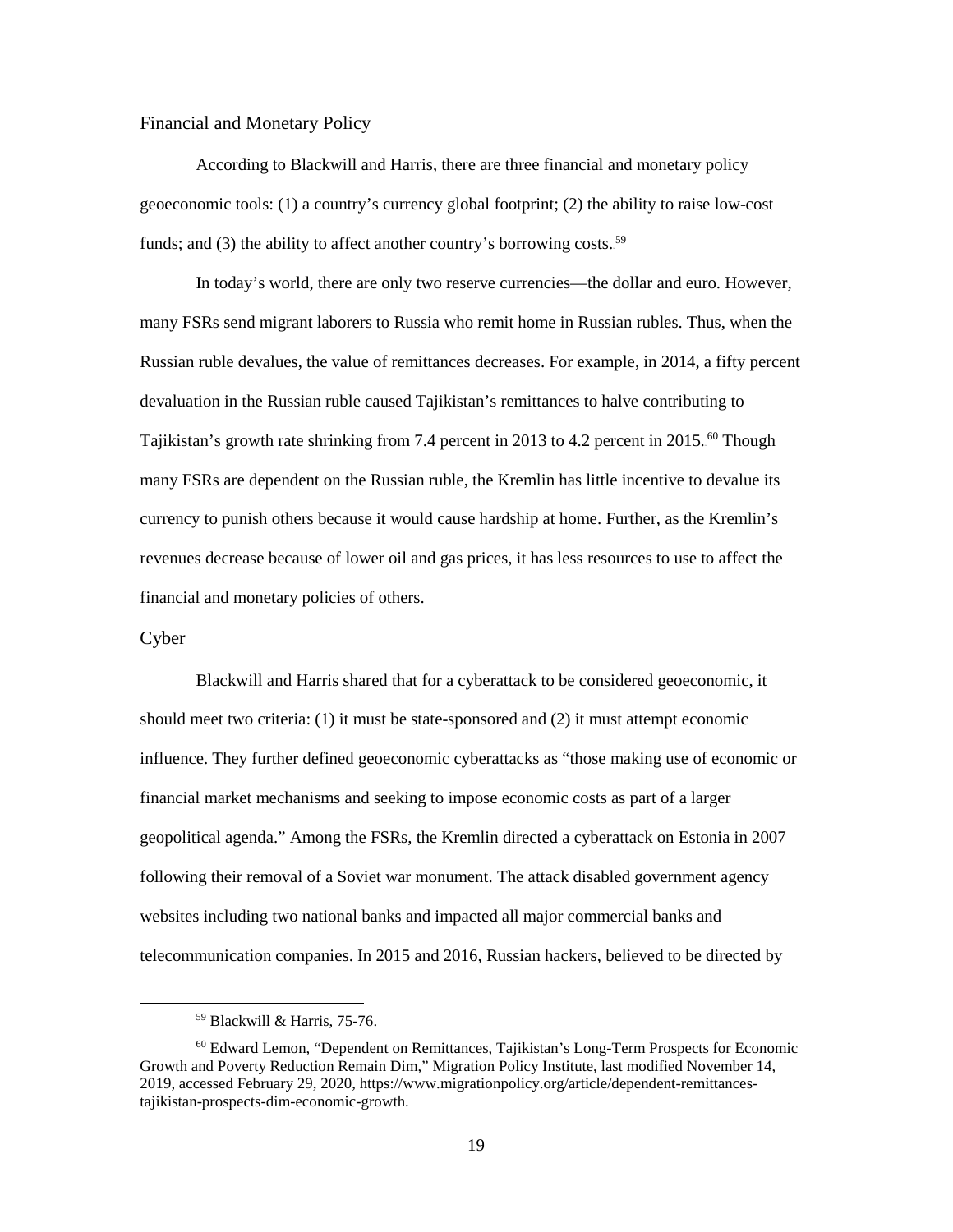#### Financial and Monetary Policy

According to Blackwill and Harris, there are three financial and monetary policy geoeconomic tools: (1) a country's currency global footprint; (2) the ability to raise low-cost funds; and (3) the ability to affect another country's borrowing costs.<sup>59</sup>

In today's world, there are only two reserve currencies—the dollar and euro. However, many FSRs send migrant laborers to Russia who remit home in Russian rubles. Thus, when the Russian ruble devalues, the value of remittances decreases. For example, in 2014, a fifty percent devaluation in the Russian ruble caused Tajikistan's remittances to halve contributing to Tajikistan's growth rate shrinking from 7.4 percent in 2013 to 4.2 percent in 2015.<sup>60</sup> Though many FSRs are dependent on the Russian ruble, the Kremlin has little incentive to devalue its currency to punish others because it would cause hardship at home. Further, as the Kremlin's revenues decrease because of lower oil and gas prices, it has less resources to use to affect the financial and monetary policies of others.

#### Cyber

 $\overline{\phantom{a}}$ 

 Blackwill and Harris shared that for a cyberattack to be considered geoeconomic, it should meet two criteria: (1) it must be state-sponsored and (2) it must attempt economic influence. They further defined geoeconomic cyberattacks as "those making use of economic or financial market mechanisms and seeking to impose economic costs as part of a larger geopolitical agenda." Among the FSRs, the Kremlin directed a cyberattack on Estonia in 2007 following their removal of a Soviet war monument. The attack disabled government agency websites including two national banks and impacted all major commercial banks and telecommunication companies. In 2015 and 2016, Russian hackers, believed to be directed by

<sup>59</sup> Blackwill & Harris, 75-76.

<sup>60</sup> Edward Lemon, "Dependent on Remittances, Tajikistan's Long-Term Prospects for Economic Growth and Poverty Reduction Remain Dim," Migration Policy Institute, last modified November 14, 2019, accessed February 29, 2020, https://www.migrationpolicy.org/article/dependent-remittancestajikistan-prospects-dim-economic-growth.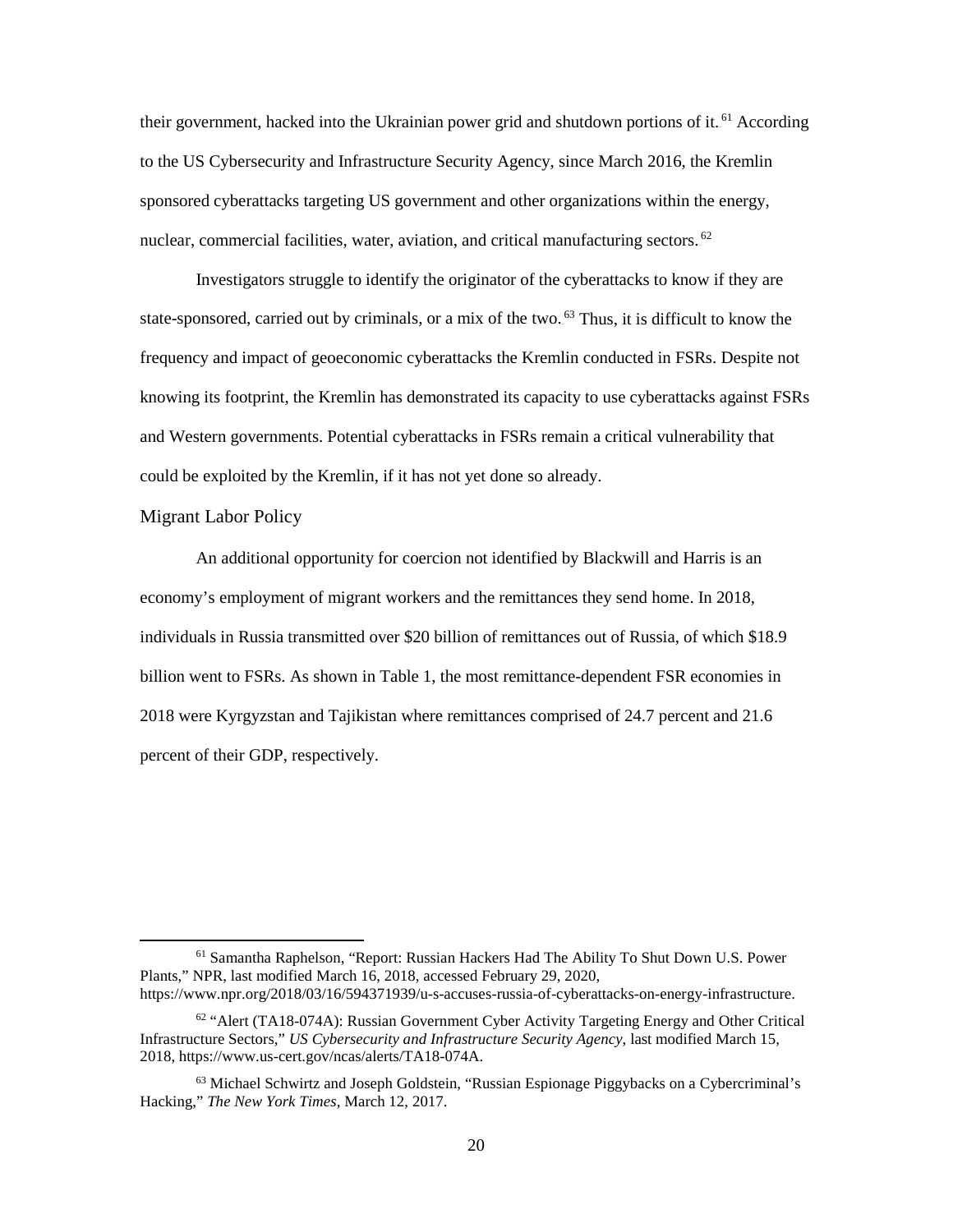their government, hacked into the Ukrainian power grid and shutdown portions of it.<sup>61</sup> According to the US Cybersecurity and Infrastructure Security Agency, since March 2016, the Kremlin sponsored cyberattacks targeting US government and other organizations within the energy, nuclear, commercial facilities, water, aviation, and critical manufacturing sectors.<sup>62</sup>

Investigators struggle to identify the originator of the cyberattacks to know if they are state-sponsored, carried out by criminals, or a mix of the two.<sup>63</sup> Thus, it is difficult to know the frequency and impact of geoeconomic cyberattacks the Kremlin conducted in FSRs. Despite not knowing its footprint, the Kremlin has demonstrated its capacity to use cyberattacks against FSRs and Western governments. Potential cyberattacks in FSRs remain a critical vulnerability that could be exploited by the Kremlin, if it has not yet done so already.

#### Migrant Labor Policy

<span id="page-28-0"></span>l

An additional opportunity for coercion not identified by Blackwill and Harris is an economy's employment of migrant workers and the remittances they send home. In 2018, individuals in Russia transmitted over \$20 billion of remittances out of Russia, of which \$18.9 billion went to FSRs. As shown in Table 1, the most remittance-dependent FSR economies in 2018 were Kyrgyzstan and Tajikistan where remittances comprised of 24.7 percent and 21.6 percent of their GDP, respectively.

<sup>61</sup> Samantha Raphelson, "Report: Russian Hackers Had The Ability To Shut Down U.S. Power Plants," NPR, last modified March 16, 2018, accessed February 29, 2020, https://www.npr.org/2018/03/16/594371939/u-s-accuses-russia-of-cyberattacks-on-energy-infrastructure.

 $62$  "Alert (TA18-074A): Russian Government Cyber Activity Targeting Energy and Other Critical Infrastructure Sectors," *US Cybersecurity and Infrastructure Security Agency*, last modified March 15, 2018, https://www.us-cert.gov/ncas/alerts/TA18-074A.

 $63$  Michael Schwirtz and Joseph Goldstein, "Russian Espionage Piggybacks on a Cybercriminal's Hacking," *The New York Times*, March 12, 2017.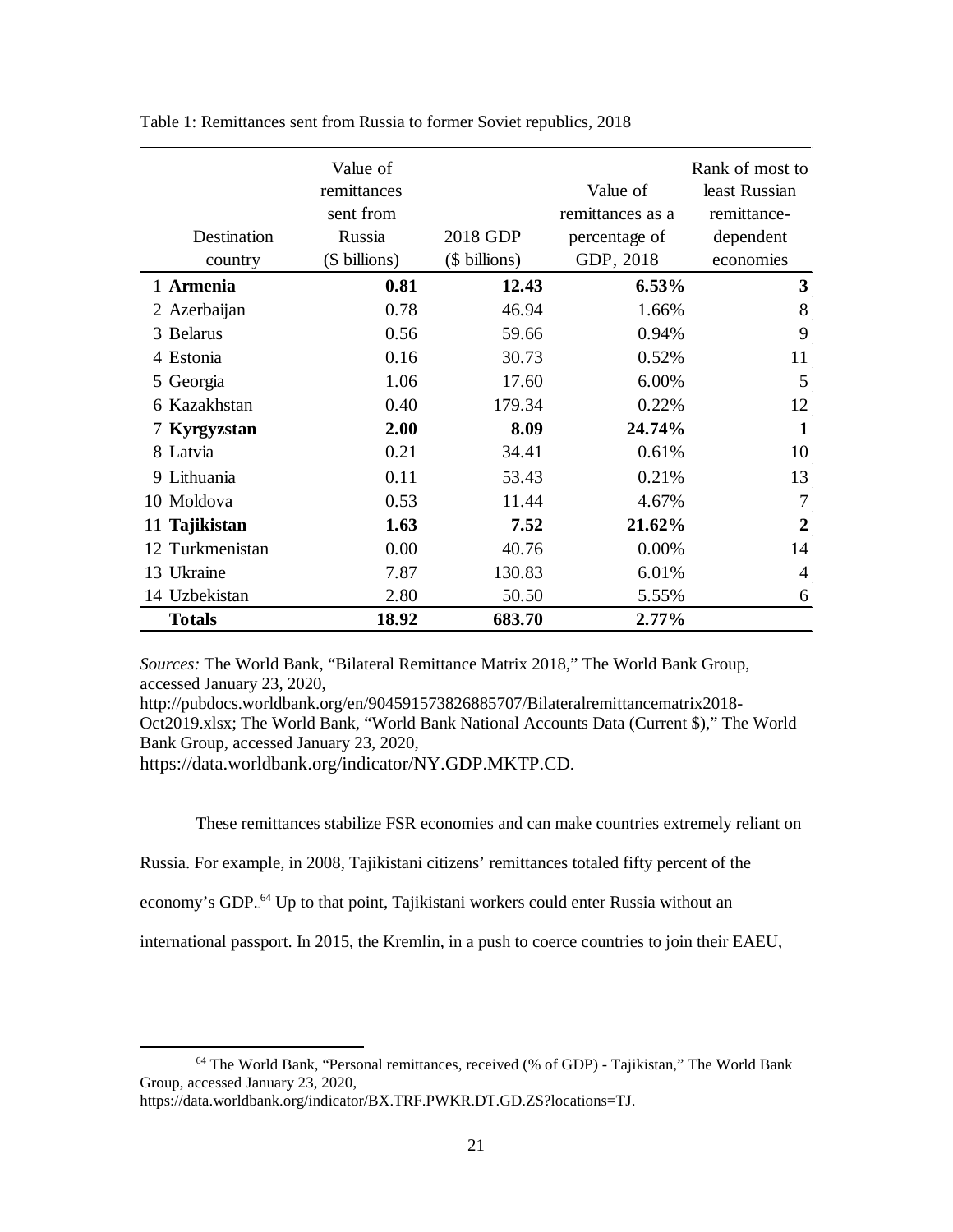| Destination<br>country | Value of<br>remittances<br>sent from<br>Russia<br>(\$ billions) | 2018 GDP<br>(\$ billions) | Value of<br>remittances as a<br>percentage of<br>GDP, 2018 | Rank of most to<br>least Russian<br>remittance-<br>dependent<br>economies |
|------------------------|-----------------------------------------------------------------|---------------------------|------------------------------------------------------------|---------------------------------------------------------------------------|
| 1 Armenia              | 0.81                                                            | 12.43                     | 6.53%                                                      | 3                                                                         |
| 2 Azerbaijan           | 0.78                                                            | 46.94                     | 1.66%                                                      | 8                                                                         |
| 3 Belarus              | 0.56                                                            | 59.66                     | 0.94%                                                      | 9                                                                         |
| 4 Estonia              | 0.16                                                            | 30.73                     | 0.52%                                                      | 11                                                                        |
| 5 Georgia              | 1.06                                                            | 17.60                     | 6.00%                                                      | 5                                                                         |
| 6 Kazakhstan           | 0.40                                                            | 179.34                    | 0.22%                                                      | 12                                                                        |
| 7 Kyrgyzstan           | 2.00                                                            | 8.09                      | 24.74%                                                     | 1                                                                         |
| 8 Latvia               | 0.21                                                            | 34.41                     | 0.61%                                                      | 10                                                                        |
| 9 Lithuania            | 0.11                                                            | 53.43                     | 0.21%                                                      | 13                                                                        |
| 10 Moldova             | 0.53                                                            | 11.44                     | 4.67%                                                      | 7                                                                         |
| 11 Tajikistan          | 1.63                                                            | 7.52                      | 21.62%                                                     | 2                                                                         |
| 12 Turkmenistan        | 0.00                                                            | 40.76                     | 0.00%                                                      | 14                                                                        |
| 13 Ukraine             | 7.87                                                            | 130.83                    | 6.01%                                                      | 4                                                                         |
| 14 Uzbekistan          | 2.80                                                            | 50.50                     | 5.55%                                                      | 6                                                                         |
| <b>Totals</b>          | 18.92                                                           | 683.70                    | 2.77%                                                      |                                                                           |

Table 1: Remittances sent from Russia to former Soviet republics, 2018

*Sources:* The World Bank, "Bilateral Remittance Matrix 2018," The World Bank Group, accessed January 23, 2020,

http://pubdocs.worldbank.org/en/904591573826885707/Bilateralremittancematrix2018- Oct2019.xlsx; The World Bank, "World Bank National Accounts Data (Current \$)," The World Bank Group, accessed January 23, 2020,

https://data.worldbank.org/indicator/NY.GDP.MKTP.CD.

These remittances stabilize FSR economies and can make countries extremely reliant on

Russia. For example, in 2008, Tajikistani citizens' remittances totaled fifty percent of the

economy's GDP.<sup>64</sup> Up to that point, Tajikistani workers could enter Russia without an

international passport. In 2015, the Kremlin, in a push to coerce countries to join their EAEU,

 $\overline{\phantom{a}}$ 

<sup>64</sup> The World Bank, "Personal remittances, received (% of GDP) - Tajikistan," The World Bank Group, accessed January 23, 2020,

https://data.worldbank.org/indicator/BX.TRF.PWKR.DT.GD.ZS?locations=TJ.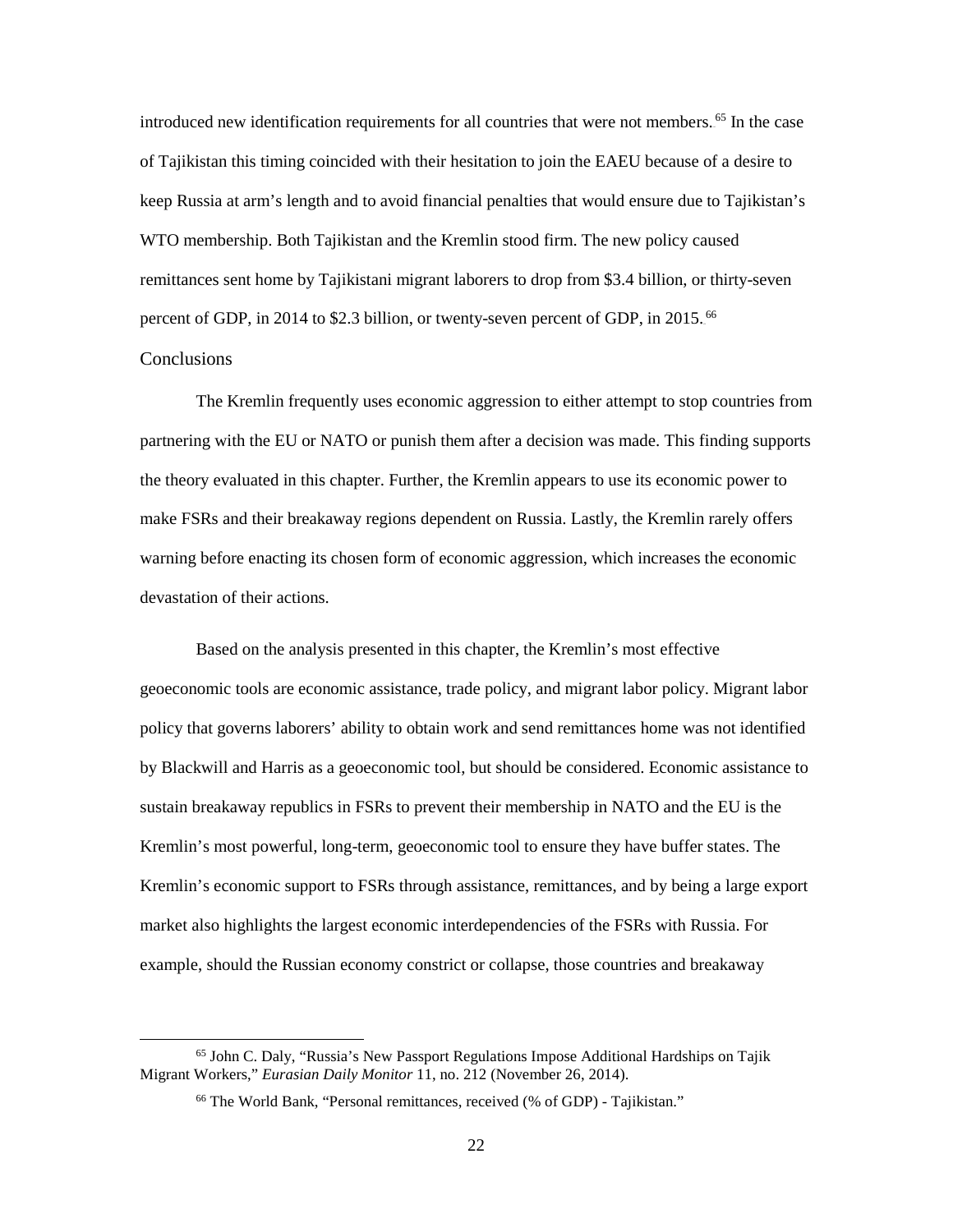introduced new identification requirements for all countries that were not members.<sup>65</sup> In the case of Tajikistan this timing coincided with their hesitation to join the EAEU because of a desire to keep Russia at arm's length and to avoid financial penalties that would ensure due to Tajikistan's WTO membership. Both Tajikistan and the Kremlin stood firm. The new policy caused remittances sent home by Tajikistani migrant laborers to drop from \$3.4 billion, or thirty-seven percent of GDP, in 2014 to \$2.3 billion, or twenty-seven percent of GDP, in 2015.<sup>66</sup> **Conclusions** 

l

The Kremlin frequently uses economic aggression to either attempt to stop countries from partnering with the EU or NATO or punish them after a decision was made. This finding supports the theory evaluated in this chapter. Further, the Kremlin appears to use its economic power to make FSRs and their breakaway regions dependent on Russia. Lastly, the Kremlin rarely offers warning before enacting its chosen form of economic aggression, which increases the economic devastation of their actions.

Based on the analysis presented in this chapter, the Kremlin's most effective geoeconomic tools are economic assistance, trade policy, and migrant labor policy. Migrant labor policy that governs laborers' ability to obtain work and send remittances home was not identified by Blackwill and Harris as a geoeconomic tool, but should be considered. Economic assistance to sustain breakaway republics in FSRs to prevent their membership in NATO and the EU is the Kremlin's most powerful, long-term, geoeconomic tool to ensure they have buffer states. The Kremlin's economic support to FSRs through assistance, remittances, and by being a large export market also highlights the largest economic interdependencies of the FSRs with Russia. For example, should the Russian economy constrict or collapse, those countries and breakaway

<sup>65</sup> John C. Daly, "Russia's New Passport Regulations Impose Additional Hardships on Tajik Migrant Workers," *Eurasian Daily Monitor* 11, no. 212 (November 26, 2014).

<sup>66</sup> The World Bank, "Personal remittances, received (% of GDP) - Tajikistan."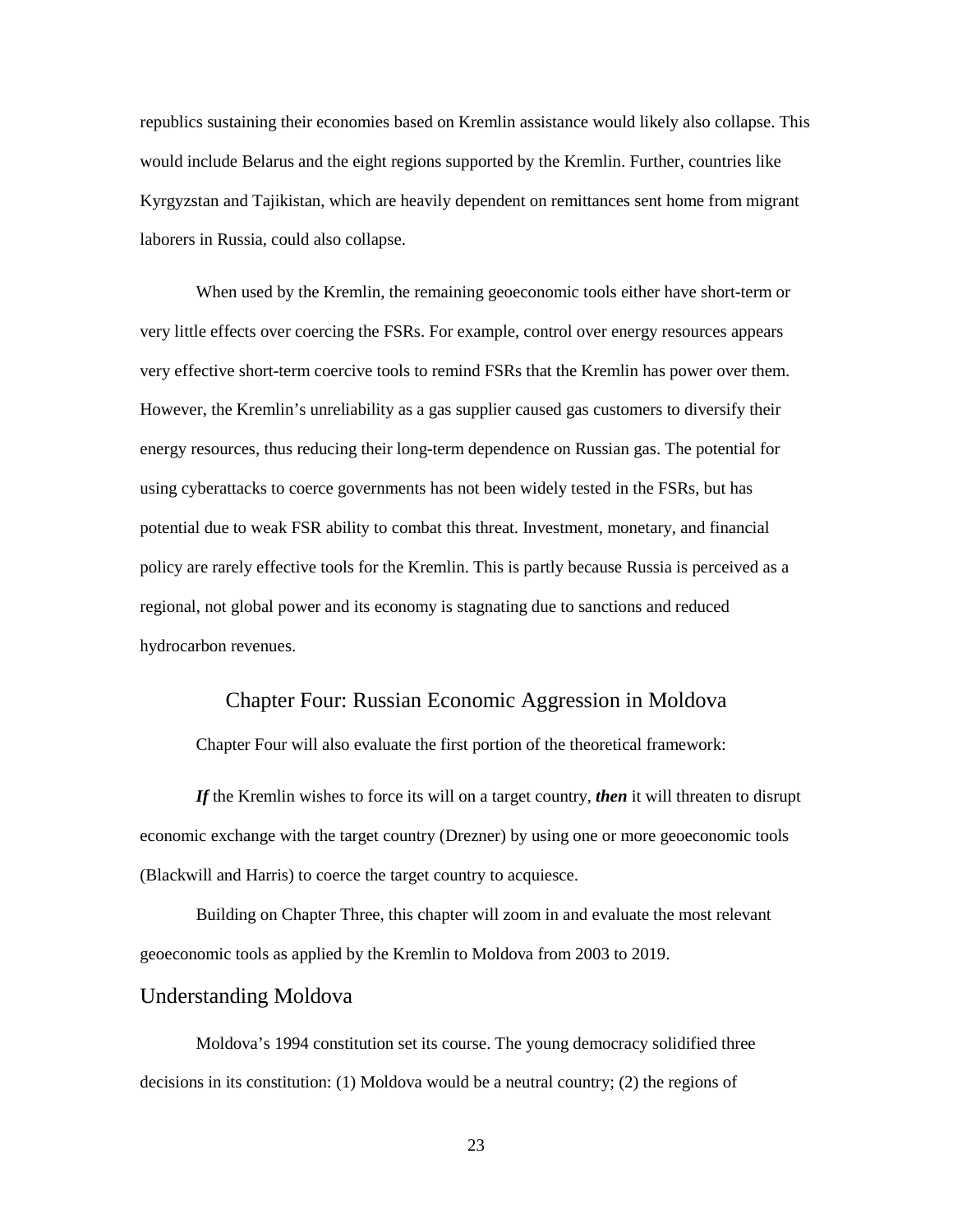republics sustaining their economies based on Kremlin assistance would likely also collapse. This would include Belarus and the eight regions supported by the Kremlin. Further, countries like Kyrgyzstan and Tajikistan, which are heavily dependent on remittances sent home from migrant laborers in Russia, could also collapse.

When used by the Kremlin, the remaining geoeconomic tools either have short-term or very little effects over coercing the FSRs. For example, control over energy resources appears very effective short-term coercive tools to remind FSRs that the Kremlin has power over them. However, the Kremlin's unreliability as a gas supplier caused gas customers to diversify their energy resources, thus reducing their long-term dependence on Russian gas. The potential for using cyberattacks to coerce governments has not been widely tested in the FSRs, but has potential due to weak FSR ability to combat this threat. Investment, monetary, and financial policy are rarely effective tools for the Kremlin. This is partly because Russia is perceived as a regional, not global power and its economy is stagnating due to sanctions and reduced hydrocarbon revenues.

#### Chapter Four: Russian Economic Aggression in Moldova

<span id="page-31-0"></span>Chapter Four will also evaluate the first portion of the theoretical framework:

*If* the Kremlin wishes to force its will on a target country, *then* it will threaten to disrupt economic exchange with the target country (Drezner) by using one or more geoeconomic tools (Blackwill and Harris) to coerce the target country to acquiesce.

Building on Chapter Three, this chapter will zoom in and evaluate the most relevant geoeconomic tools as applied by the Kremlin to Moldova from 2003 to 2019.

#### Understanding Moldova

Moldova's 1994 constitution set its course. The young democracy solidified three decisions in its constitution: (1) Moldova would be a neutral country; (2) the regions of

23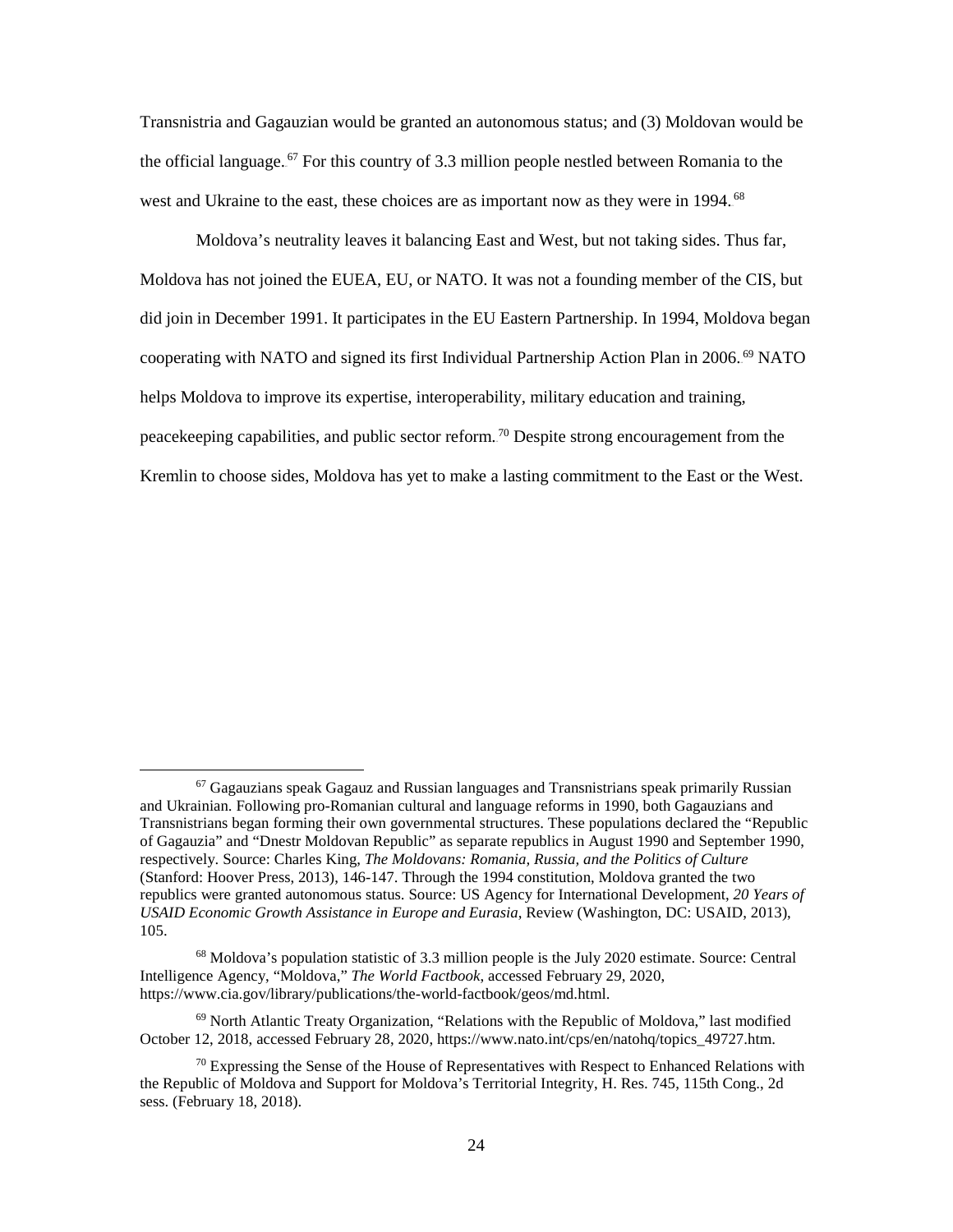Transnistria and Gagauzian would be granted an autonomous status; and (3) Moldovan would be the official language.<sup>67</sup> For this country of 3.3 million people nestled between Romania to the west and Ukraine to the east, these choices are as important now as they were in 1994.<sup>68</sup>

Moldova's neutrality leaves it balancing East and West, but not taking sides. Thus far, Moldova has not joined the EUEA, EU, or NATO. It was not a founding member of the CIS, but did join in December 1991. It participates in the EU Eastern Partnership. In 1994, Moldova began cooperating with NATO and signed its first Individual Partnership Action Plan in 2006.<sup>69</sup> NATO helps Moldova to improve its expertise, interoperability, military education and training, peacekeeping capabilities, and public sector reform.<sup>70</sup> Despite strong encouragement from the Kremlin to choose sides, Moldova has yet to make a lasting commitment to the East or the West.

 $\overline{\phantom{a}}$ 

<sup>67</sup> Gagauzians speak Gagauz and Russian languages and Transnistrians speak primarily Russian and Ukrainian. Following pro-Romanian cultural and language reforms in 1990, both Gagauzians and Transnistrians began forming their own governmental structures. These populations declared the "Republic of Gagauzia" and "Dnestr Moldovan Republic" as separate republics in August 1990 and September 1990, respectively. Source: Charles King, *The Moldovans: Romania, Russia, and the Politics of Culture* (Stanford: Hoover Press, 2013), 146-147. Through the 1994 constitution, Moldova granted the two republics were granted autonomous status. Source: US Agency for International Development, *20 Years of USAID Economic Growth Assistance in Europe and Eurasia*, Review (Washington, DC: USAID, 2013), 105.

<sup>68</sup> Moldova's population statistic of 3.3 million people is the July 2020 estimate. Source: Central Intelligence Agency, "Moldova," *The World Factbook*, accessed February 29, 2020, https://www.cia.gov/library/publications/the-world-factbook/geos/md.html.

 $69$  North Atlantic Treaty Organization, "Relations with the Republic of Moldova," last modified October 12, 2018, accessed February 28, 2020, https://www.nato.int/cps/en/natohq/topics\_49727.htm.

 $70$  Expressing the Sense of the House of Representatives with Respect to Enhanced Relations with the Republic of Moldova and Support for Moldova's Territorial Integrity, H. Res. 745, 115th Cong., 2d sess. (February 18, 2018).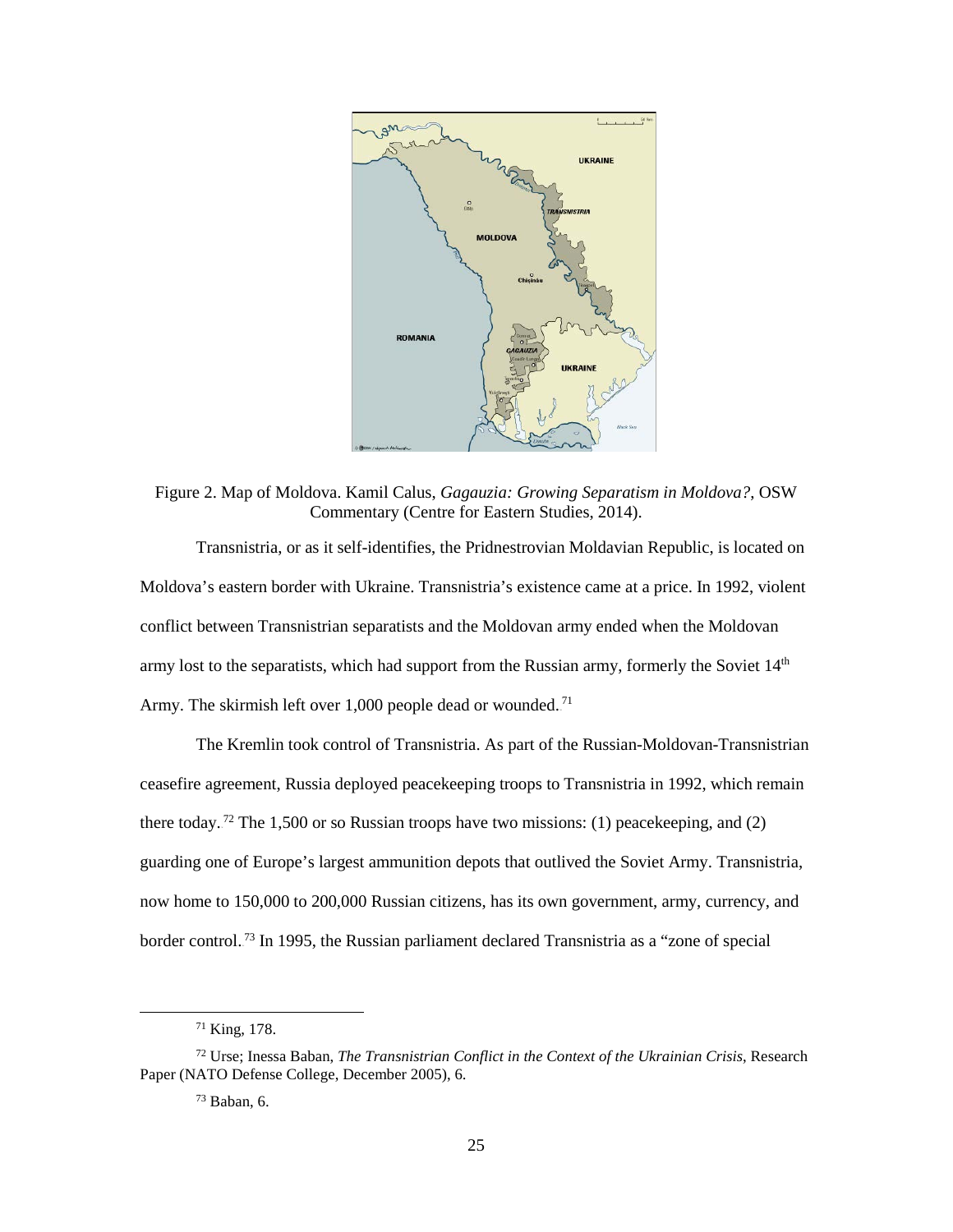

<span id="page-33-0"></span>Figure 2. Map of Moldova. Kamil Calus, *Gagauzia: Growing Separatism in Moldova?*, OSW Commentary (Centre for Eastern Studies, 2014).

Transnistria, or as it self-identifies, the Pridnestrovian Moldavian Republic, is located on Moldova's eastern border with Ukraine. Transnistria's existence came at a price. In 1992, violent conflict between Transnistrian separatists and the Moldovan army ended when the Moldovan army lost to the separatists, which had support from the Russian army, formerly the Soviet 14<sup>th</sup> Army. The skirmish left over  $1,000$  people dead or wounded.<sup>71</sup>

The Kremlin took control of Transnistria. As part of the Russian-Moldovan-Transnistrian ceasefire agreement, Russia deployed peacekeeping troops to Transnistria in 1992, which remain there today.<sup>72</sup> The 1,500 or so Russian troops have two missions: (1) peacekeeping, and (2) guarding one of Europe's largest ammunition depots that outlived the Soviet Army. Transnistria, now home to 150,000 to 200,000 Russian citizens, has its own government, army, currency, and border control.<sup>73</sup> In 1995, the Russian parliament declared Transnistria as a "zone of special

<sup>71</sup> King, 178.

<sup>72</sup> Urse; Inessa Baban, *The Transnistrian Conflict in the Context of the Ukrainian Crisis*, Research Paper (NATO Defense College, December 2005), 6.

 $73$  Baban, 6.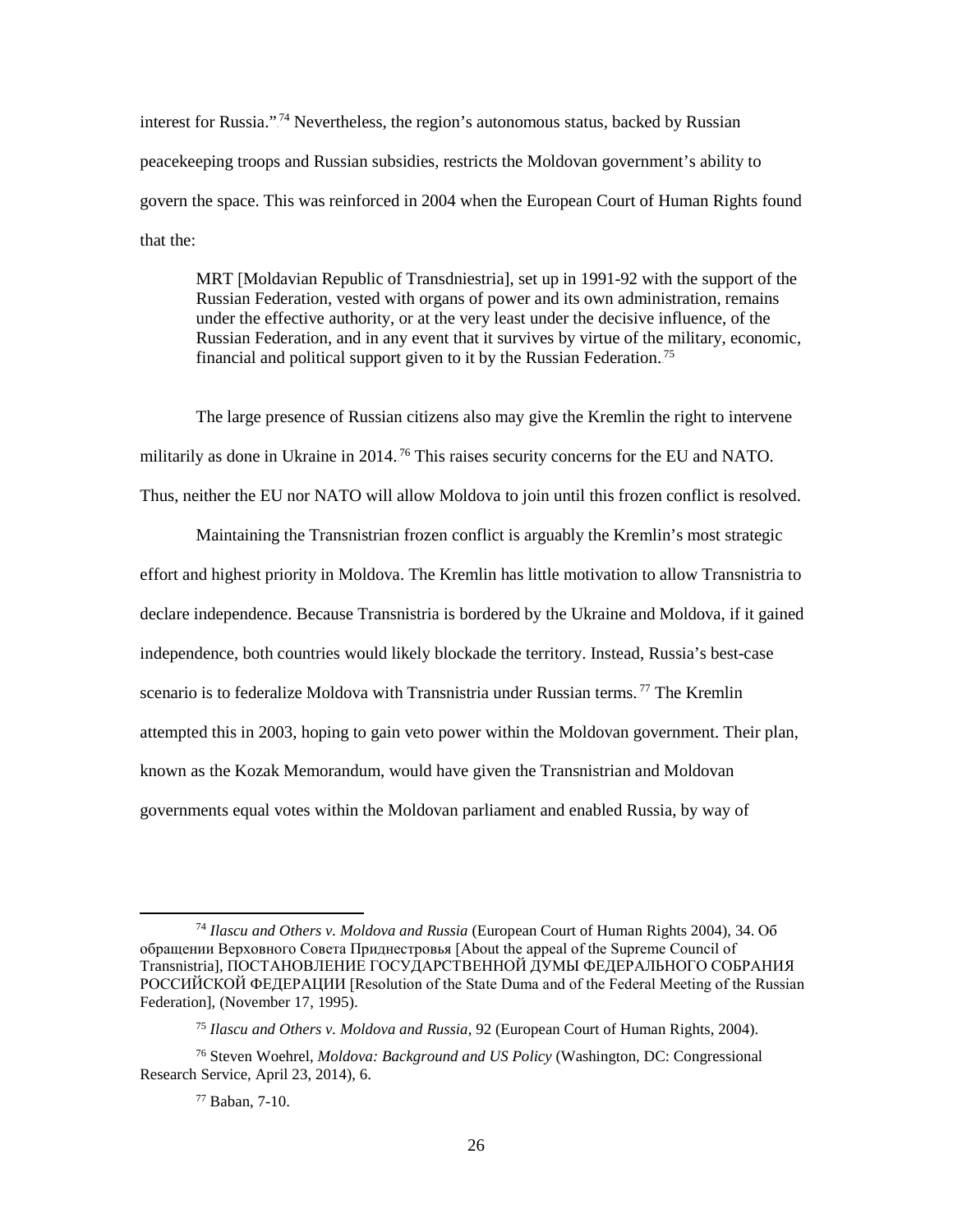interest for Russia."<sup>74</sup> Nevertheless, the region's autonomous status, backed by Russian peacekeeping troops and Russian subsidies, restricts the Moldovan government's ability to govern the space. This was reinforced in 2004 when the European Court of Human Rights found that the:

MRT [Moldavian Republic of Transdniestria], set up in 1991-92 with the support of the Russian Federation, vested with organs of power and its own administration, remains under the effective authority, or at the very least under the decisive influence, of the Russian Federation, and in any event that it survives by virtue of the military, economic, financial and political support given to it by the Russian Federation.<sup>75</sup>

The large presence of Russian citizens also may give the Kremlin the right to intervene militarily as done in Ukraine in 2014.<sup>76</sup> This raises security concerns for the EU and NATO. Thus, neither the EU nor NATO will allow Moldova to join until this frozen conflict is resolved.

Maintaining the Transnistrian frozen conflict is arguably the Kremlin's most strategic effort and highest priority in Moldova. The Kremlin has little motivation to allow Transnistria to declare independence. Because Transnistria is bordered by the Ukraine and Moldova, if it gained independence, both countries would likely blockade the territory. Instead, Russia's best-case scenario is to federalize Moldova with Transnistria under Russian terms.<sup>77</sup> The Kremlin attempted this in 2003, hoping to gain veto power within the Moldovan government. Their plan, known as the Kozak Memorandum, would have given the Transnistrian and Moldovan governments equal votes within the Moldovan parliament and enabled Russia, by way of

<sup>74</sup> *Ilascu and Others v. Moldova and Russia* (European Court of Human Rights 2004), 34. Об обращении Верховного Совета Приднестровья [About the appeal of the Supreme Council of Transnistria], ПОСТАНОВЛЕНИЕ ГОСУДАРСТВЕННОЙ ДУМЫ ФЕДЕРАЛЬНОГО СОБРАНИЯ РОССИЙСКОЙ ФЕДЕРАЦИИ [Resolution of the State Duma and of the Federal Meeting of the Russian Federation], (November 17, 1995).

<sup>75</sup> *Ilascu and Others v. Moldova and Russia*, 92 (European Court of Human Rights, 2004).

<sup>76</sup> Steven Woehrel, *Moldova: Background and US Policy* (Washington, DC: Congressional Research Service, April 23, 2014), 6.

<sup>77</sup> Baban, 7-10.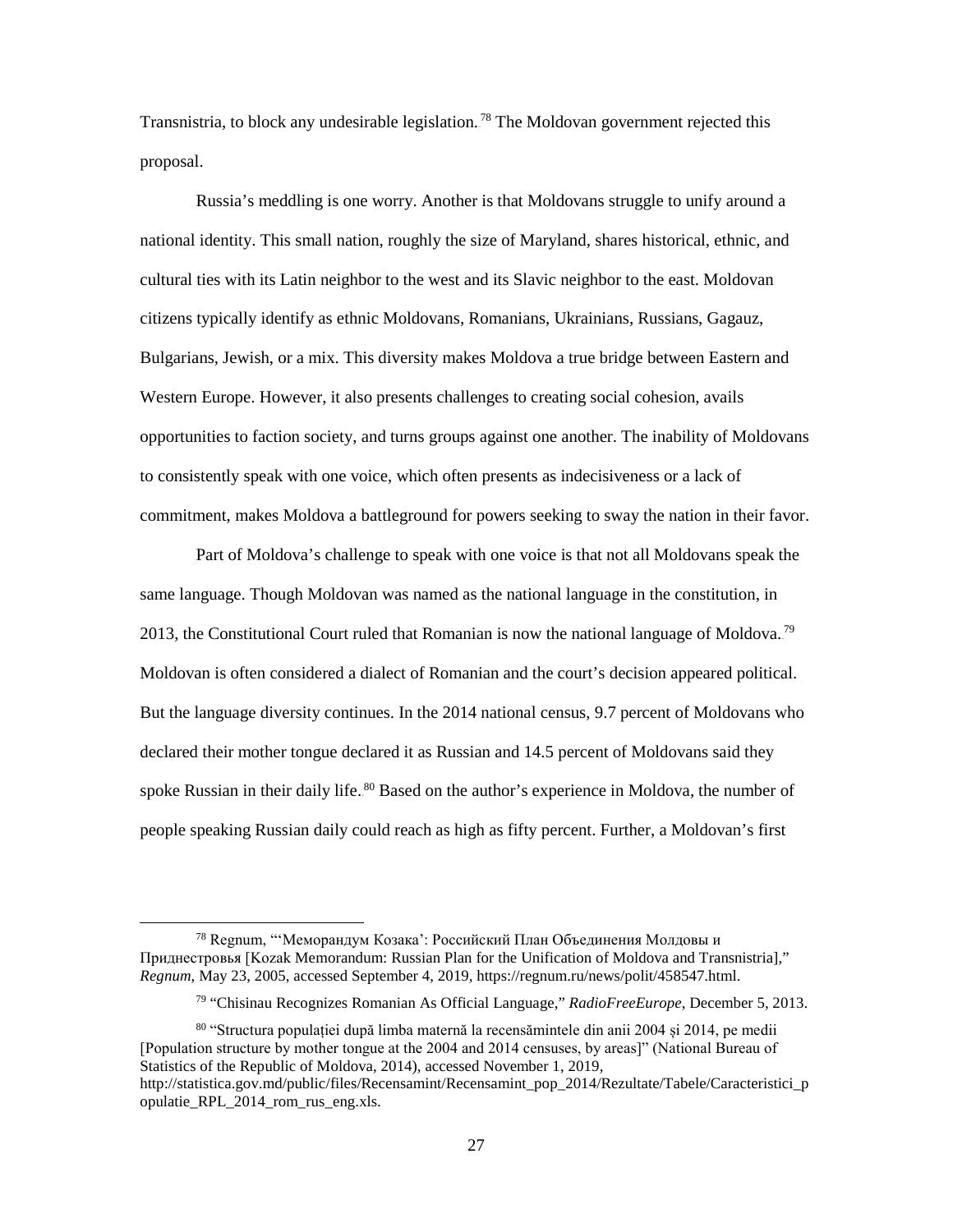Transnistria, to block any undesirable legislation.<sup>78</sup> The Moldovan government rejected this proposal.

Russia's meddling is one worry. Another is that Moldovans struggle to unify around a national identity. This small nation, roughly the size of Maryland, shares historical, ethnic, and cultural ties with its Latin neighbor to the west and its Slavic neighbor to the east. Moldovan citizens typically identify as ethnic Moldovans, Romanians, Ukrainians, Russians, Gagauz, Bulgarians, Jewish, or a mix. This diversity makes Moldova a true bridge between Eastern and Western Europe. However, it also presents challenges to creating social cohesion, avails opportunities to faction society, and turns groups against one another. The inability of Moldovans to consistently speak with one voice, which often presents as indecisiveness or a lack of commitment, makes Moldova a battleground for powers seeking to sway the nation in their favor.

Part of Moldova's challenge to speak with one voice is that not all Moldovans speak the same language. Though Moldovan was named as the national language in the constitution, in 2013, the Constitutional Court ruled that Romanian is now the national language of Moldova.<sup>79</sup> Moldovan is often considered a dialect of Romanian and the court's decision appeared political. But the language diversity continues. In the 2014 national census, 9.7 percent of Moldovans who declared their mother tongue declared it as Russian and 14.5 percent of Moldovans said they spoke Russian in their daily life. <sup>80</sup> Based on the author's experience in Moldova, the number of people speaking Russian daily could reach as high as fifty percent. Further, a Moldovan's first

<sup>&</sup>lt;sup>78</sup> Regnum, "'Меморандум Козака': Российский План Объединения Молдовы и Приднестровья [Kozak Memorandum: Russian Plan for the Unification of Moldova and Transnistria]," *Regnum*, May 23, 2005, accessed September 4, 2019, https://regnum.ru/news/polit/458547.html.

<sup>79</sup> "Chisinau Recognizes Romanian As Official Language," *RadioFreeEurope*, December 5, 2013.

<sup>80</sup> "Structura populației după limba maternă la recensămintele din anii 2004 și 2014, pe medii [Population structure by mother tongue at the 2004 and 2014 censuses, by areas]" (National Bureau of Statistics of the Republic of Moldova, 2014), accessed November 1, 2019,

http://statistica.gov.md/public/files/Recensamint/Recensamint\_pop\_2014/Rezultate/Tabele/Caracteristici\_p opulatie\_RPL\_2014\_rom\_rus\_eng.xls.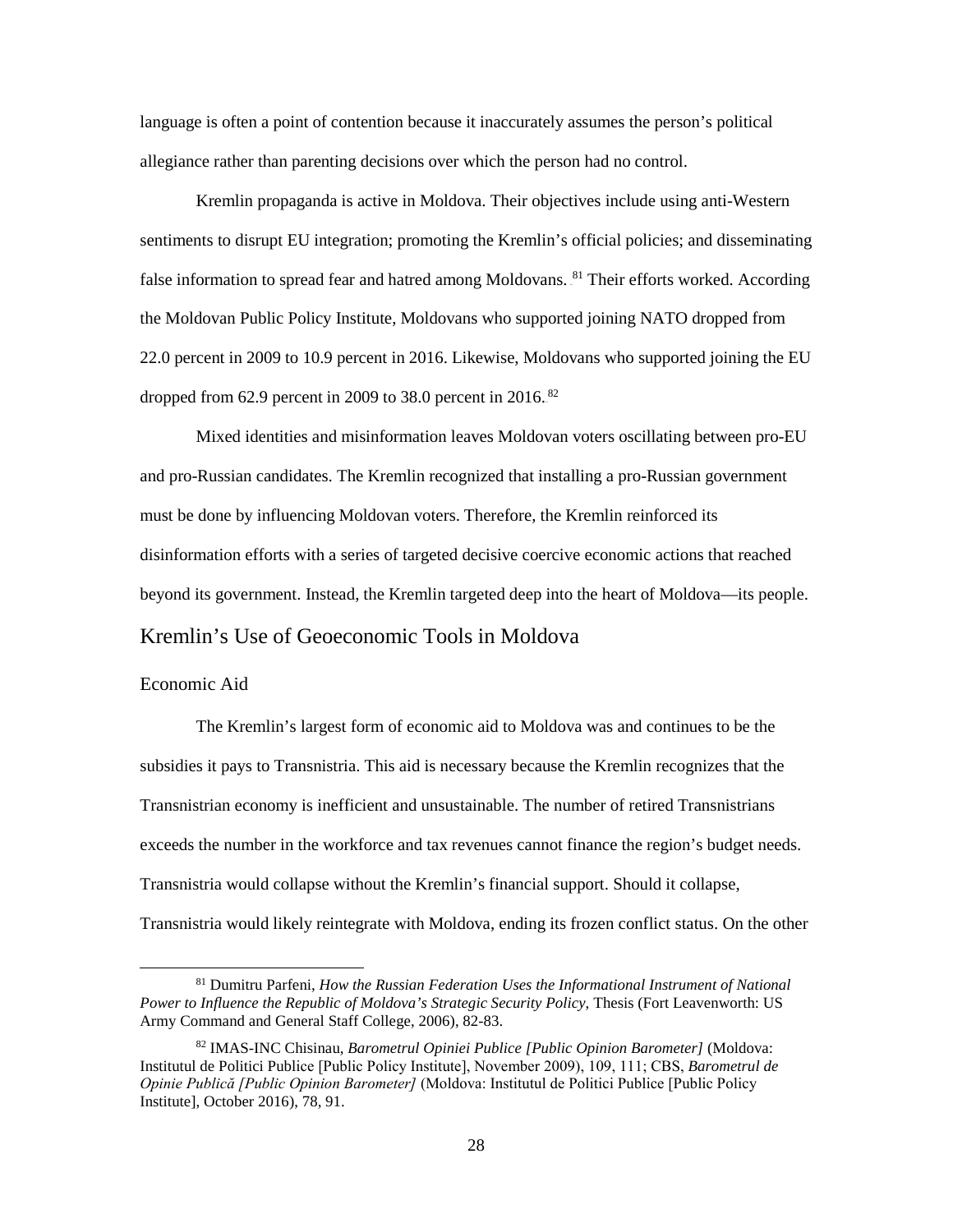language is often a point of contention because it inaccurately assumes the person's political allegiance rather than parenting decisions over which the person had no control.

Kremlin propaganda is active in Moldova. Their objectives include using anti-Western sentiments to disrupt EU integration; promoting the Kremlin's official policies; and disseminating false information to spread fear and hatred among Moldovans. <sup>81</sup> Their efforts worked. According the Moldovan Public Policy Institute, Moldovans who supported joining NATO dropped from 22.0 percent in 2009 to 10.9 percent in 2016. Likewise, Moldovans who supported joining the EU dropped from  $62.9$  percent in 2009 to 38.0 percent in 2016.<sup>82</sup>

Mixed identities and misinformation leaves Moldovan voters oscillating between pro-EU and pro-Russian candidates. The Kremlin recognized that installing a pro-Russian government must be done by influencing Moldovan voters. Therefore, the Kremlin reinforced its disinformation efforts with a series of targeted decisive coercive economic actions that reached beyond its government. Instead, the Kremlin targeted deep into the heart of Moldova—its people.

# Kremlin's Use of Geoeconomic Tools in Moldova

## Economic Aid

l

The Kremlin's largest form of economic aid to Moldova was and continues to be the subsidies it pays to Transnistria. This aid is necessary because the Kremlin recognizes that the Transnistrian economy is inefficient and unsustainable. The number of retired Transnistrians exceeds the number in the workforce and tax revenues cannot finance the region's budget needs. Transnistria would collapse without the Kremlin's financial support. Should it collapse, Transnistria would likely reintegrate with Moldova, ending its frozen conflict status. On the other

<sup>81</sup> Dumitru Parfeni, *How the Russian Federation Uses the Informational Instrument of National Power to Influence the Republic of Moldova's Strategic Security Policy*, Thesis (Fort Leavenworth: US Army Command and General Staff College, 2006), 82-83.

<sup>82</sup> IMAS-INC Chisinau, *Barometrul Opiniei Publice [Public Opinion Barometer]* (Moldova: Institutul de Politici Publice [Public Policy Institute], November 2009), 109, 111; CBS, *Barometrul de Opinie Publică [Public Opinion Barometer]* (Moldova: Institutul de Politici Publice [Public Policy Institute], October 2016), 78, 91.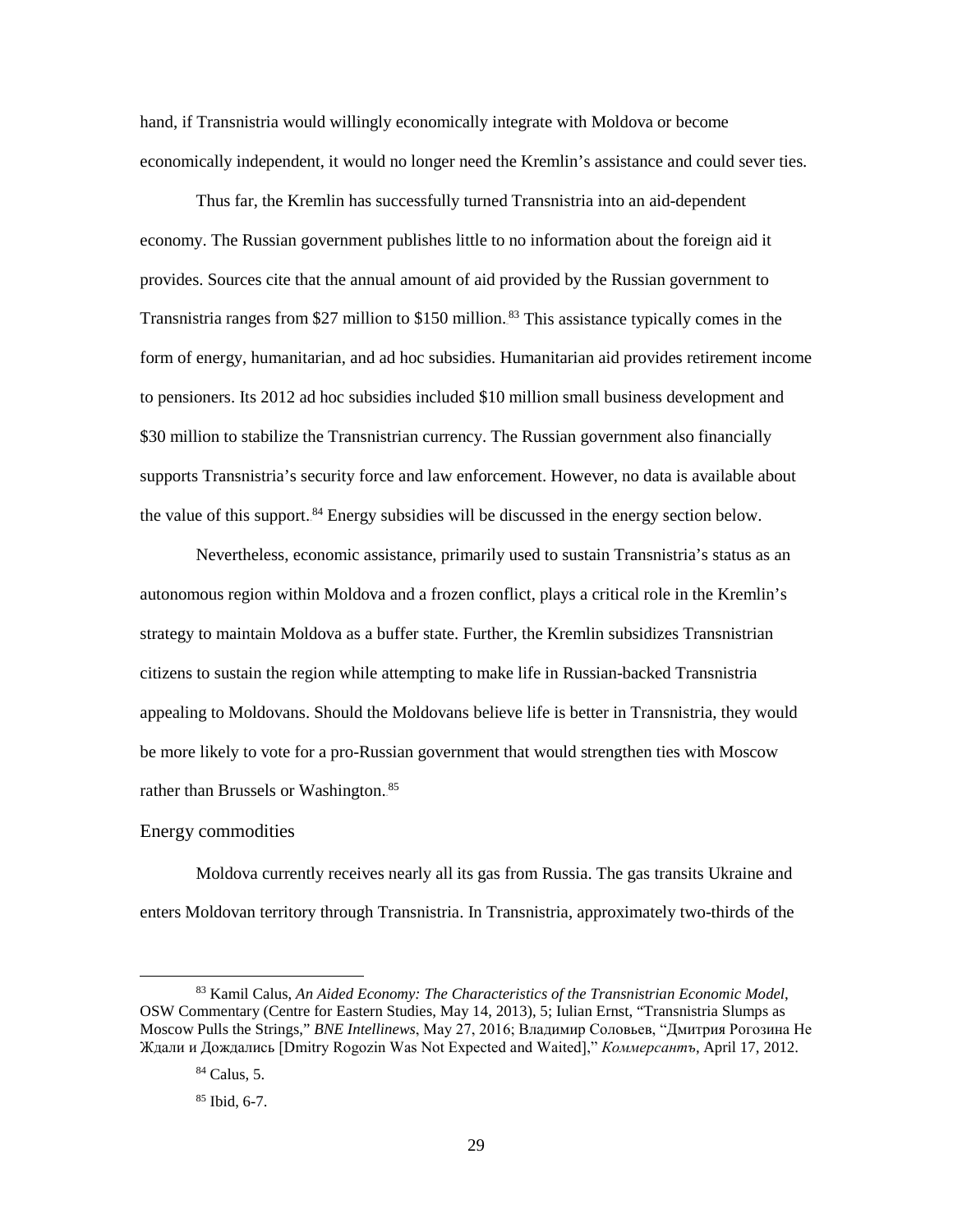hand, if Transnistria would willingly economically integrate with Moldova or become economically independent, it would no longer need the Kremlin's assistance and could sever ties.

Thus far, the Kremlin has successfully turned Transnistria into an aid-dependent economy. The Russian government publishes little to no information about the foreign aid it provides. Sources cite that the annual amount of aid provided by the Russian government to Transnistria ranges from \$27 million to \$150 million.<sup>83</sup> This assistance typically comes in the form of energy, humanitarian, and ad hoc subsidies. Humanitarian aid provides retirement income to pensioners. Its 2012 ad hoc subsidies included \$10 million small business development and \$30 million to stabilize the Transnistrian currency. The Russian government also financially supports Transnistria's security force and law enforcement. However, no data is available about the value of this support.<sup>84</sup> Energy subsidies will be discussed in the energy section below.

Nevertheless, economic assistance, primarily used to sustain Transnistria's status as an autonomous region within Moldova and a frozen conflict, plays a critical role in the Kremlin's strategy to maintain Moldova as a buffer state. Further, the Kremlin subsidizes Transnistrian citizens to sustain the region while attempting to make life in Russian-backed Transnistria appealing to Moldovans. Should the Moldovans believe life is better in Transnistria, they would be more likely to vote for a pro-Russian government that would strengthen ties with Moscow rather than Brussels or Washington.<sup>85</sup>

## Energy commodities

 $\overline{a}$ 

Moldova currently receives nearly all its gas from Russia. The gas transits Ukraine and enters Moldovan territory through Transnistria. In Transnistria, approximately two-thirds of the

<sup>83</sup> Kamil Calus, *An Aided Economy: The Characteristics of the Transnistrian Economic Model*, OSW Commentary (Centre for Eastern Studies, May 14, 2013), 5; Iulian Ernst, "Transnistria Slumps as Moscow Pulls the Strings," *BNE Intellinews*, May 27, 2016; Владимир Соловьев, "Дмитрия Рогозина Не Ждали и Дождались [Dmitry Rogozin Was Not Expected and Waited]," *Коммерсантъ*, April 17, 2012.

<sup>84</sup> Calus, 5.

<sup>85</sup> Ibid, 6-7.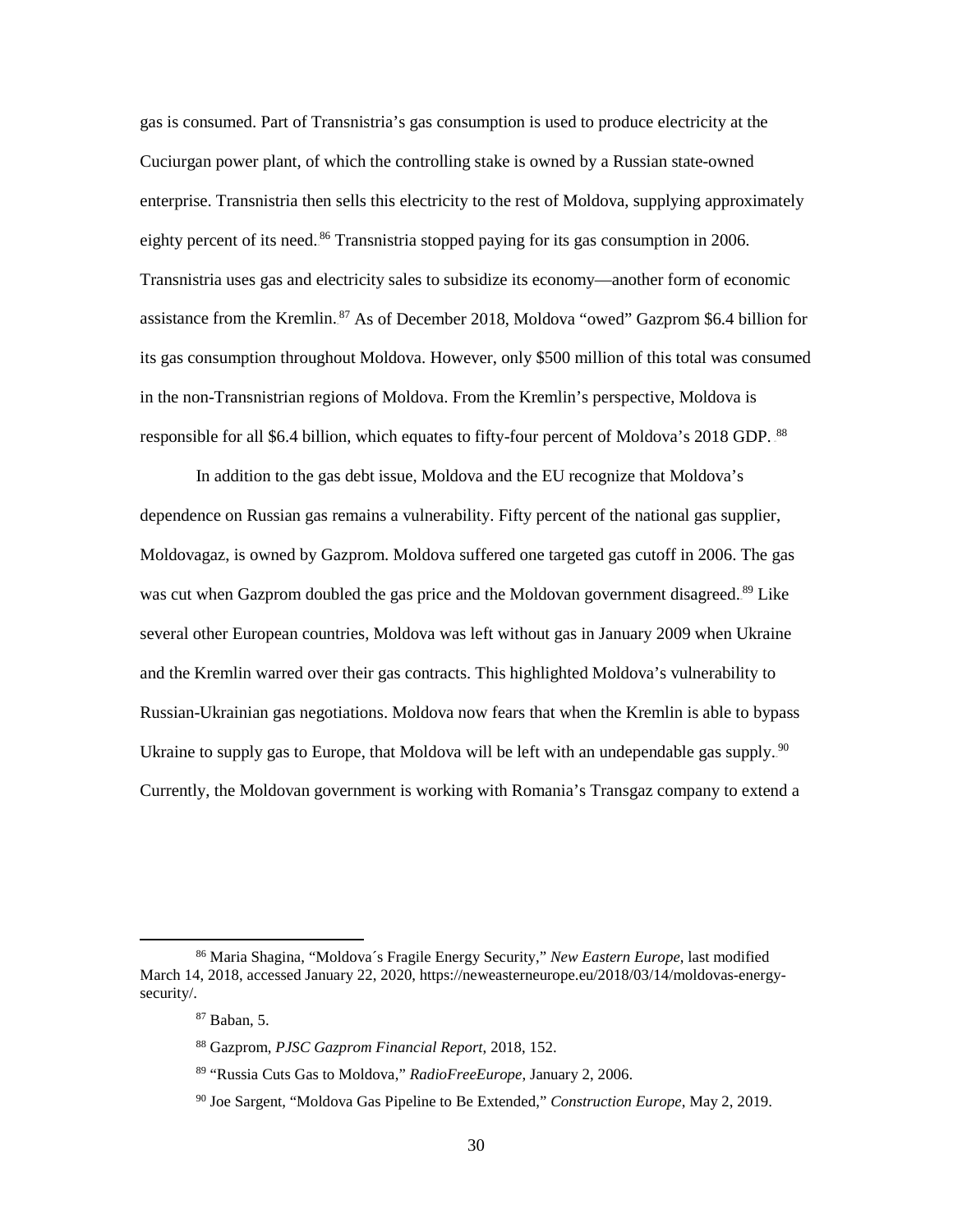gas is consumed. Part of Transnistria's gas consumption is used to produce electricity at the Cuciurgan power plant, of which the controlling stake is owned by a Russian state-owned enterprise. Transnistria then sells this electricity to the rest of Moldova, supplying approximately eighty percent of its need.<sup>86</sup> Transnistria stopped paying for its gas consumption in 2006. Transnistria uses gas and electricity sales to subsidize its economy—another form of economic assistance from the Kremlin.<sup>87</sup> As of December 2018, Moldova "owed" Gazprom \$6.4 billion for its gas consumption throughout Moldova. However, only \$500 million of this total was consumed in the non-Transnistrian regions of Moldova. From the Kremlin's perspective, Moldova is responsible for all \$6.4 billion, which equates to fifty-four percent of Moldova's 2018 GDP. <sup>88</sup>

In addition to the gas debt issue, Moldova and the EU recognize that Moldova's dependence on Russian gas remains a vulnerability. Fifty percent of the national gas supplier, Moldovagaz, is owned by Gazprom. Moldova suffered one targeted gas cutoff in 2006. The gas was cut when Gazprom doubled the gas price and the Moldovan government disagreed.<sup>89</sup> Like several other European countries, Moldova was left without gas in January 2009 when Ukraine and the Kremlin warred over their gas contracts. This highlighted Moldova's vulnerability to Russian-Ukrainian gas negotiations. Moldova now fears that when the Kremlin is able to bypass Ukraine to supply gas to Europe, that Moldova will be left with an undependable gas supply.<sup>90</sup> Currently, the Moldovan government is working with Romania's Transgaz company to extend a

<sup>86</sup> Maria Shagina, "Moldova´s Fragile Energy Security," *New Eastern Europe*, last modified March 14, 2018, accessed January 22, 2020, https://neweasterneurope.eu/2018/03/14/moldovas-energysecurity/.

<sup>87</sup> Baban, 5.

<sup>88</sup> Gazprom, *PJSC Gazprom Financial Report*, 2018, 152.

<sup>89</sup> "Russia Cuts Gas to Moldova," *RadioFreeEurope*, January 2, 2006.

<sup>90</sup> Joe Sargent, "Moldova Gas Pipeline to Be Extended," *Construction Europe*, May 2, 2019.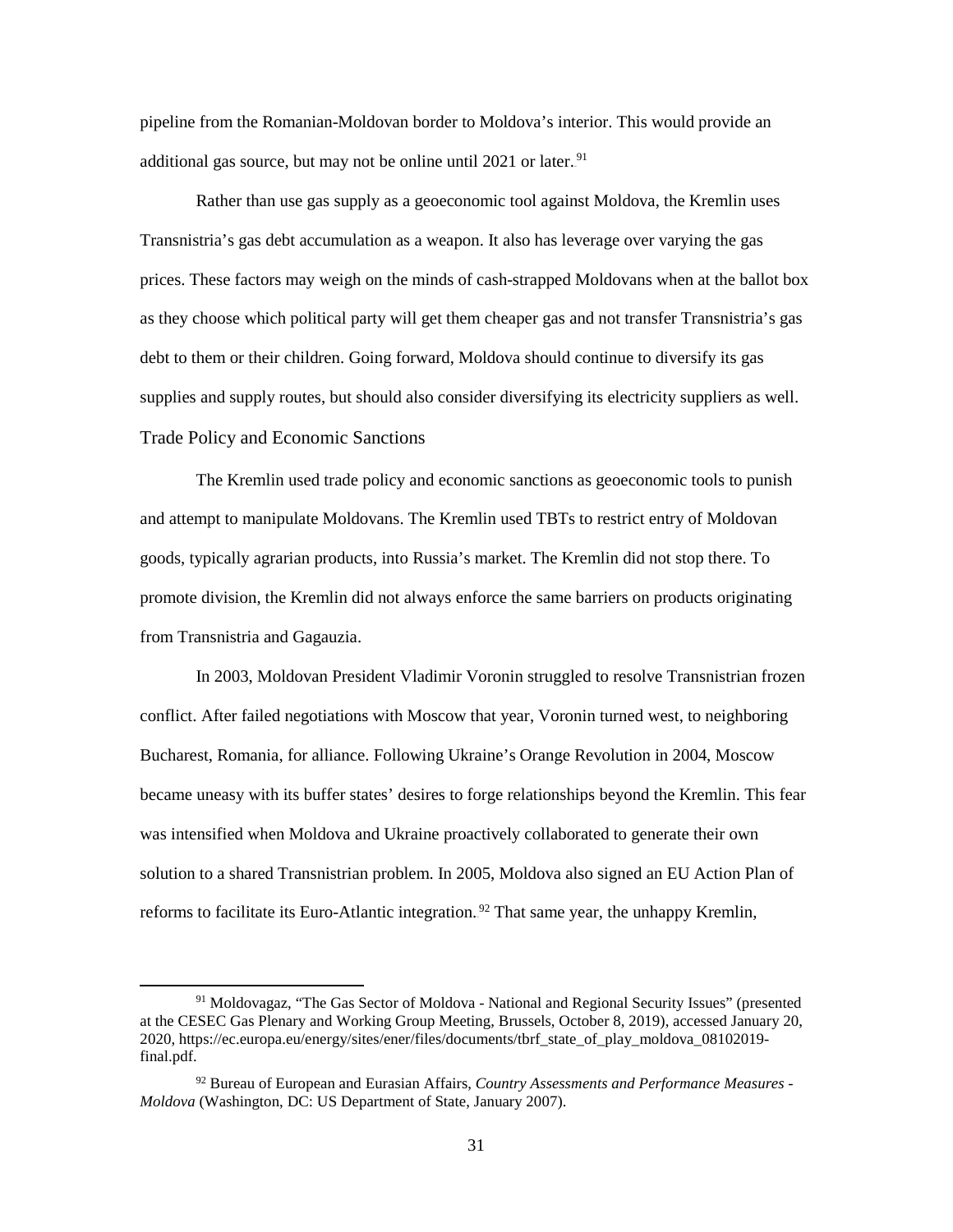pipeline from the Romanian-Moldovan border to Moldova's interior. This would provide an additional gas source, but may not be online until 2021 or later.<sup>91</sup>

Rather than use gas supply as a geoeconomic tool against Moldova, the Kremlin uses Transnistria's gas debt accumulation as a weapon. It also has leverage over varying the gas prices. These factors may weigh on the minds of cash-strapped Moldovans when at the ballot box as they choose which political party will get them cheaper gas and not transfer Transnistria's gas debt to them or their children. Going forward, Moldova should continue to diversify its gas supplies and supply routes, but should also consider diversifying its electricity suppliers as well. Trade Policy and Economic Sanctions

 The Kremlin used trade policy and economic sanctions as geoeconomic tools to punish and attempt to manipulate Moldovans. The Kremlin used TBTs to restrict entry of Moldovan goods, typically agrarian products, into Russia's market. The Kremlin did not stop there. To promote division, the Kremlin did not always enforce the same barriers on products originating from Transnistria and Gagauzia.

 In 2003, Moldovan President Vladimir Voronin struggled to resolve Transnistrian frozen conflict. After failed negotiations with Moscow that year, Voronin turned west, to neighboring Bucharest, Romania, for alliance. Following Ukraine's Orange Revolution in 2004, Moscow became uneasy with its buffer states' desires to forge relationships beyond the Kremlin. This fear was intensified when Moldova and Ukraine proactively collaborated to generate their own solution to a shared Transnistrian problem. In 2005, Moldova also signed an EU Action Plan of reforms to facilitate its Euro-Atlantic integration.<sup>92</sup> That same year, the unhappy Kremlin,

 $\overline{a}$ 

<sup>91</sup> Moldovagaz, "The Gas Sector of Moldova - National and Regional Security Issues" (presented at the CESEC Gas Plenary and Working Group Meeting, Brussels, October 8, 2019), accessed January 20, 2020, https://ec.europa.eu/energy/sites/ener/files/documents/tbrf\_state\_of\_play\_moldova\_08102019 final.pdf.

<sup>92</sup> Bureau of European and Eurasian Affairs, *Country Assessments and Performance Measures - Moldova* (Washington, DC: US Department of State, January 2007).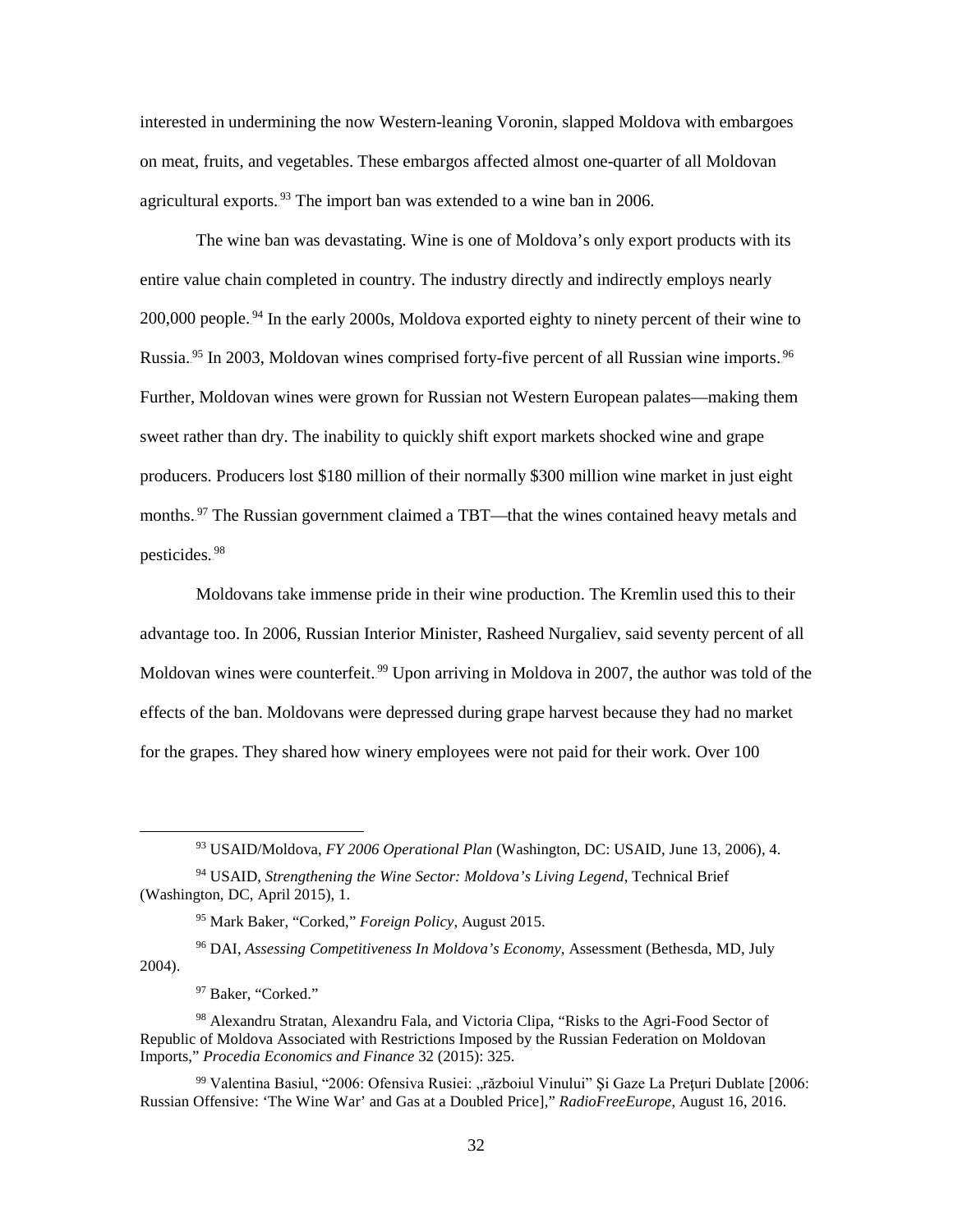interested in undermining the now Western-leaning Voronin, slapped Moldova with embargoes on meat, fruits, and vegetables. These embargos affected almost one-quarter of all Moldovan agricultural exports.<sup>93</sup> The import ban was extended to a wine ban in 2006.

The wine ban was devastating. Wine is one of Moldova's only export products with its entire value chain completed in country. The industry directly and indirectly employs nearly 200,000 people.<sup>94</sup> In the early 2000s, Moldova exported eighty to ninety percent of their wine to Russia.<sup>95</sup> In 2003, Moldovan wines comprised forty-five percent of all Russian wine imports.<sup>96</sup> Further, Moldovan wines were grown for Russian not Western European palates—making them sweet rather than dry. The inability to quickly shift export markets shocked wine and grape producers. Producers lost \$180 million of their normally \$300 million wine market in just eight months.<sup>97</sup> The Russian government claimed a TBT—that the wines contained heavy metals and pesticides.<sup>98</sup>

Moldovans take immense pride in their wine production. The Kremlin used this to their advantage too. In 2006, Russian Interior Minister, Rasheed Nurgaliev, said seventy percent of all Moldovan wines were counterfeit.<sup>99</sup> Upon arriving in Moldova in 2007, the author was told of the effects of the ban. Moldovans were depressed during grape harvest because they had no market for the grapes. They shared how winery employees were not paid for their work. Over 100

<sup>96</sup> DAI, *Assessing Competitiveness In Moldova's Economy*, Assessment (Bethesda, MD, July 2004).

<sup>97</sup> Baker, "Corked."

 $\overline{a}$ 

<sup>93</sup> USAID/Moldova, *FY 2006 Operational Plan* (Washington, DC: USAID, June 13, 2006), 4.

<sup>94</sup> USAID, *Strengthening the Wine Sector: Moldova's Living Legend*, Technical Brief (Washington, DC, April 2015), 1.

<sup>95</sup> Mark Baker, "Corked," *Foreign Policy*, August 2015.

<sup>98</sup> Alexandru Stratan, Alexandru Fala, and Victoria Clipa, "Risks to the Agri-Food Sector of Republic of Moldova Associated with Restrictions Imposed by the Russian Federation on Moldovan Imports," *Procedia Economics and Finance* 32 (2015): 325.

<sup>&</sup>lt;sup>99</sup> Valentina Basiul, "2006: Ofensiva Rusiei: "războiul Vinului" Si Gaze La Preturi Dublate [2006: Russian Offensive: 'The Wine War' and Gas at a Doubled Price]," *RadioFreeEurope*, August 16, 2016.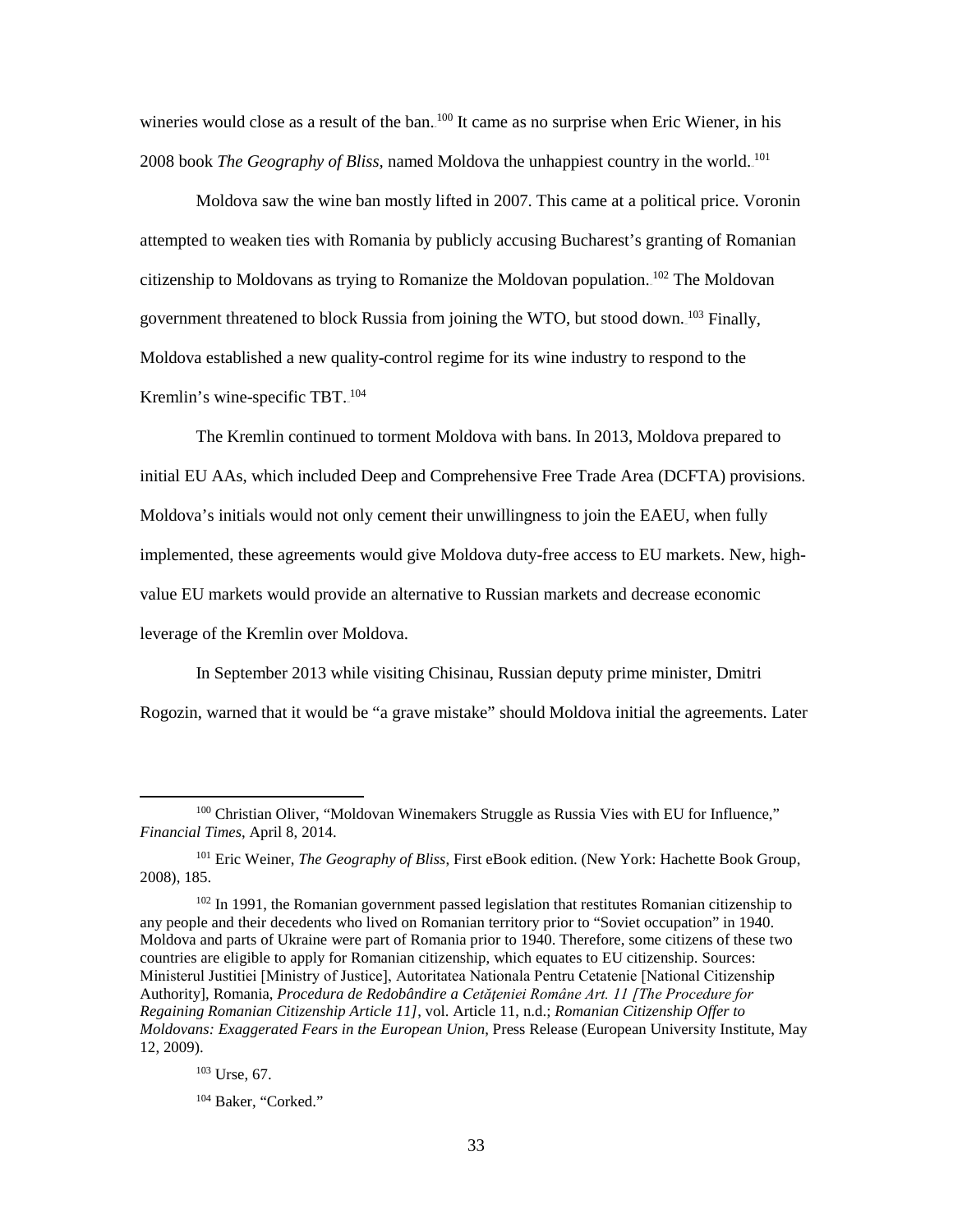wineries would close as a result of the ban.<sup>100</sup> It came as no surprise when Eric Wiener, in his 2008 book *The Geography of Bliss*, named Moldova the unhappiest country in the world.<sup>101</sup>

Moldova saw the wine ban mostly lifted in 2007. This came at a political price. Voronin attempted to weaken ties with Romania by publicly accusing Bucharest's granting of Romanian citizenship to Moldovans as trying to Romanize the Moldovan population.  $102$  The Moldovan government threatened to block Russia from joining the WTO, but stood down.<sup>103</sup> Finally, Moldova established a new quality-control regime for its wine industry to respond to the Kremlin's wine-specific TBT.<sup>104</sup>

The Kremlin continued to torment Moldova with bans. In 2013, Moldova prepared to initial EU AAs, which included Deep and Comprehensive Free Trade Area (DCFTA) provisions. Moldova's initials would not only cement their unwillingness to join the EAEU, when fully implemented, these agreements would give Moldova duty-free access to EU markets. New, highvalue EU markets would provide an alternative to Russian markets and decrease economic leverage of the Kremlin over Moldova.

 In September 2013 while visiting Chisinau, Russian deputy prime minister, Dmitri Rogozin, warned that it would be "a grave mistake" should Moldova initial the agreements. Later

<sup>101</sup> Eric Weiner, *The Geography of Bliss*, First eBook edition. (New York: Hachette Book Group, 2008), 185.

<sup>102</sup> In 1991, the Romanian government passed legislation that restitutes Romanian citizenship to any people and their decedents who lived on Romanian territory prior to "Soviet occupation" in 1940. Moldova and parts of Ukraine were part of Romania prior to 1940. Therefore, some citizens of these two countries are eligible to apply for Romanian citizenship, which equates to EU citizenship. Sources: Ministerul Justitiei [Ministry of Justice], Autoritatea Nationala Pentru Cetatenie [National Citizenship Authority], Romania, *Procedura de Redobândire a Cetăţeniei Române Art. 11 [The Procedure for Regaining Romanian Citizenship Article 11]*, vol. Article 11, n.d.; *Romanian Citizenship Offer to Moldovans: Exaggerated Fears in the European Union*, Press Release (European University Institute, May 12, 2009).

<sup>103</sup> Urse, 67.

<sup>&</sup>lt;sup>100</sup> Christian Oliver, "Moldovan Winemakers Struggle as Russia Vies with EU for Influence," *Financial Times*, April 8, 2014.

<sup>104</sup> Baker, "Corked."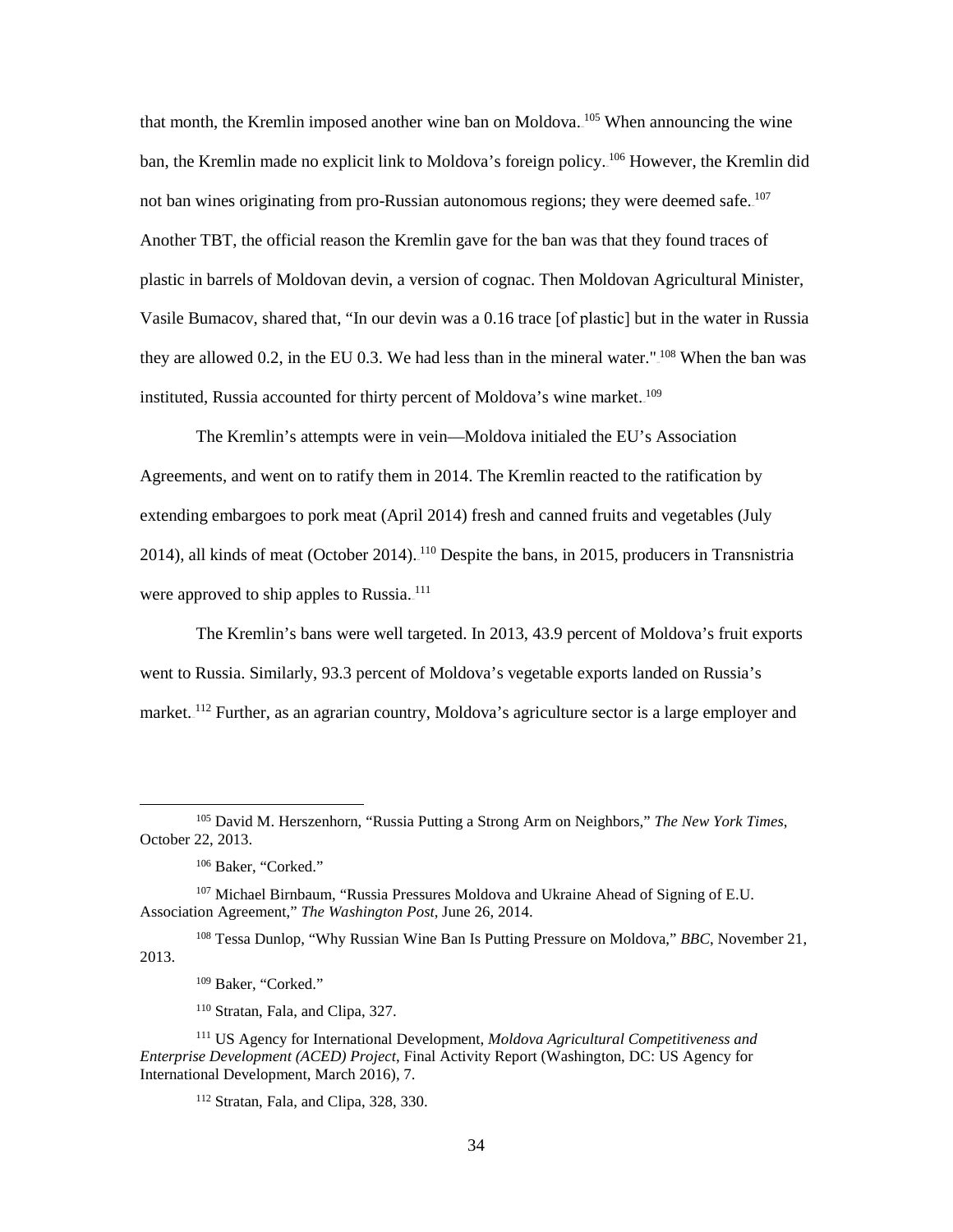that month, the Kremlin imposed another wine ban on Moldova. <sup>105</sup> When announcing the wine ban, the Kremlin made no explicit link to Moldova's foreign policy.<sup>106</sup> However, the Kremlin did not ban wines originating from pro-Russian autonomous regions; they were deemed safe. <sup>107</sup> Another TBT, the official reason the Kremlin gave for the ban was that they found traces of plastic in barrels of Moldovan devin, a version of cognac. Then Moldovan Agricultural Minister, Vasile Bumacov, shared that, "In our devin was a 0.16 trace [of plastic] but in the water in Russia they are allowed 0.2, in the EU 0.3. We had less than in the mineral water." $108$  When the ban was instituted, Russia accounted for thirty percent of Moldova's wine market.<sup>109</sup>

The Kremlin's attempts were in vein—Moldova initialed the EU's Association Agreements, and went on to ratify them in 2014. The Kremlin reacted to the ratification by extending embargoes to pork meat (April 2014) fresh and canned fruits and vegetables (July 2014), all kinds of meat (October 2014). <sup>110</sup> Despite the bans, in 2015, producers in Transnistria were approved to ship apples to Russia.<sup>111</sup>

The Kremlin's bans were well targeted. In 2013, 43.9 percent of Moldova's fruit exports went to Russia. Similarly, 93.3 percent of Moldova's vegetable exports landed on Russia's market.<sup>112</sup> Further, as an agrarian country, Moldova's agriculture sector is a large employer and

l

<sup>108</sup> Tessa Dunlop, "Why Russian Wine Ban Is Putting Pressure on Moldova," *BBC*, November 21, 2013.

<sup>110</sup> Stratan, Fala, and Clipa, 327.

<sup>105</sup> David M. Herszenhorn, "Russia Putting a Strong Arm on Neighbors," *The New York Times*, October 22, 2013.

<sup>&</sup>lt;sup>106</sup> Baker, "Corked."

<sup>107</sup> Michael Birnbaum, "Russia Pressures Moldova and Ukraine Ahead of Signing of E.U. Association Agreement," *The Washington Post*, June 26, 2014.

<sup>109</sup> Baker, "Corked."

<sup>111</sup> US Agency for International Development, *Moldova Agricultural Competitiveness and Enterprise Development (ACED) Project*, Final Activity Report (Washington, DC: US Agency for International Development, March 2016), 7.

<sup>112</sup> Stratan, Fala, and Clipa, 328, 330.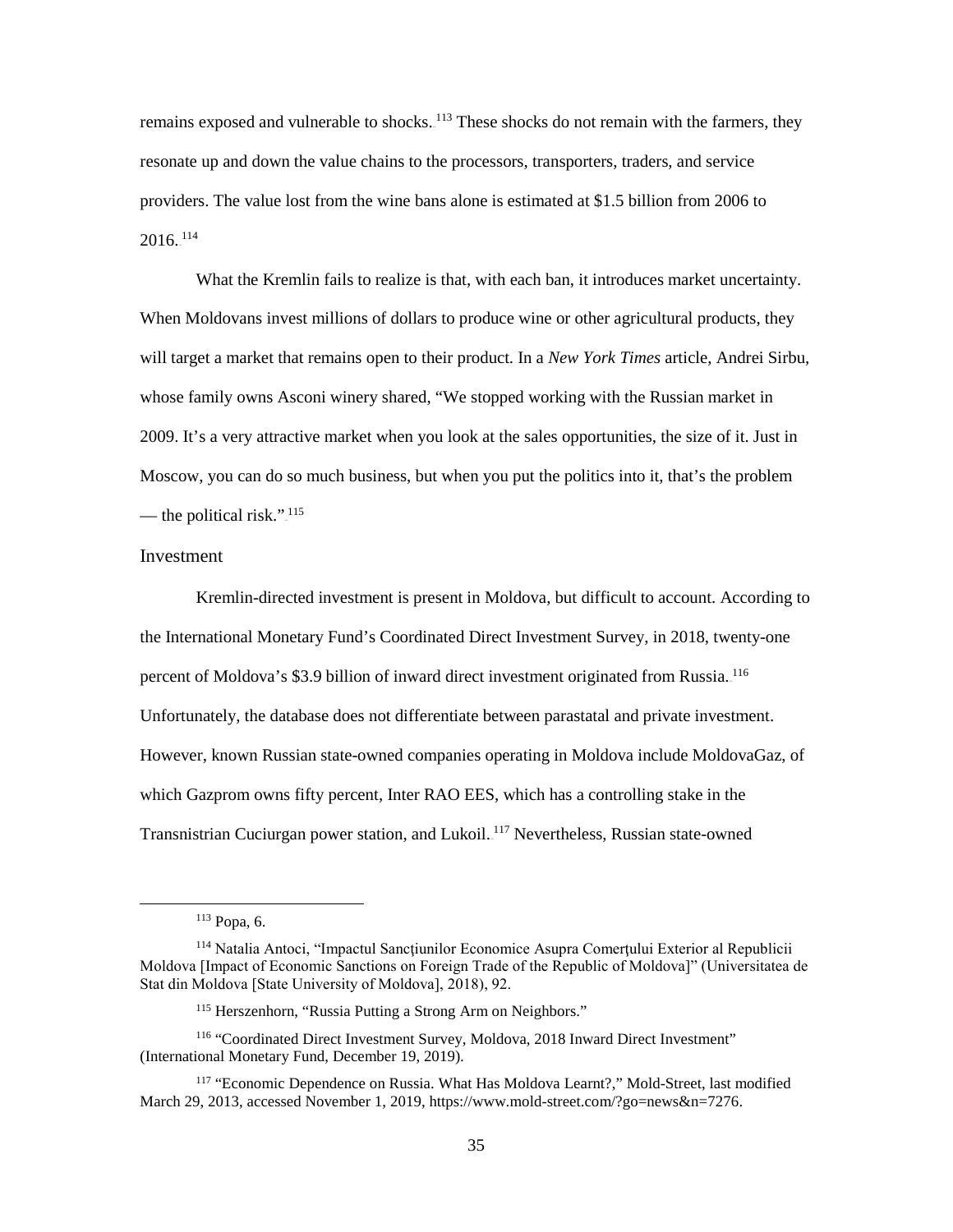remains exposed and vulnerable to shocks.<sup>113</sup> These shocks do not remain with the farmers, they resonate up and down the value chains to the processors, transporters, traders, and service providers. The value lost from the wine bans alone is estimated at \$1.5 billion from 2006 to  $2016.$ <sup>114</sup>

What the Kremlin fails to realize is that, with each ban, it introduces market uncertainty. When Moldovans invest millions of dollars to produce wine or other agricultural products, they will target a market that remains open to their product. In a *New York Times* article, Andrei Sirbu, whose family owns Asconi winery shared, "We stopped working with the Russian market in 2009. It's a very attractive market when you look at the sales opportunities, the size of it. Just in Moscow, you can do so much business, but when you put the politics into it, that's the problem — the political risk.". $\frac{115}{115}$ 

## Investment

Kremlin-directed investment is present in Moldova, but difficult to account. According to the International Monetary Fund's Coordinated Direct Investment Survey, in 2018, twenty-one percent of Moldova's \$3.9 billion of inward direct investment originated from Russia. <sup>116</sup> Unfortunately, the database does not differentiate between parastatal and private investment. However, known Russian state-owned companies operating in Moldova include MoldovaGaz, of which Gazprom owns fifty percent, Inter RAO EES, which has a controlling stake in the Transnistrian Cuciurgan power station, and Lukoil.<sup>117</sup> Nevertheless, Russian state-owned

<sup>113</sup> Popa, 6.

<sup>&</sup>lt;sup>114</sup> Natalia Antoci, "Impactul Sancțiunilor Economice Asupra Comerțului Exterior al Republicii Moldova [Impact of Economic Sanctions on Foreign Trade of the Republic of Moldova]" (Universitatea de Stat din Moldova [State University of Moldova], 2018), 92.

<sup>115</sup> Herszenhorn, "Russia Putting a Strong Arm on Neighbors."

<sup>116</sup> "Coordinated Direct Investment Survey, Moldova, 2018 Inward Direct Investment" (International Monetary Fund, December 19, 2019).

<sup>117</sup> "Economic Dependence on Russia. What Has Moldova Learnt?," Mold-Street, last modified March 29, 2013, accessed November 1, 2019, https://www.mold-street.com/?go=news&n=7276.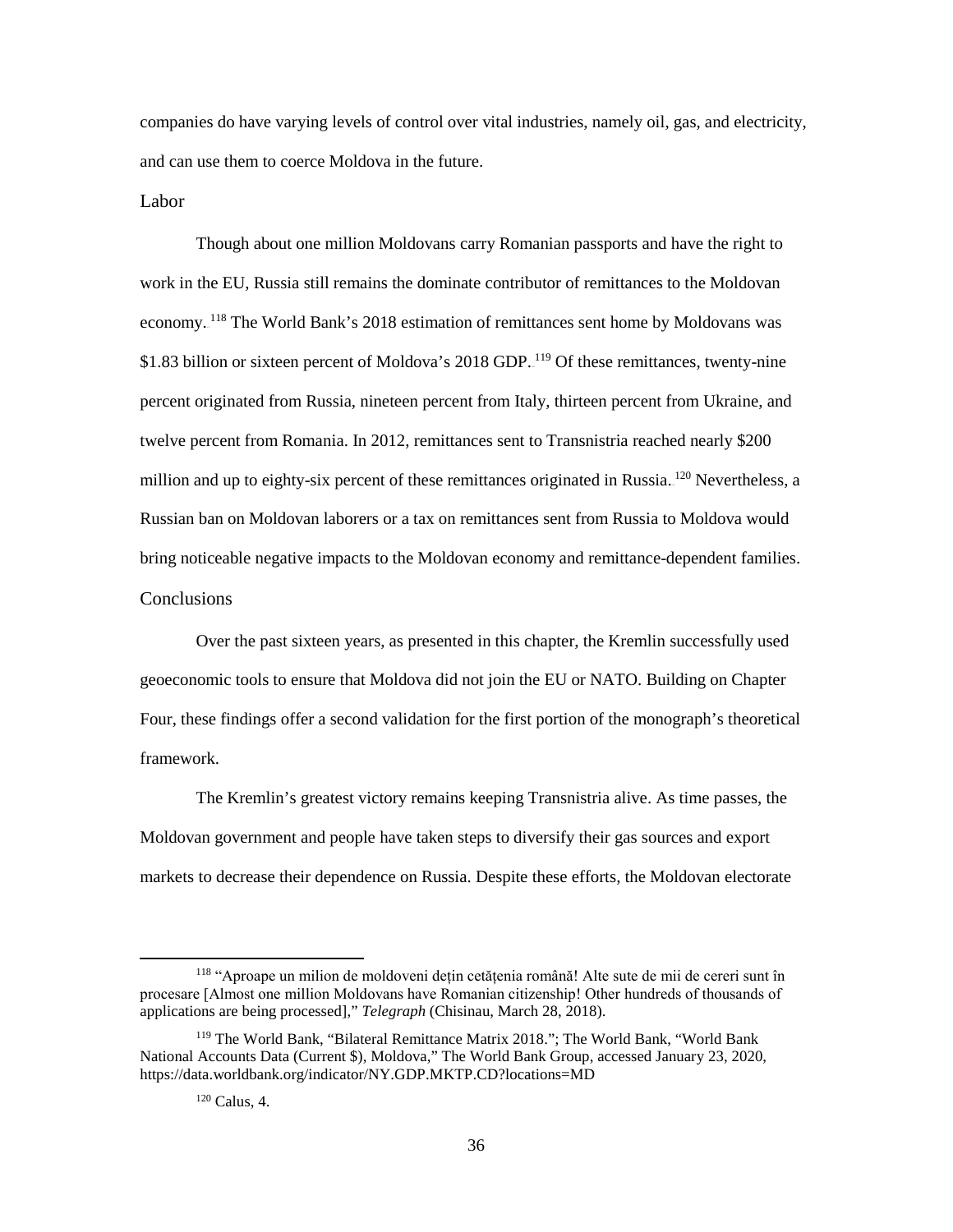companies do have varying levels of control over vital industries, namely oil, gas, and electricity, and can use them to coerce Moldova in the future.

Labor

Though about one million Moldovans carry Romanian passports and have the right to work in the EU, Russia still remains the dominate contributor of remittances to the Moldovan economy.<sup>118</sup> The World Bank's 2018 estimation of remittances sent home by Moldovans was \$1.83 billion or sixteen percent of Moldova's 2018 GDP.<sup>119</sup> Of these remittances, twenty-nine percent originated from Russia, nineteen percent from Italy, thirteen percent from Ukraine, and twelve percent from Romania. In 2012, remittances sent to Transnistria reached nearly \$200 million and up to eighty-six percent of these remittances originated in Russia.<sup>120</sup> Nevertheless, a Russian ban on Moldovan laborers or a tax on remittances sent from Russia to Moldova would bring noticeable negative impacts to the Moldovan economy and remittance-dependent families. **Conclusions** 

Over the past sixteen years, as presented in this chapter, the Kremlin successfully used geoeconomic tools to ensure that Moldova did not join the EU or NATO. Building on Chapter Four, these findings offer a second validation for the first portion of the monograph's theoretical framework.

The Kremlin's greatest victory remains keeping Transnistria alive. As time passes, the Moldovan government and people have taken steps to diversify their gas sources and export markets to decrease their dependence on Russia. Despite these efforts, the Moldovan electorate

<sup>118</sup> "Aproape un milion de moldoveni dețin cetățenia română! Alte sute de mii de cereri sunt în procesare [Almost one million Moldovans have Romanian citizenship! Other hundreds of thousands of applications are being processed]," *Telegraph* (Chisinau, March 28, 2018).

<sup>119</sup> The World Bank, "Bilateral Remittance Matrix 2018."; The World Bank, "World Bank National Accounts Data (Current \$), Moldova," The World Bank Group, accessed January 23, 2020, https://data.worldbank.org/indicator/NY.GDP.MKTP.CD?locations=MD

 $120$  Calus, 4.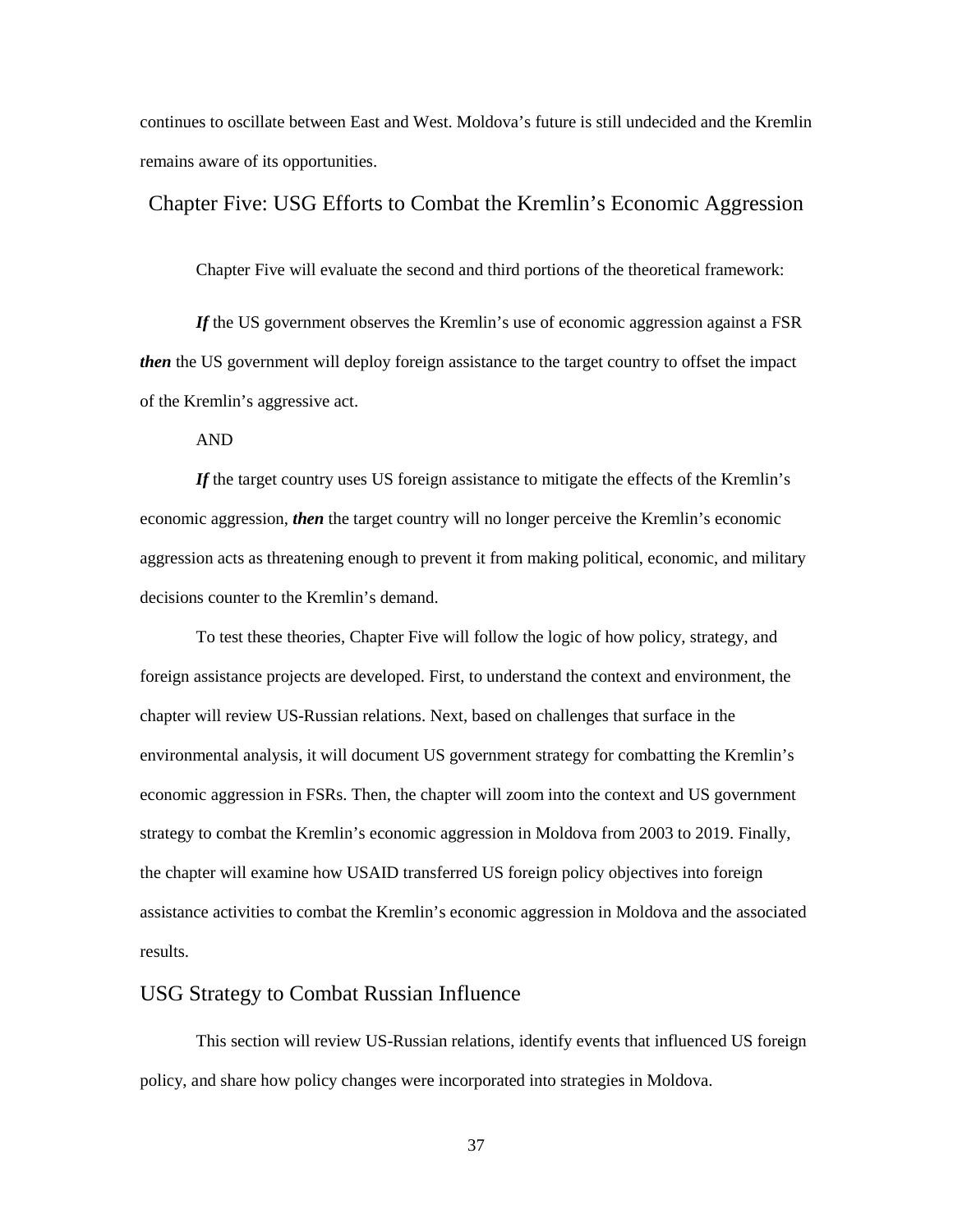continues to oscillate between East and West. Moldova's future is still undecided and the Kremlin remains aware of its opportunities.

## Chapter Five: USG Efforts to Combat the Kremlin's Economic Aggression

Chapter Five will evaluate the second and third portions of the theoretical framework:

*If* the US government observes the Kremlin's use of economic aggression against a FSR *then* the US government will deploy foreign assistance to the target country to offset the impact of the Kremlin's aggressive act.

AND

*If* the target country uses US foreign assistance to mitigate the effects of the Kremlin's economic aggression, *then* the target country will no longer perceive the Kremlin's economic aggression acts as threatening enough to prevent it from making political, economic, and military decisions counter to the Kremlin's demand.

To test these theories, Chapter Five will follow the logic of how policy, strategy, and foreign assistance projects are developed. First, to understand the context and environment, the chapter will review US-Russian relations. Next, based on challenges that surface in the environmental analysis, it will document US government strategy for combatting the Kremlin's economic aggression in FSRs. Then, the chapter will zoom into the context and US government strategy to combat the Kremlin's economic aggression in Moldova from 2003 to 2019. Finally, the chapter will examine how USAID transferred US foreign policy objectives into foreign assistance activities to combat the Kremlin's economic aggression in Moldova and the associated results.

# USG Strategy to Combat Russian Influence

This section will review US-Russian relations, identify events that influenced US foreign policy, and share how policy changes were incorporated into strategies in Moldova.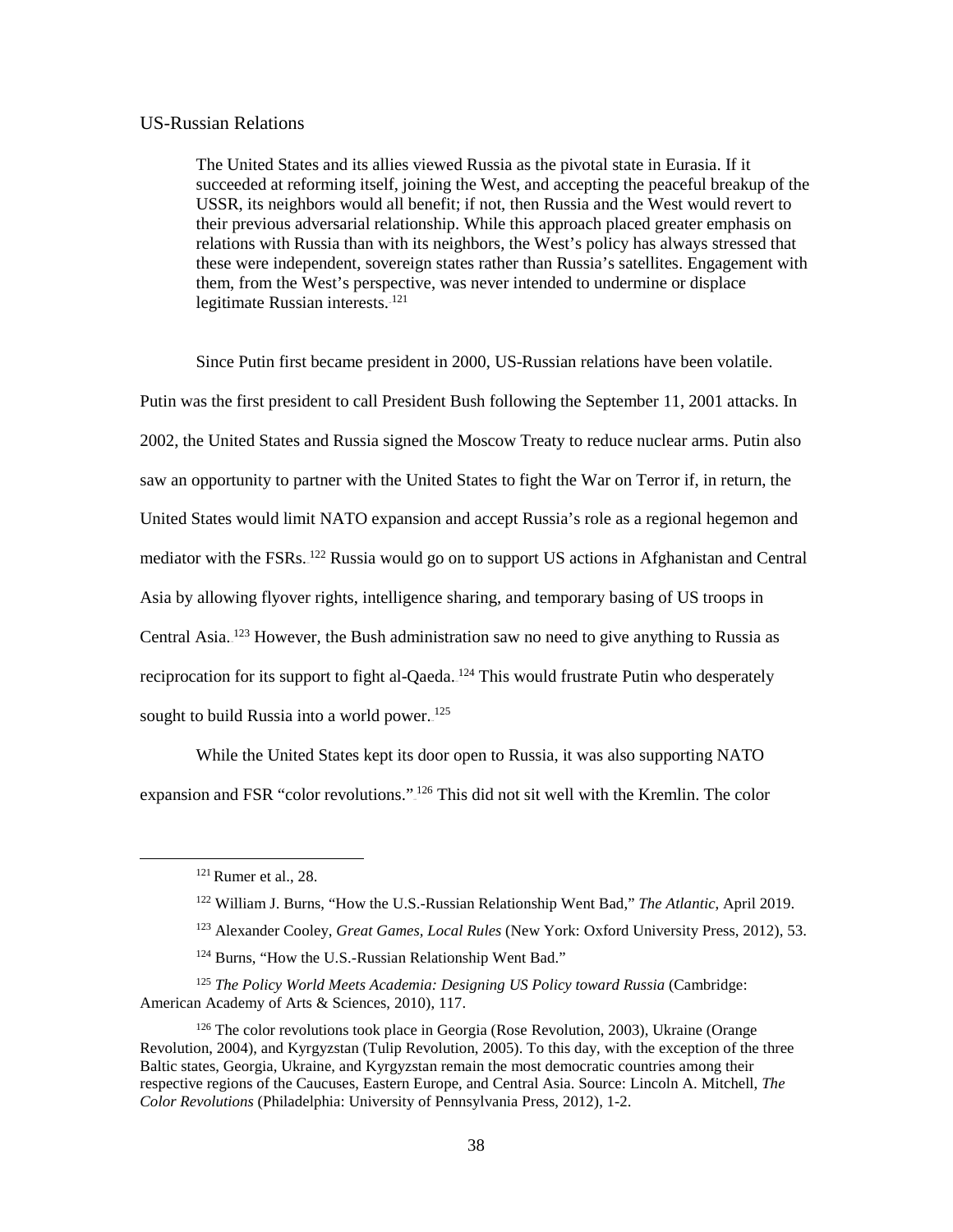### US-Russian Relations

The United States and its allies viewed Russia as the pivotal state in Eurasia. If it succeeded at reforming itself, joining the West, and accepting the peaceful breakup of the USSR, its neighbors would all benefit; if not, then Russia and the West would revert to their previous adversarial relationship. While this approach placed greater emphasis on relations with Russia than with its neighbors, the West's policy has always stressed that these were independent, sovereign states rather than Russia's satellites. Engagement with them, from the West's perspective, was never intended to undermine or displace legitimate Russian interests. $121$ 

Since Putin first became president in 2000, US-Russian relations have been volatile. Putin was the first president to call President Bush following the September 11, 2001 attacks. In 2002, the United States and Russia signed the Moscow Treaty to reduce nuclear arms. Putin also saw an opportunity to partner with the United States to fight the War on Terror if, in return, the United States would limit NATO expansion and accept Russia's role as a regional hegemon and mediator with the FSRs.<sup>122</sup> Russia would go on to support US actions in Afghanistan and Central Asia by allowing flyover rights, intelligence sharing, and temporary basing of US troops in Central Asia.<sup>123</sup> However, the Bush administration saw no need to give anything to Russia as reciprocation for its support to fight al-Qaeda.<sup>124</sup> This would frustrate Putin who desperately sought to build Russia into a world power.<sup>125</sup>

While the United States kept its door open to Russia, it was also supporting NATO expansion and FSR "color revolutions.".<sup>126</sup> This did not sit well with the Kremlin. The color

 $\overline{\phantom{a}}$ 

<sup>121</sup> Rumer et al., 28.

<sup>122</sup> William J. Burns, "How the U.S.-Russian Relationship Went Bad," *The Atlantic*, April 2019.

<sup>123</sup> Alexander Cooley, *Great Games, Local Rules* (New York: Oxford University Press, 2012), 53.

<sup>&</sup>lt;sup>124</sup> Burns, "How the U.S.-Russian Relationship Went Bad."

<sup>125</sup> *The Policy World Meets Academia: Designing US Policy toward Russia* (Cambridge: American Academy of Arts & Sciences, 2010), 117.

<sup>126</sup> The color revolutions took place in Georgia (Rose Revolution, 2003), Ukraine (Orange Revolution, 2004), and Kyrgyzstan (Tulip Revolution, 2005). To this day, with the exception of the three Baltic states, Georgia, Ukraine, and Kyrgyzstan remain the most democratic countries among their respective regions of the Caucuses, Eastern Europe, and Central Asia. Source: Lincoln A. Mitchell, *The Color Revolutions* (Philadelphia: University of Pennsylvania Press, 2012), 1-2.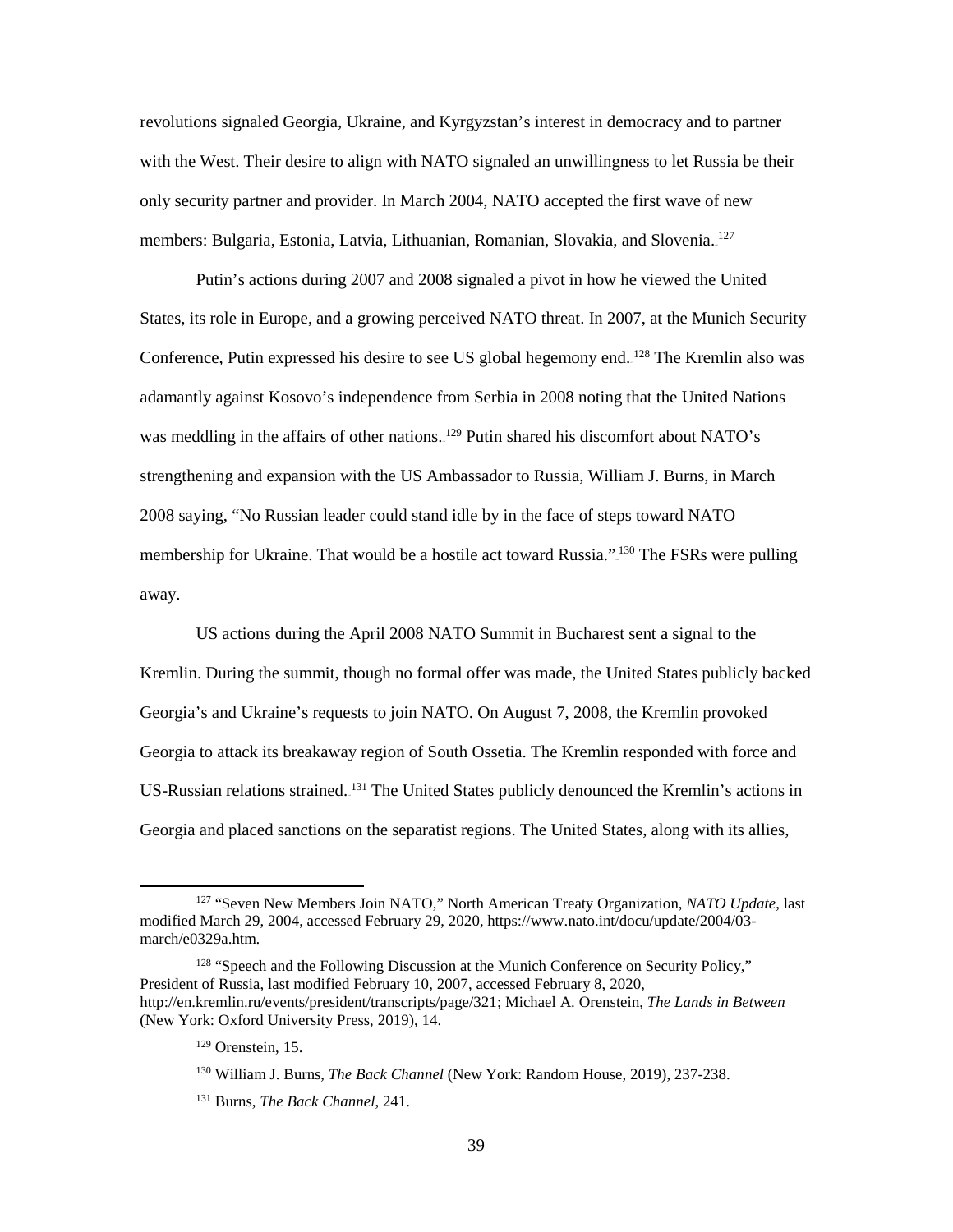revolutions signaled Georgia, Ukraine, and Kyrgyzstan's interest in democracy and to partner with the West. Their desire to align with NATO signaled an unwillingness to let Russia be their only security partner and provider. In March 2004, NATO accepted the first wave of new members: Bulgaria, Estonia, Latvia, Lithuanian, Romanian, Slovakia, and Slovenia.<sup>127</sup>

Putin's actions during 2007 and 2008 signaled a pivot in how he viewed the United States, its role in Europe, and a growing perceived NATO threat. In 2007, at the Munich Security Conference, Putin expressed his desire to see US global hegemony end.<sup>128</sup> The Kremlin also was adamantly against Kosovo's independence from Serbia in 2008 noting that the United Nations was meddling in the affairs of other nations.<sup>129</sup> Putin shared his discomfort about NATO's strengthening and expansion with the US Ambassador to Russia, William J. Burns, in March 2008 saying, "No Russian leader could stand idle by in the face of steps toward NATO membership for Ukraine. That would be a hostile act toward Russia."<sup>130</sup> The FSRs were pulling away.

US actions during the April 2008 NATO Summit in Bucharest sent a signal to the Kremlin. During the summit, though no formal offer was made, the United States publicly backed Georgia's and Ukraine's requests to join NATO. On August 7, 2008, the Kremlin provoked Georgia to attack its breakaway region of South Ossetia. The Kremlin responded with force and US-Russian relations strained.<sup>131</sup> The United States publicly denounced the Kremlin's actions in Georgia and placed sanctions on the separatist regions. The United States, along with its allies,

<sup>127</sup> "Seven New Members Join NATO," North American Treaty Organization, *NATO Update*, last modified March 29, 2004, accessed February 29, 2020, https://www.nato.int/docu/update/2004/03 march/e0329a.htm.

<sup>&</sup>lt;sup>128</sup> "Speech and the Following Discussion at the Munich Conference on Security Policy," President of Russia, last modified February 10, 2007, accessed February 8, 2020, http://en.kremlin.ru/events/president/transcripts/page/321; Michael A. Orenstein, *The Lands in Between* (New York: Oxford University Press, 2019), 14.

 $129$  Orenstein, 15.

<sup>130</sup> William J. Burns, *The Back Channel* (New York: Random House, 2019), 237-238.

<sup>131</sup> Burns, *The Back Channel*, 241.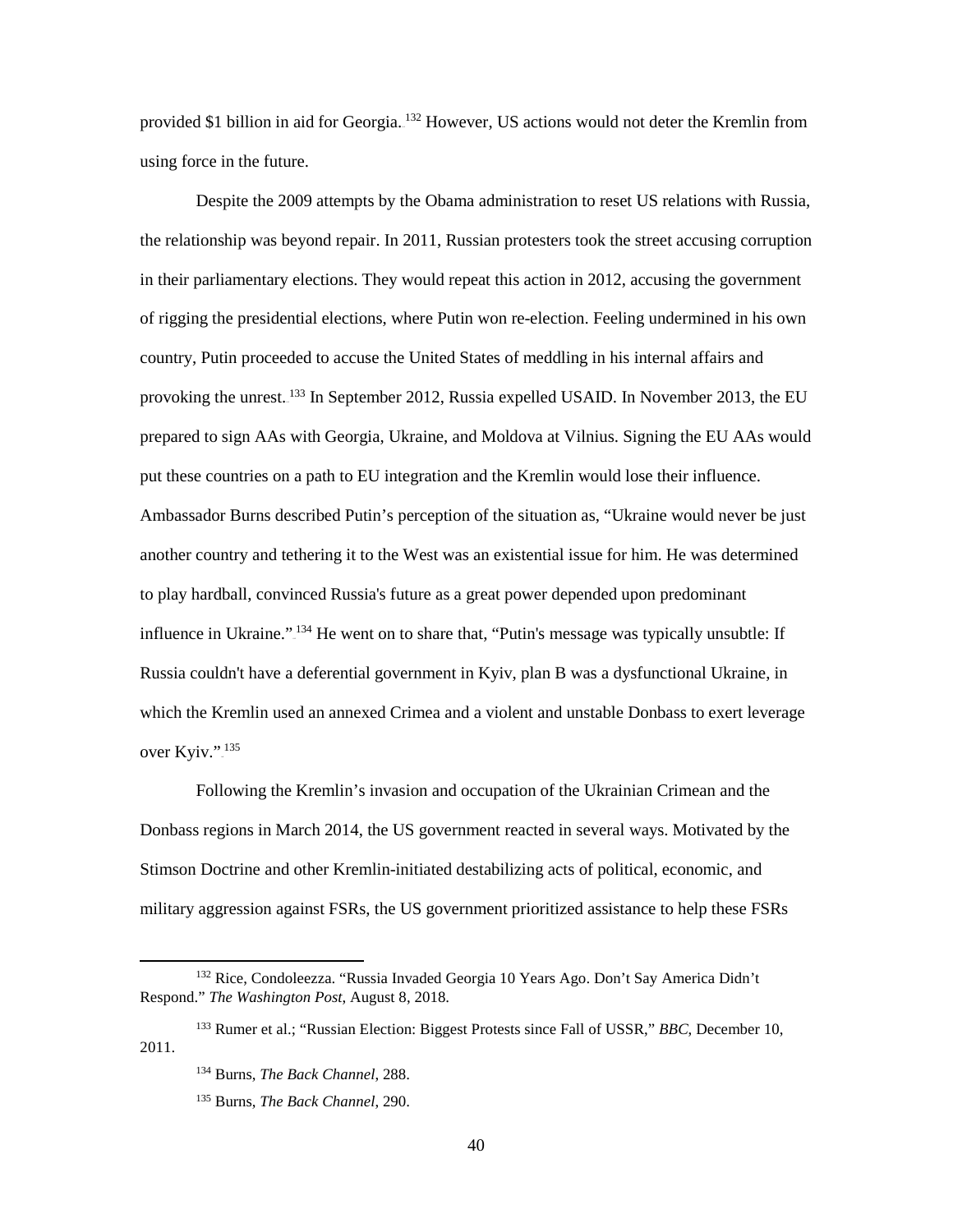provided \$1 billion in aid for Georgia. <sup>132</sup> However, US actions would not deter the Kremlin from using force in the future.

Despite the 2009 attempts by the Obama administration to reset US relations with Russia, the relationship was beyond repair. In 2011, Russian protesters took the street accusing corruption in their parliamentary elections. They would repeat this action in 2012, accusing the government of rigging the presidential elections, where Putin won re-election. Feeling undermined in his own country, Putin proceeded to accuse the United States of meddling in his internal affairs and provoking the unrest.<sup>133</sup> In September 2012, Russia expelled USAID. In November 2013, the EU prepared to sign AAs with Georgia, Ukraine, and Moldova at Vilnius. Signing the EU AAs would put these countries on a path to EU integration and the Kremlin would lose their influence. Ambassador Burns described Putin's perception of the situation as, "Ukraine would never be just another country and tethering it to the West was an existential issue for him. He was determined to play hardball, convinced Russia's future as a great power depended upon predominant influence in Ukraine."<sup>134</sup> He went on to share that, "Putin's message was typically unsubtle: If Russia couldn't have a deferential government in Kyiv, plan B was a dysfunctional Ukraine, in which the Kremlin used an annexed Crimea and a violent and unstable Donbass to exert leverage over Kyiv.".<sup>135</sup>

Following the Kremlin's invasion and occupation of the Ukrainian Crimean and the Donbass regions in March 2014, the US government reacted in several ways. Motivated by the Stimson Doctrine and other Kremlin-initiated destabilizing acts of political, economic, and military aggression against FSRs, the US government prioritized assistance to help these FSRs

 $\overline{\phantom{a}}$ 

<sup>132</sup> Rice, Condoleezza. "Russia Invaded Georgia 10 Years Ago. Don't Say America Didn't Respond." *The Washington Post*, August 8, 2018.

<sup>133</sup> Rumer et al.; "Russian Election: Biggest Protests since Fall of USSR," *BBC*, December 10, 2011.

<sup>134</sup> Burns, *The Back Channel*, 288.

<sup>135</sup> Burns, *The Back Channel*, 290.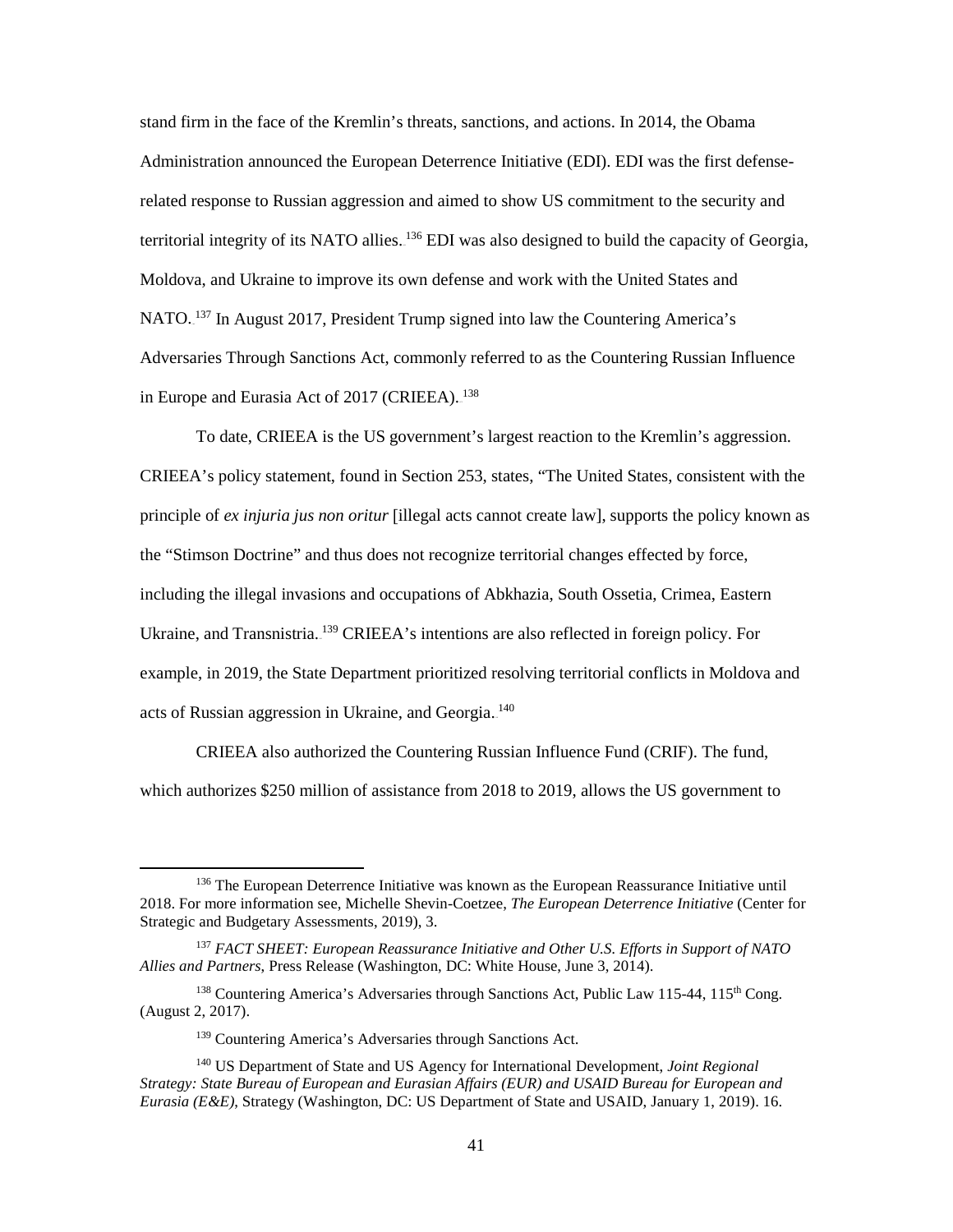stand firm in the face of the Kremlin's threats, sanctions, and actions. In 2014, the Obama Administration announced the European Deterrence Initiative (EDI). EDI was the first defenserelated response to Russian aggression and aimed to show US commitment to the security and territorial integrity of its NATO allies. <sup>136</sup> EDI was also designed to build the capacity of Georgia, Moldova, and Ukraine to improve its own defense and work with the United States and NATO.<sup>137</sup> In August 2017, President Trump signed into law the Countering America's Adversaries Through Sanctions Act, commonly referred to as the Countering Russian Influence in Europe and Eurasia Act of 2017 (CRIEEA).<sup>138</sup>

To date, CRIEEA is the US government's largest reaction to the Kremlin's aggression. CRIEEA's policy statement, found in Section 253, states, "The United States, consistent with the principle of *ex injuria jus non oritur* [illegal acts cannot create law], supports the policy known as the "Stimson Doctrine" and thus does not recognize territorial changes effected by force, including the illegal invasions and occupations of Abkhazia, South Ossetia, Crimea, Eastern Ukraine, and Transnistria. <sup>139</sup> CRIEEA's intentions are also reflected in foreign policy. For example, in 2019, the State Department prioritized resolving territorial conflicts in Moldova and acts of Russian aggression in Ukraine, and Georgia.<sup>140</sup>

CRIEEA also authorized the Countering Russian Influence Fund (CRIF). The fund, which authorizes \$250 million of assistance from 2018 to 2019, allows the US government to

 $\overline{\phantom{a}}$ 

<sup>&</sup>lt;sup>136</sup> The European Deterrence Initiative was known as the European Reassurance Initiative until 2018. For more information see, Michelle Shevin-Coetzee, *The European Deterrence Initiative* (Center for Strategic and Budgetary Assessments, 2019), 3.

<sup>137</sup> *FACT SHEET: European Reassurance Initiative and Other U.S. Efforts in Support of NATO Allies and Partners*, Press Release (Washington, DC: White House, June 3, 2014).

<sup>&</sup>lt;sup>138</sup> Countering America's Adversaries through Sanctions Act, Public Law 115-44, 115<sup>th</sup> Cong. (August 2, 2017).

<sup>&</sup>lt;sup>139</sup> Countering America's Adversaries through Sanctions Act.

<sup>140</sup> US Department of State and US Agency for International Development, *Joint Regional Strategy: State Bureau of European and Eurasian Affairs (EUR) and USAID Bureau for European and Eurasia (E&E)*, Strategy (Washington, DC: US Department of State and USAID, January 1, 2019). 16.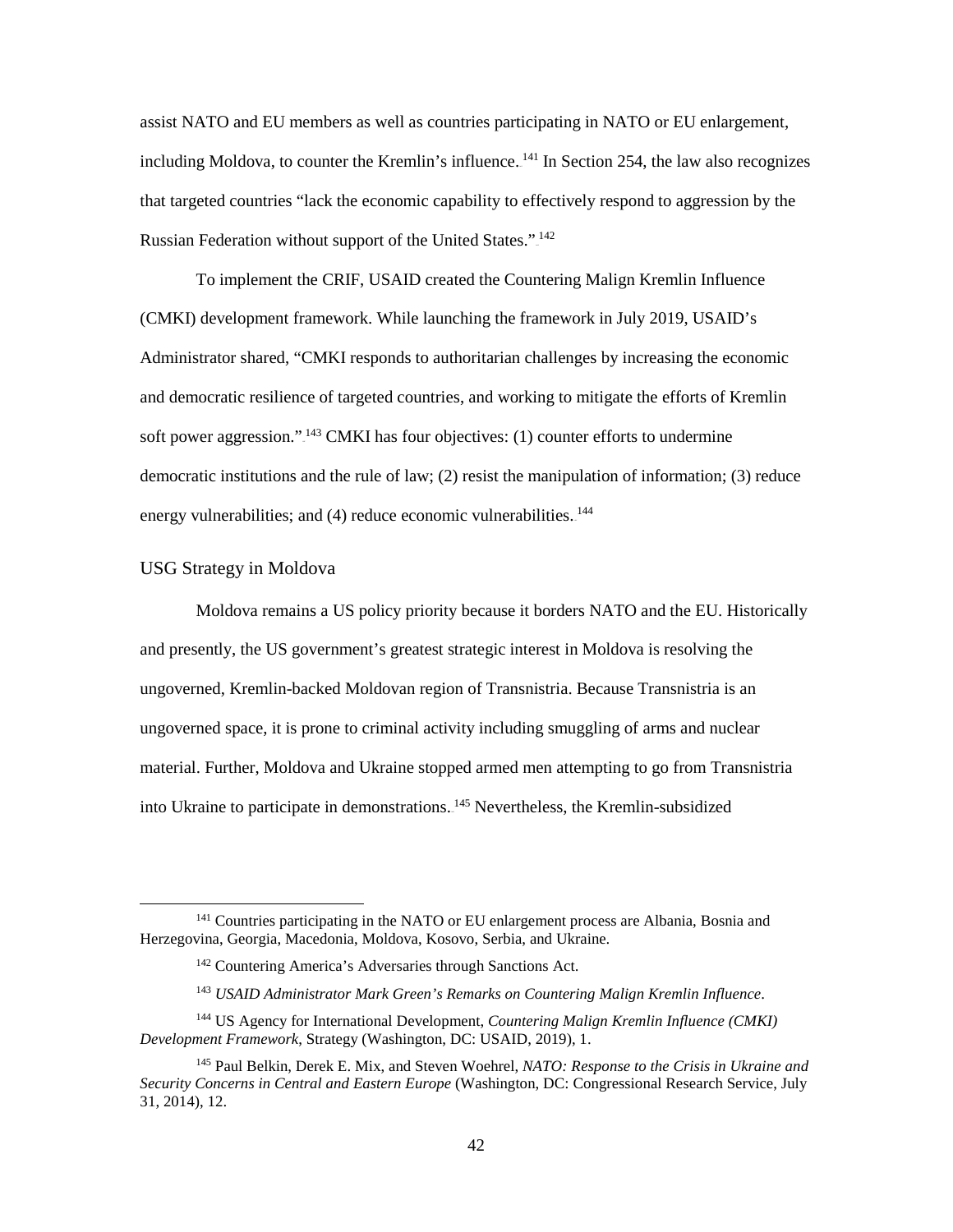assist NATO and EU members as well as countries participating in NATO or EU enlargement, including Moldova, to counter the Kremlin's influence.<sup>141</sup> In Section 254, the law also recognizes that targeted countries "lack the economic capability to effectively respond to aggression by the Russian Federation without support of the United States.".<sup>142</sup>

To implement the CRIF, USAID created the Countering Malign Kremlin Influence (CMKI) development framework. While launching the framework in July 2019, USAID's Administrator shared, "CMKI responds to authoritarian challenges by increasing the economic and democratic resilience of targeted countries, and working to mitigate the efforts of Kremlin soft power aggression.".<sup>143</sup> CMKI has four objectives: (1) counter efforts to undermine democratic institutions and the rule of law; (2) resist the manipulation of information; (3) reduce energy vulnerabilities; and (4) reduce economic vulnerabilities.<sup>144</sup>

## USG Strategy in Moldova

l

 Moldova remains a US policy priority because it borders NATO and the EU. Historically and presently, the US government's greatest strategic interest in Moldova is resolving the ungoverned, Kremlin-backed Moldovan region of Transnistria. Because Transnistria is an ungoverned space, it is prone to criminal activity including smuggling of arms and nuclear material. Further, Moldova and Ukraine stopped armed men attempting to go from Transnistria into Ukraine to participate in demonstrations.<sup>145</sup> Nevertheless, the Kremlin-subsidized

<sup>&</sup>lt;sup>141</sup> Countries participating in the NATO or EU enlargement process are Albania, Bosnia and Herzegovina, Georgia, Macedonia, Moldova, Kosovo, Serbia, and Ukraine.

<sup>142</sup> Countering America's Adversaries through Sanctions Act.

<sup>143</sup> *USAID Administrator Mark Green's Remarks on Countering Malign Kremlin Influence*.

<sup>144</sup> US Agency for International Development, *Countering Malign Kremlin Influence (CMKI) Development Framework*, Strategy (Washington, DC: USAID, 2019), 1.

<sup>145</sup> Paul Belkin, Derek E. Mix, and Steven Woehrel, *NATO: Response to the Crisis in Ukraine and Security Concerns in Central and Eastern Europe* (Washington, DC: Congressional Research Service, July 31, 2014), 12.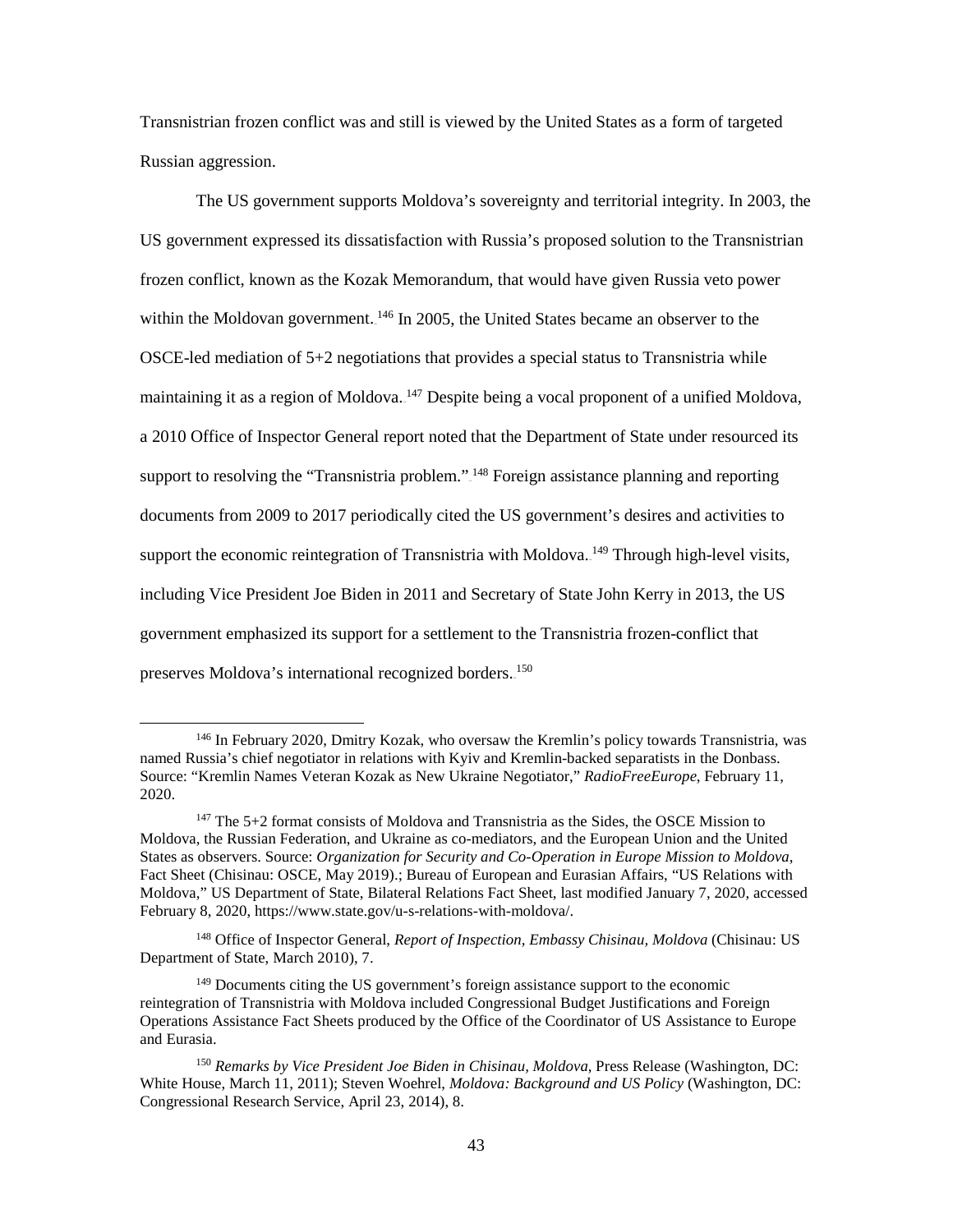Transnistrian frozen conflict was and still is viewed by the United States as a form of targeted Russian aggression.

The US government supports Moldova's sovereignty and territorial integrity. In 2003, the US government expressed its dissatisfaction with Russia's proposed solution to the Transnistrian frozen conflict, known as the Kozak Memorandum, that would have given Russia veto power within the Moldovan government.<sup>146</sup> In 2005, the United States became an observer to the OSCE-led mediation of 5+2 negotiations that provides a special status to Transnistria while maintaining it as a region of Moldova.<sup>147</sup> Despite being a vocal proponent of a unified Moldova, a 2010 Office of Inspector General report noted that the Department of State under resourced its support to resolving the "Transnistria problem."<sup>148</sup> Foreign assistance planning and reporting documents from 2009 to 2017 periodically cited the US government's desires and activities to support the economic reintegration of Transnistria with Moldova.<sup>149</sup> Through high-level visits, including Vice President Joe Biden in 2011 and Secretary of State John Kerry in 2013, the US government emphasized its support for a settlement to the Transnistria frozen-conflict that preserves Moldova's international recognized borders.<sup>150</sup>

 $\overline{\phantom{a}}$ 

<sup>146</sup> In February 2020, Dmitry Kozak, who oversaw the Kremlin's policy towards Transnistria, was named Russia's chief negotiator in relations with Kyiv and Kremlin-backed separatists in the Donbass. Source: "Kremlin Names Veteran Kozak as New Ukraine Negotiator," *RadioFreeEurope*, February 11, 2020.

<sup>&</sup>lt;sup>147</sup> The 5+2 format consists of Moldova and Transnistria as the Sides, the OSCE Mission to Moldova, the Russian Federation, and Ukraine as co-mediators, and the European Union and the United States as observers. Source: *Organization for Security and Co-Operation in Europe Mission to Moldova*, Fact Sheet (Chisinau: OSCE, May 2019).; Bureau of European and Eurasian Affairs, "US Relations with Moldova," US Department of State, Bilateral Relations Fact Sheet, last modified January 7, 2020, accessed February 8, 2020[, https://www.state.gov/u-s-relations-with-moldova/.](https://www.state.gov/u-s-relations-with-moldova/) 

<sup>148</sup> Office of Inspector General, *Report of Inspection, Embassy Chisinau, Moldova* (Chisinau: US Department of State, March 2010), 7.

<sup>&</sup>lt;sup>149</sup> Documents citing the US government's foreign assistance support to the economic reintegration of Transnistria with Moldova included Congressional Budget Justifications and Foreign Operations Assistance Fact Sheets produced by the Office of the Coordinator of US Assistance to Europe and Eurasia.

<sup>150</sup> *Remarks by Vice President Joe Biden in Chisinau, Moldova*, Press Release (Washington, DC: White House, March 11, 2011); Steven Woehrel, *Moldova: Background and US Policy* (Washington, DC: Congressional Research Service, April 23, 2014), 8.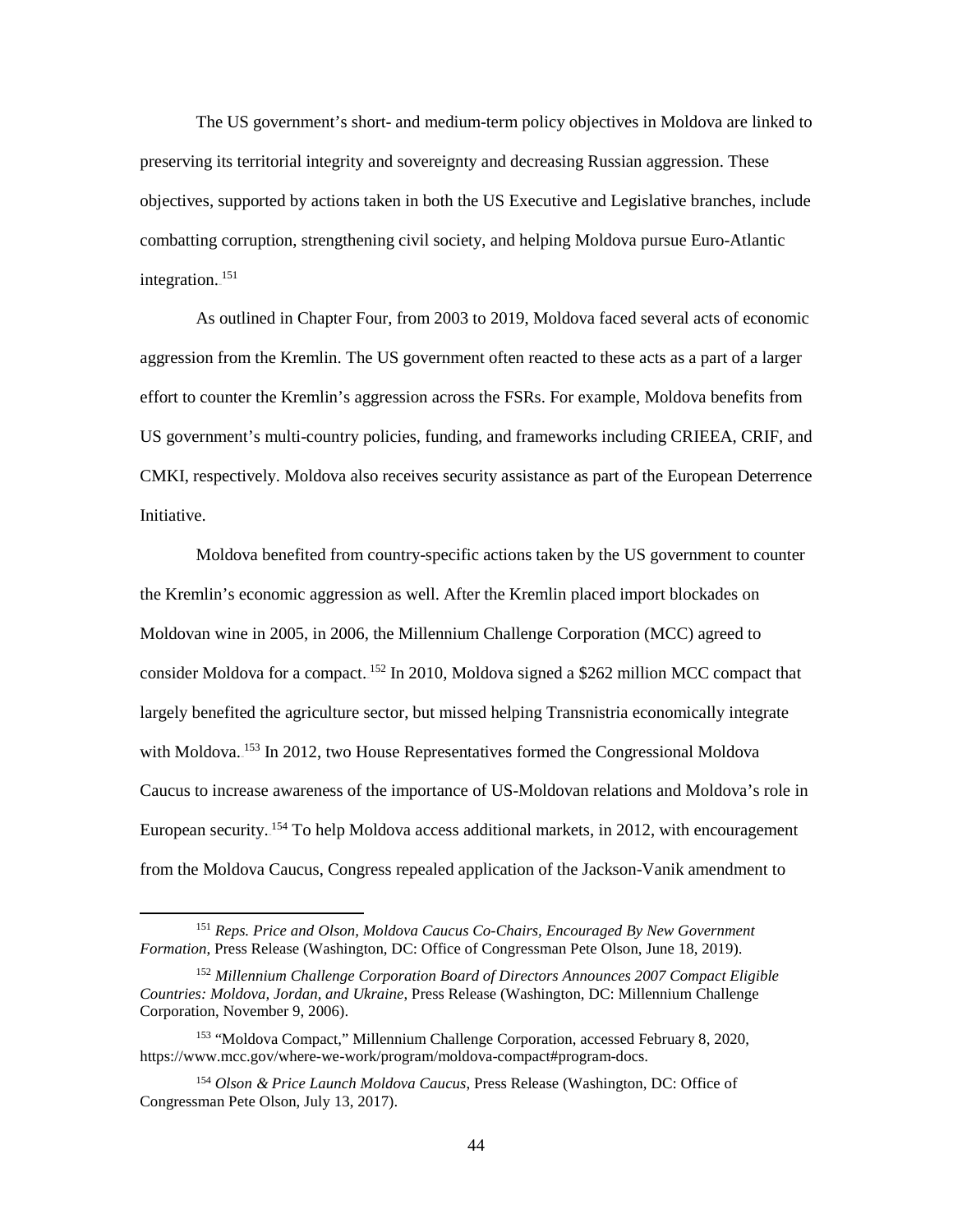The US government's short- and medium-term policy objectives in Moldova are linked to preserving its territorial integrity and sovereignty and decreasing Russian aggression. These objectives, supported by actions taken in both the US Executive and Legislative branches, include combatting corruption, strengthening civil society, and helping Moldova pursue Euro-Atlantic integration.<sup>151</sup>

As outlined in Chapter Four, from 2003 to 2019, Moldova faced several acts of economic aggression from the Kremlin. The US government often reacted to these acts as a part of a larger effort to counter the Kremlin's aggression across the FSRs. For example, Moldova benefits from US government's multi-country policies, funding, and frameworks including CRIEEA, CRIF, and CMKI, respectively. Moldova also receives security assistance as part of the European Deterrence Initiative.

Moldova benefited from country-specific actions taken by the US government to counter the Kremlin's economic aggression as well. After the Kremlin placed import blockades on Moldovan wine in 2005, in 2006, the Millennium Challenge Corporation (MCC) agreed to consider Moldova for a compact.<sup>152</sup> In 2010, Moldova signed a \$262 million MCC compact that largely benefited the agriculture sector, but missed helping Transnistria economically integrate with Moldova.<sup>153</sup> In 2012, two House Representatives formed the Congressional Moldova Caucus to increase awareness of the importance of US-Moldovan relations and Moldova's role in European security.<sup>154</sup> To help Moldova access additional markets, in 2012, with encouragement from the Moldova Caucus, Congress repealed application of the Jackson-Vanik amendment to

<sup>151</sup> *Reps. Price and Olson, Moldova Caucus Co-Chairs, Encouraged By New Government Formation*, Press Release (Washington, DC: Office of Congressman Pete Olson, June 18, 2019).

<sup>152</sup> *Millennium Challenge Corporation Board of Directors Announces 2007 Compact Eligible Countries: Moldova, Jordan, and Ukraine*, Press Release (Washington, DC: Millennium Challenge Corporation, November 9, 2006).

<sup>153</sup> "Moldova Compact," Millennium Challenge Corporation, accessed February 8, 2020, https://www.mcc.gov/where-we-work/program/moldova-compact#program-docs.

<sup>154</sup> *Olson & Price Launch Moldova Caucus*, Press Release (Washington, DC: Office of Congressman Pete Olson, July 13, 2017).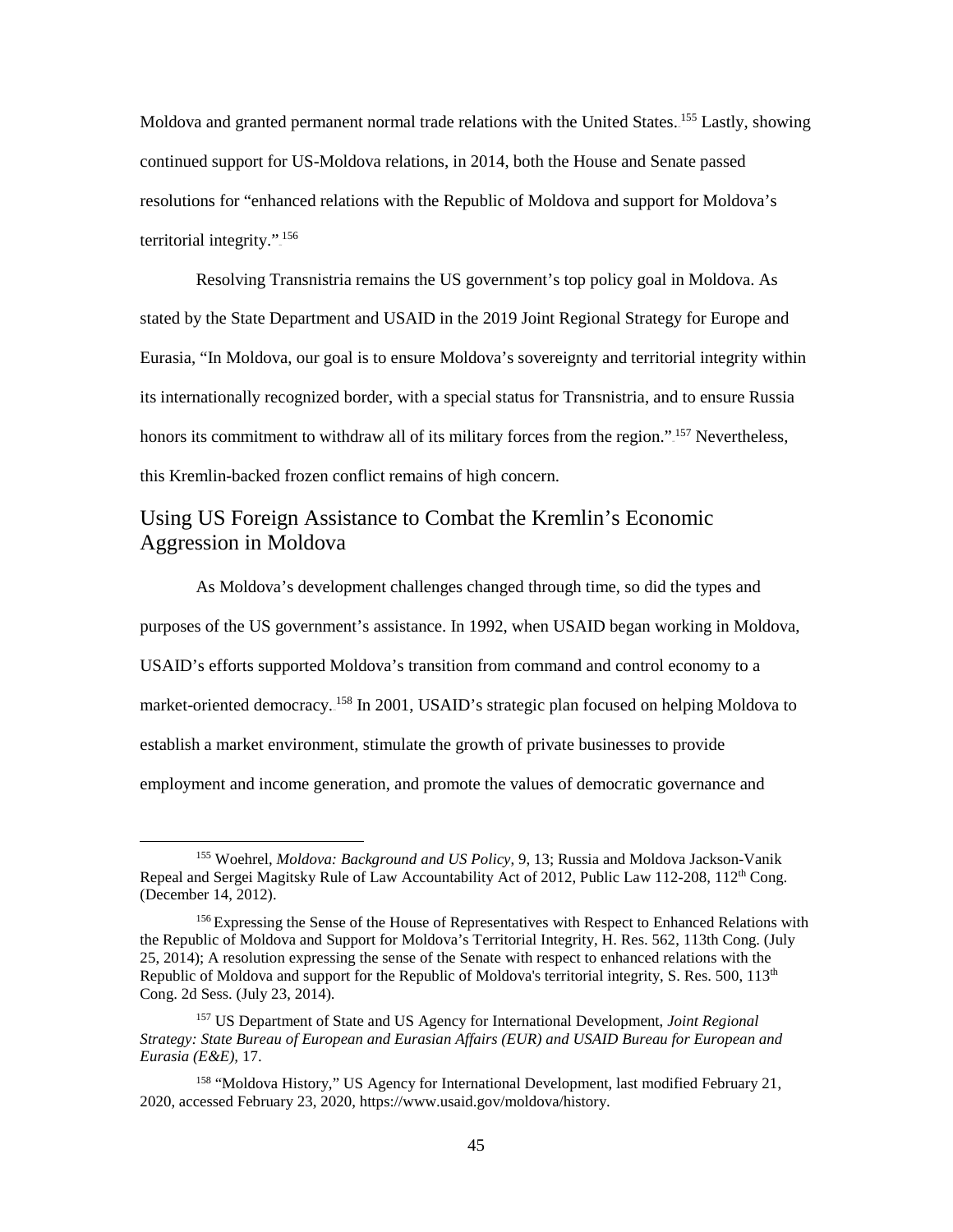Moldova and granted permanent normal trade relations with the United States.<sup>155</sup> Lastly, showing continued support for US-Moldova relations, in 2014, both the House and Senate passed resolutions for "enhanced relations with the Republic of Moldova and support for Moldova's territorial integrity.".<sup>156</sup>

Resolving Transnistria remains the US government's top policy goal in Moldova. As stated by the State Department and USAID in the 2019 Joint Regional Strategy for Europe and Eurasia, "In Moldova, our goal is to ensure Moldova's sovereignty and territorial integrity within its internationally recognized border, with a special status for Transnistria, and to ensure Russia honors its commitment to withdraw all of its military forces from the region."<sup>157</sup> Nevertheless, this Kremlin-backed frozen conflict remains of high concern.

# Using US Foreign Assistance to Combat the Kremlin's Economic Aggression in Moldova

As Moldova's development challenges changed through time, so did the types and purposes of the US government's assistance. In 1992, when USAID began working in Moldova, USAID's efforts supported Moldova's transition from command and control economy to a market-oriented democracy.<sup>158</sup> In 2001, USAID's strategic plan focused on helping Moldova to establish a market environment, stimulate the growth of private businesses to provide employment and income generation, and promote the values of democratic governance and

<sup>155</sup> Woehrel, *Moldova: Background and US Policy*, 9, 13; Russia and Moldova Jackson-Vanik Repeal and Sergei Magitsky Rule of Law Accountability Act of 2012, Public Law 112-208, 112<sup>th</sup> Cong. (December 14, 2012).

<sup>&</sup>lt;sup>156</sup> Expressing the Sense of the House of Representatives with Respect to Enhanced Relations with the Republic of Moldova and Support for Moldova's Territorial Integrity, H. Res. 562, 113th Cong. (July 25, 2014); A resolution expressing the sense of the Senate with respect to enhanced relations with the Republic of Moldova and support for the Republic of Moldova's territorial integrity, S. Res. 500, 113<sup>th</sup> Cong. 2d Sess. (July 23, 2014).

<sup>157</sup> US Department of State and US Agency for International Development, *Joint Regional Strategy: State Bureau of European and Eurasian Affairs (EUR) and USAID Bureau for European and Eurasia (E&E),* 17.

<sup>158</sup> "Moldova History," US Agency for International Development, last modified February 21, 2020, accessed February 23, 2020, https://www.usaid.gov/moldova/history.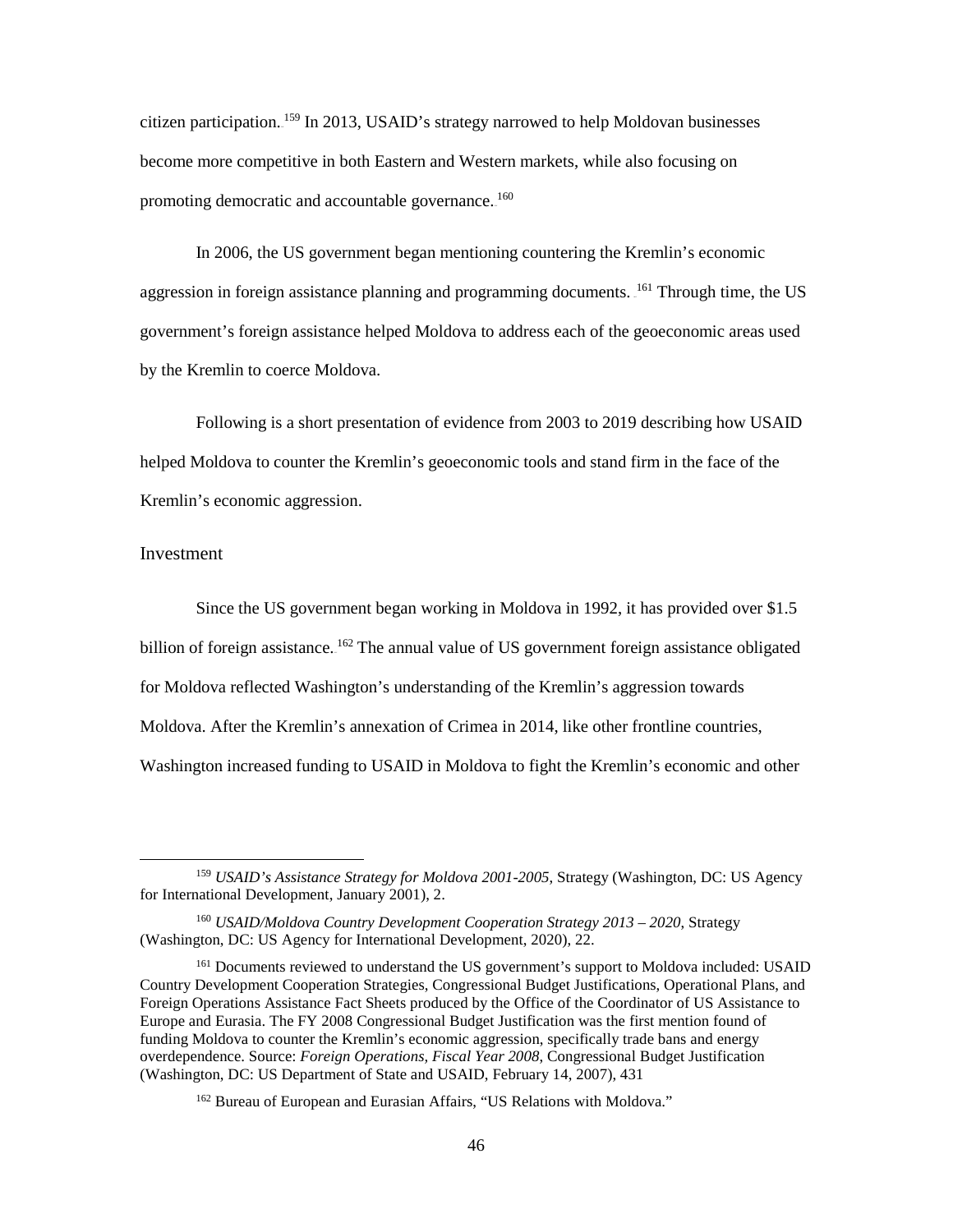citizen participation.<sup>159</sup> In 2013, USAID's strategy narrowed to help Moldovan businesses become more competitive in both Eastern and Western markets, while also focusing on promoting democratic and accountable governance.<sup>160</sup>

In 2006, the US government began mentioning countering the Kremlin's economic aggression in foreign assistance planning and programming documents. <sup>161</sup> Through time, the US government's foreign assistance helped Moldova to address each of the geoeconomic areas used by the Kremlin to coerce Moldova.

Following is a short presentation of evidence from 2003 to 2019 describing how USAID helped Moldova to counter the Kremlin's geoeconomic tools and stand firm in the face of the Kremlin's economic aggression.

#### Investment

 $\overline{a}$ 

Since the US government began working in Moldova in 1992, it has provided over \$1.5 billion of foreign assistance. <sup>162</sup> The annual value of US government foreign assistance obligated for Moldova reflected Washington's understanding of the Kremlin's aggression towards Moldova. After the Kremlin's annexation of Crimea in 2014, like other frontline countries, Washington increased funding to USAID in Moldova to fight the Kremlin's economic and other

<sup>159</sup> *USAID's Assistance Strategy for Moldova 2001-2005*, Strategy (Washington, DC: US Agency for International Development, January 2001), 2.

<sup>160</sup> *USAID/Moldova Country Development Cooperation Strategy 2013 – 2020*, Strategy (Washington, DC: US Agency for International Development, 2020), 22.

<sup>&</sup>lt;sup>161</sup> Documents reviewed to understand the US government's support to Moldova included: USAID Country Development Cooperation Strategies, Congressional Budget Justifications, Operational Plans, and Foreign Operations Assistance Fact Sheets produced by the Office of the Coordinator of US Assistance to Europe and Eurasia. The FY 2008 Congressional Budget Justification was the first mention found of funding Moldova to counter the Kremlin's economic aggression, specifically trade bans and energy overdependence. Source: *Foreign Operations, Fiscal Year 2008*, Congressional Budget Justification (Washington, DC: US Department of State and USAID, February 14, 2007), 431

<sup>&</sup>lt;sup>162</sup> Bureau of European and Eurasian Affairs, "US Relations with Moldova."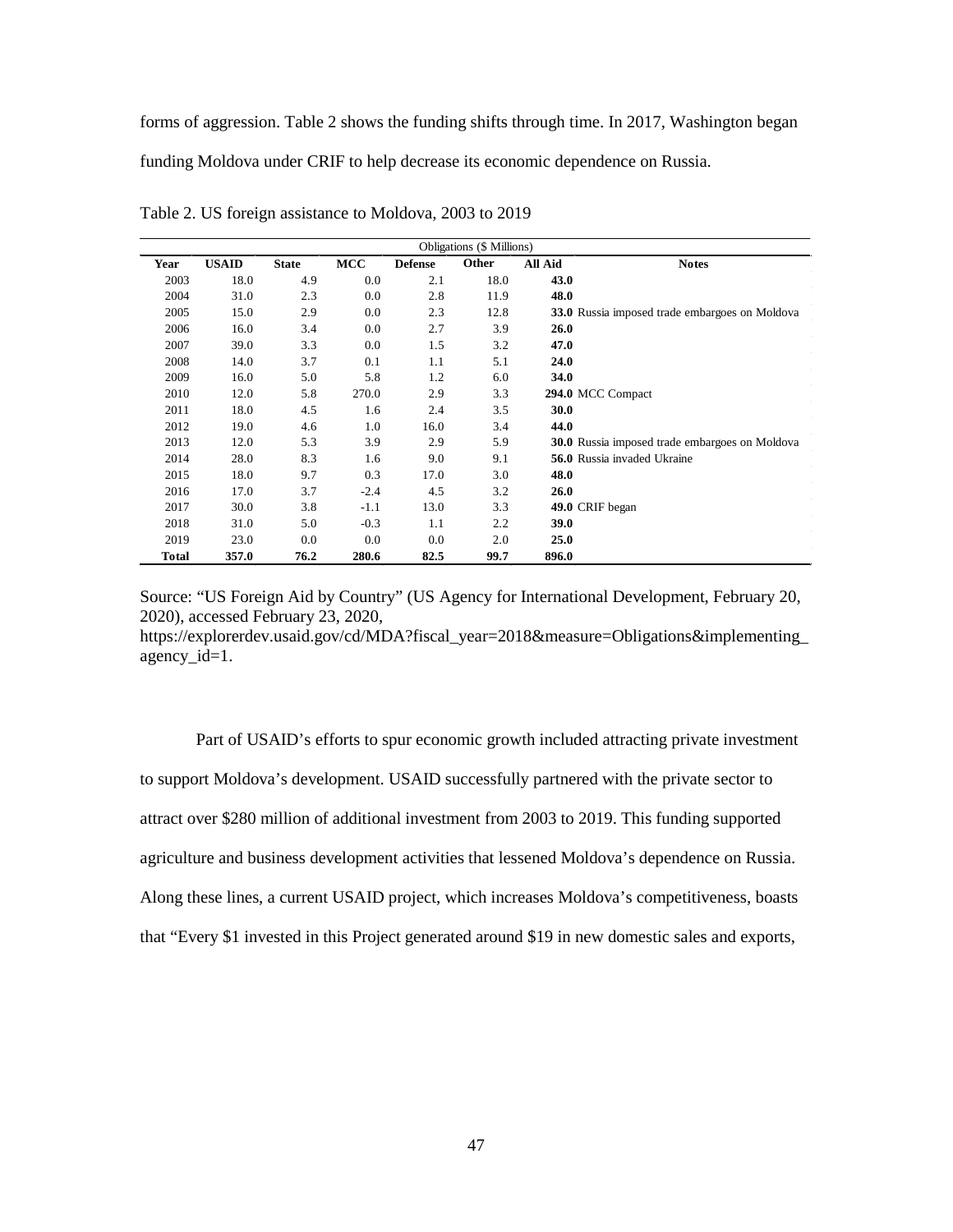forms of aggression. Table 2 shows the funding shifts through time. In 2017, Washington began

funding Moldova under CRIF to help decrease its economic dependence on Russia.

| <b>Obligations</b> (\$ Millions) |              |              |        |                |       |             |                                                       |
|----------------------------------|--------------|--------------|--------|----------------|-------|-------------|-------------------------------------------------------|
| Year                             | <b>USAID</b> | <b>State</b> | MCC    | <b>Defense</b> | Other | All Aid     | <b>Notes</b>                                          |
| 2003                             | 18.0         | 4.9          | 0.0    | 2.1            | 18.0  | 43.0        |                                                       |
| 2004                             | 31.0         | 2.3          | 0.0    | 2.8            | 11.9  | 48.0        |                                                       |
| 2005                             | 15.0         | 2.9          | 0.0    | 2.3            | 12.8  |             | <b>33.0</b> Russia imposed trade embargoes on Moldova |
| 2006                             | 16.0         | 3.4          | 0.0    | 2.7            | 3.9   | 26.0        |                                                       |
| 2007                             | 39.0         | 3.3          | 0.0    | 1.5            | 3.2   | 47.0        |                                                       |
| 2008                             | 14.0         | 3.7          | 0.1    | 1.1            | 5.1   | 24.0        |                                                       |
| 2009                             | 16.0         | 5.0          | 5.8    | 1.2            | 6.0   | 34.0        |                                                       |
| 2010                             | 12.0         | 5.8          | 270.0  | 2.9            | 3.3   |             | 294.0 MCC Compact                                     |
| 2011                             | 18.0         | 4.5          | 1.6    | 2.4            | 3.5   | <b>30.0</b> |                                                       |
| 2012                             | 19.0         | 4.6          | 1.0    | 16.0           | 3.4   | 44.0        |                                                       |
| 2013                             | 12.0         | 5.3          | 3.9    | 2.9            | 5.9   |             | 30.0 Russia imposed trade embargoes on Moldova        |
| 2014                             | 28.0         | 8.3          | 1.6    | 9.0            | 9.1   |             | <b>56.0</b> Russia invaded Ukraine                    |
| 2015                             | 18.0         | 9.7          | 0.3    | 17.0           | 3.0   | 48.0        |                                                       |
| 2016                             | 17.0         | 3.7          | $-2.4$ | 4.5            | 3.2   | 26.0        |                                                       |
| 2017                             | 30.0         | 3.8          | $-1.1$ | 13.0           | 3.3   |             | 49.0 CRIF began                                       |
| 2018                             | 31.0         | 5.0          | $-0.3$ | 1.1            | 2.2   | 39.0        |                                                       |
| 2019                             | 23.0         | 0.0          | 0.0    | 0.0            | 2.0   | 25.0        |                                                       |
| Total                            | 357.0        | 76.2         | 280.6  | 82.5           | 99.7  | 896.0       |                                                       |

Table 2. US foreign assistance to Moldova, 2003 to 2019

Source: "US Foreign Aid by Country" (US Agency for International Development, February 20, 2020), accessed February 23, 2020,

https://explorerdev.usaid.gov/cd/MDA?fiscal\_year=2018&measure=Obligations&implementing\_ agency\_id=1.

Part of USAID's efforts to spur economic growth included attracting private investment to support Moldova's development. USAID successfully partnered with the private sector to attract over \$280 million of additional investment from 2003 to 2019. This funding supported agriculture and business development activities that lessened Moldova's dependence on Russia. Along these lines, a current USAID project, which increases Moldova's competitiveness, boasts that "Every \$1 invested in this Project generated around \$19 in new domestic sales and exports,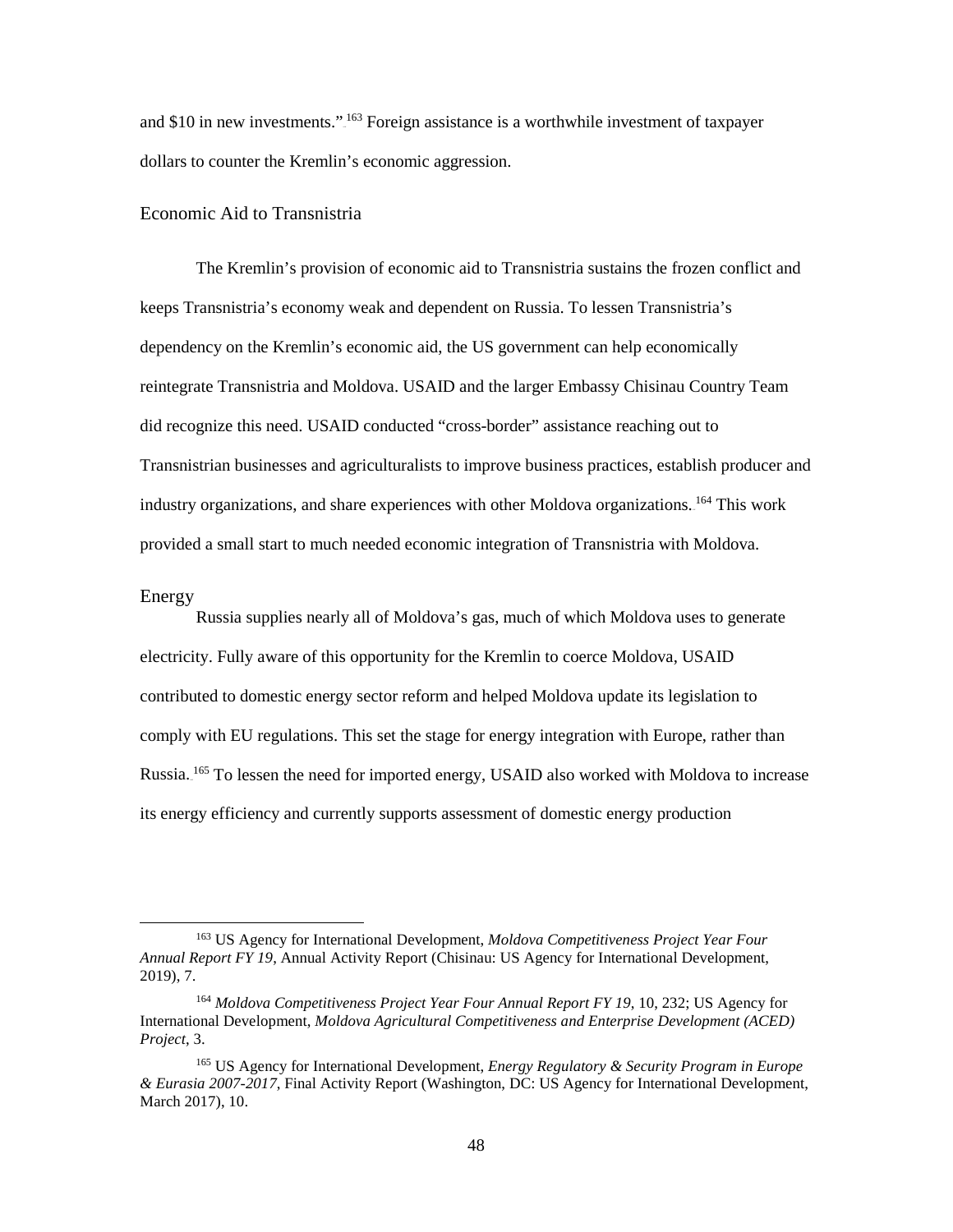and \$10 in new investments."<sup>163</sup> Foreign assistance is a worthwhile investment of taxpayer dollars to counter the Kremlin's economic aggression.

# Economic Aid to Transnistria

The Kremlin's provision of economic aid to Transnistria sustains the frozen conflict and keeps Transnistria's economy weak and dependent on Russia. To lessen Transnistria's dependency on the Kremlin's economic aid, the US government can help economically reintegrate Transnistria and Moldova. USAID and the larger Embassy Chisinau Country Team did recognize this need. USAID conducted "cross-border" assistance reaching out to Transnistrian businesses and agriculturalists to improve business practices, establish producer and industry organizations, and share experiences with other Moldova organizations. <sup>164</sup> This work provided a small start to much needed economic integration of Transnistria with Moldova.

#### Energy

l

Russia supplies nearly all of Moldova's gas, much of which Moldova uses to generate electricity. Fully aware of this opportunity for the Kremlin to coerce Moldova, USAID contributed to domestic energy sector reform and helped Moldova update its legislation to comply with EU regulations. This set the stage for energy integration with Europe, rather than Russia.<sup>165</sup> To lessen the need for imported energy, USAID also worked with Moldova to increase its energy efficiency and currently supports assessment of domestic energy production

<sup>163</sup> US Agency for International Development, *Moldova Competitiveness Project Year Four Annual Report FY 19*, Annual Activity Report (Chisinau: US Agency for International Development, 2019), 7.

<sup>164</sup> *Moldova Competitiveness Project Year Four Annual Report FY 19*, 10, 232; US Agency for International Development, *Moldova Agricultural Competitiveness and Enterprise Development (ACED) Project*, 3.

<sup>165</sup> US Agency for International Development, *Energy Regulatory & Security Program in Europe & Eurasia 2007-2017*, Final Activity Report (Washington, DC: US Agency for International Development, March 2017), 10.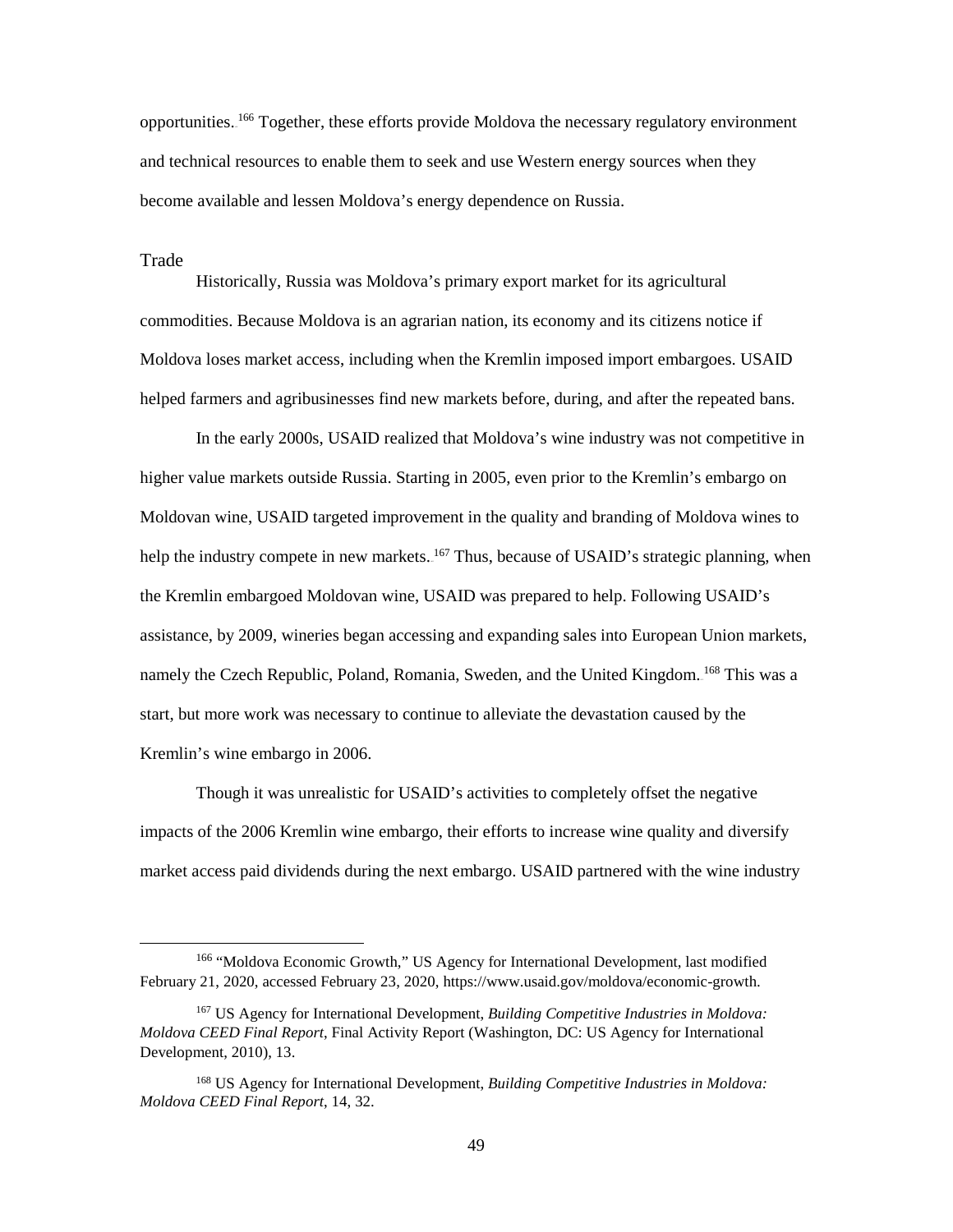opportunities.<sup>166</sup> Together, these efforts provide Moldova the necessary regulatory environment and technical resources to enable them to seek and use Western energy sources when they become available and lessen Moldova's energy dependence on Russia.

#### Trade

l

Historically, Russia was Moldova's primary export market for its agricultural commodities. Because Moldova is an agrarian nation, its economy and its citizens notice if Moldova loses market access, including when the Kremlin imposed import embargoes. USAID helped farmers and agribusinesses find new markets before, during, and after the repeated bans.

In the early 2000s, USAID realized that Moldova's wine industry was not competitive in higher value markets outside Russia. Starting in 2005, even prior to the Kremlin's embargo on Moldovan wine, USAID targeted improvement in the quality and branding of Moldova wines to help the industry compete in new markets.<sup>167</sup> Thus, because of USAID's strategic planning, when the Kremlin embargoed Moldovan wine, USAID was prepared to help. Following USAID's assistance, by 2009, wineries began accessing and expanding sales into European Union markets, namely the Czech Republic, Poland, Romania, Sweden, and the United Kingdom.<sup>168</sup> This was a start, but more work was necessary to continue to alleviate the devastation caused by the Kremlin's wine embargo in 2006.

Though it was unrealistic for USAID's activities to completely offset the negative impacts of the 2006 Kremlin wine embargo, their efforts to increase wine quality and diversify market access paid dividends during the next embargo. USAID partnered with the wine industry

<sup>166</sup> "Moldova Economic Growth," US Agency for International Development, last modified February 21, 2020, accessed February 23, 2020[, https://www.usaid.gov/moldova/economic-growth.](https://www.usaid.gov/moldova/economic-growth) 

<sup>167</sup> US Agency for International Development, *Building Competitive Industries in Moldova: Moldova CEED Final Report*, Final Activity Report (Washington, DC: US Agency for International Development, 2010), 13.

<sup>168</sup> US Agency for International Development, *Building Competitive Industries in Moldova: Moldova CEED Final Report*, 14, 32.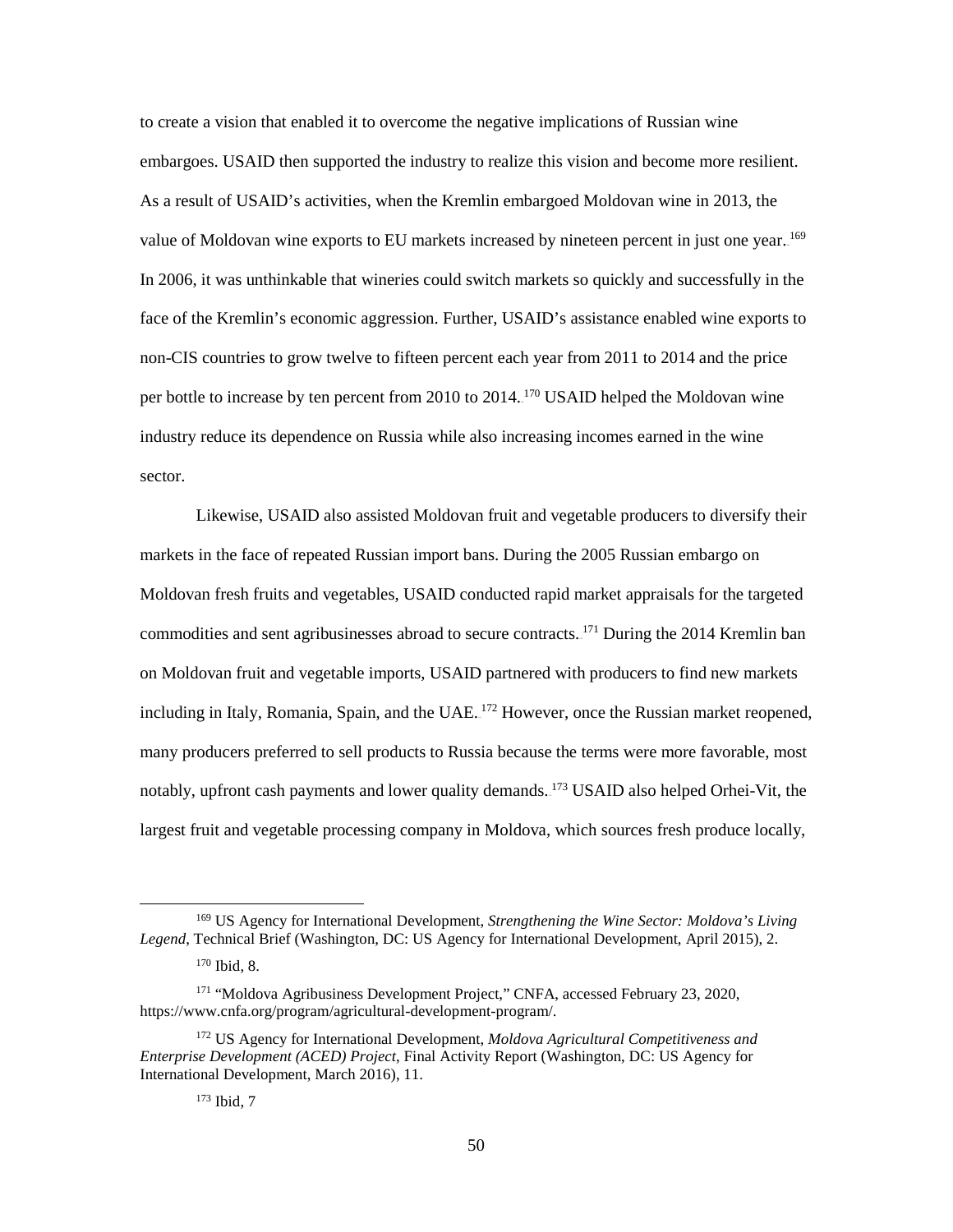to create a vision that enabled it to overcome the negative implications of Russian wine embargoes. USAID then supported the industry to realize this vision and become more resilient. As a result of USAID's activities, when the Kremlin embargoed Moldovan wine in 2013, the value of Moldovan wine exports to EU markets increased by nineteen percent in just one year. <sup>169</sup> In 2006, it was unthinkable that wineries could switch markets so quickly and successfully in the face of the Kremlin's economic aggression. Further, USAID's assistance enabled wine exports to non-CIS countries to grow twelve to fifteen percent each year from 2011 to 2014 and the price per bottle to increase by ten percent from 2010 to 2014.<sup>170</sup> USAID helped the Moldovan wine industry reduce its dependence on Russia while also increasing incomes earned in the wine sector.

Likewise, USAID also assisted Moldovan fruit and vegetable producers to diversify their markets in the face of repeated Russian import bans. During the 2005 Russian embargo on Moldovan fresh fruits and vegetables, USAID conducted rapid market appraisals for the targeted commodities and sent agribusinesses abroad to secure contracts.<sup>171</sup> During the 2014 Kremlin ban on Moldovan fruit and vegetable imports, USAID partnered with producers to find new markets including in Italy, Romania, Spain, and the UAE.<sup>172</sup> However, once the Russian market reopened, many producers preferred to sell products to Russia because the terms were more favorable, most notably, upfront cash payments and lower quality demands.<sup>173</sup> USAID also helped Orhei-Vit, the largest fruit and vegetable processing company in Moldova, which sources fresh produce locally,

<sup>169</sup> US Agency for International Development, *Strengthening the Wine Sector: Moldova's Living Legend*, Technical Brief (Washington, DC: US Agency for International Development, April 2015), 2.

<sup>170</sup> Ibid, 8.

<sup>171</sup> "Moldova Agribusiness Development Project," CNFA, accessed February 23, 2020, https://www.cnfa.org/program/agricultural-development-program/.

<sup>172</sup> US Agency for International Development, *Moldova Agricultural Competitiveness and Enterprise Development (ACED) Project*, Final Activity Report (Washington, DC: US Agency for International Development, March 2016), 11.

<sup>173</sup> Ibid, 7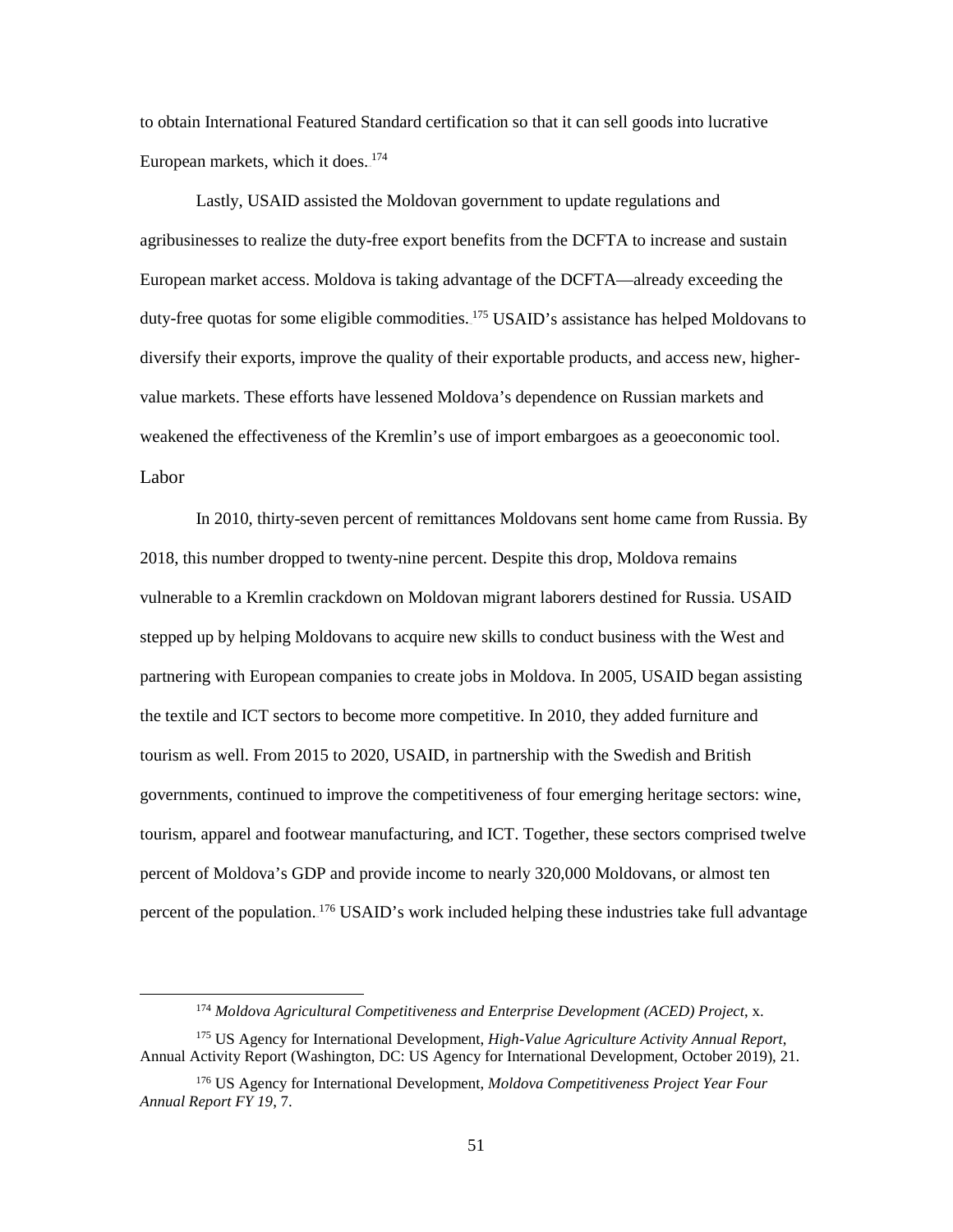to obtain International Featured Standard certification so that it can sell goods into lucrative European markets, which it does.<sup>174</sup>

Lastly, USAID assisted the Moldovan government to update regulations and agribusinesses to realize the duty-free export benefits from the DCFTA to increase and sustain European market access. Moldova is taking advantage of the DCFTA—already exceeding the duty-free quotas for some eligible commodities.<sup>175</sup> USAID's assistance has helped Moldovans to diversify their exports, improve the quality of their exportable products, and access new, highervalue markets. These efforts have lessened Moldova's dependence on Russian markets and weakened the effectiveness of the Kremlin's use of import embargoes as a geoeconomic tool. Labor

 In 2010, thirty-seven percent of remittances Moldovans sent home came from Russia. By 2018, this number dropped to twenty-nine percent. Despite this drop, Moldova remains vulnerable to a Kremlin crackdown on Moldovan migrant laborers destined for Russia. USAID stepped up by helping Moldovans to acquire new skills to conduct business with the West and partnering with European companies to create jobs in Moldova. In 2005, USAID began assisting the textile and ICT sectors to become more competitive. In 2010, they added furniture and tourism as well. From 2015 to 2020, USAID, in partnership with the Swedish and British governments, continued to improve the competitiveness of four emerging heritage sectors: wine, tourism, apparel and footwear manufacturing, and ICT. Together, these sectors comprised twelve percent of Moldova's GDP and provide income to nearly 320,000 Moldovans, or almost ten percent of the population.<sup>176</sup> USAID's work included helping these industries take full advantage

 $\overline{\phantom{a}}$ 

<sup>174</sup> *Moldova Agricultural Competitiveness and Enterprise Development (ACED) Project*, x.

<sup>175</sup> US Agency for International Development, *High-Value Agriculture Activity Annual Report*, Annual Activity Report (Washington, DC: US Agency for International Development, October 2019), 21.

<sup>176</sup> US Agency for International Development, *Moldova Competitiveness Project Year Four Annual Report FY 19*, 7.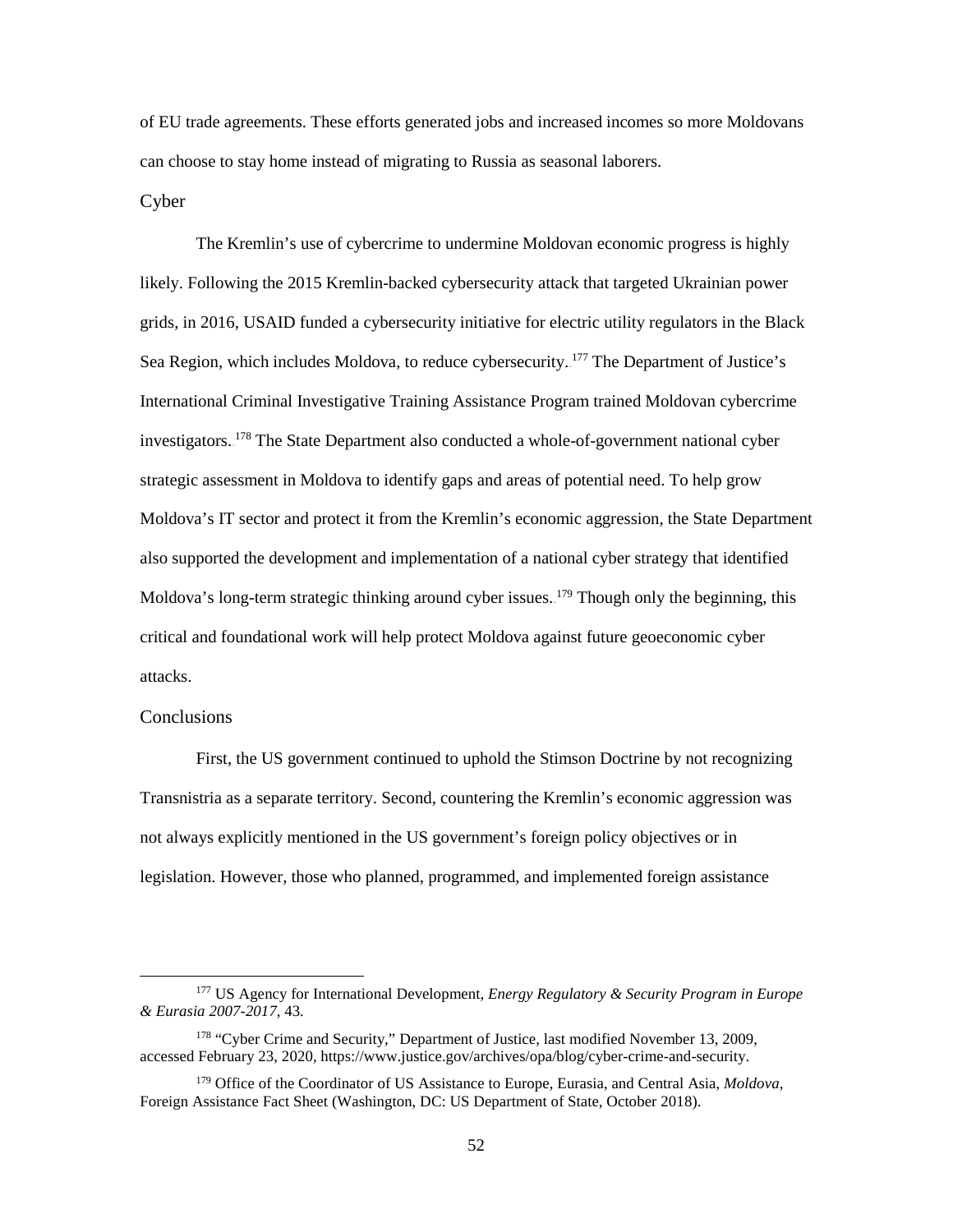of EU trade agreements. These efforts generated jobs and increased incomes so more Moldovans can choose to stay home instead of migrating to Russia as seasonal laborers.

#### Cyber

The Kremlin's use of cybercrime to undermine Moldovan economic progress is highly likely. Following the 2015 Kremlin-backed cybersecurity attack that targeted Ukrainian power grids, in 2016, USAID funded a cybersecurity initiative for electric utility regulators in the Black Sea Region, which includes Moldova, to reduce cybersecurity.<sup>177</sup> The Department of Justice's International Criminal Investigative Training Assistance Program trained Moldovan cybercrime investigators.<sup>178</sup> The State Department also conducted a whole-of-government national cyber strategic assessment in Moldova to identify gaps and areas of potential need. To help grow Moldova's IT sector and protect it from the Kremlin's economic aggression, the State Department also supported the development and implementation of a national cyber strategy that identified Moldova's long-term strategic thinking around cyber issues. <sup>179</sup> Though only the beginning, this critical and foundational work will help protect Moldova against future geoeconomic cyber attacks.

## **Conclusions**

 $\overline{a}$ 

First, the US government continued to uphold the Stimson Doctrine by not recognizing Transnistria as a separate territory. Second, countering the Kremlin's economic aggression was not always explicitly mentioned in the US government's foreign policy objectives or in legislation. However, those who planned, programmed, and implemented foreign assistance

<sup>177</sup> US Agency for International Development, *Energy Regulatory & Security Program in Europe & Eurasia 2007-2017*, 43.

<sup>&</sup>lt;sup>178</sup> "Cyber Crime and Security," Department of Justice, last modified November 13, 2009, accessed February 23, 2020, https://www.justice.gov/archives/opa/blog/cyber-crime-and-security.

<sup>179</sup> Office of the Coordinator of US Assistance to Europe, Eurasia, and Central Asia, *Moldova*, Foreign Assistance Fact Sheet (Washington, DC: US Department of State, October 2018).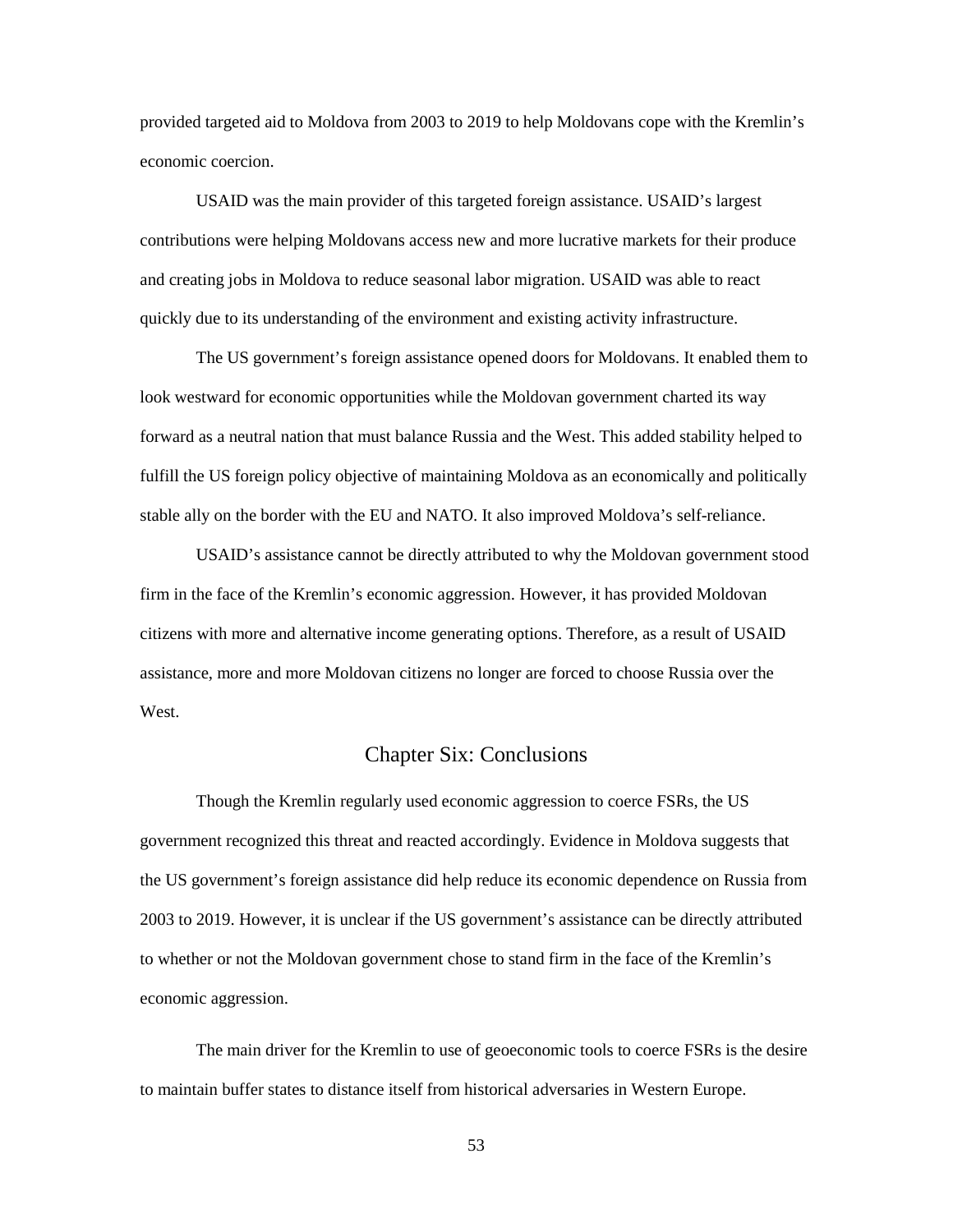provided targeted aid to Moldova from 2003 to 2019 to help Moldovans cope with the Kremlin's economic coercion.

USAID was the main provider of this targeted foreign assistance. USAID's largest contributions were helping Moldovans access new and more lucrative markets for their produce and creating jobs in Moldova to reduce seasonal labor migration. USAID was able to react quickly due to its understanding of the environment and existing activity infrastructure.

The US government's foreign assistance opened doors for Moldovans. It enabled them to look westward for economic opportunities while the Moldovan government charted its way forward as a neutral nation that must balance Russia and the West. This added stability helped to fulfill the US foreign policy objective of maintaining Moldova as an economically and politically stable ally on the border with the EU and NATO. It also improved Moldova's self-reliance.

USAID's assistance cannot be directly attributed to why the Moldovan government stood firm in the face of the Kremlin's economic aggression. However, it has provided Moldovan citizens with more and alternative income generating options. Therefore, as a result of USAID assistance, more and more Moldovan citizens no longer are forced to choose Russia over the West.

# Chapter Six: Conclusions

 Though the Kremlin regularly used economic aggression to coerce FSRs, the US government recognized this threat and reacted accordingly. Evidence in Moldova suggests that the US government's foreign assistance did help reduce its economic dependence on Russia from 2003 to 2019. However, it is unclear if the US government's assistance can be directly attributed to whether or not the Moldovan government chose to stand firm in the face of the Kremlin's economic aggression.

 The main driver for the Kremlin to use of geoeconomic tools to coerce FSRs is the desire to maintain buffer states to distance itself from historical adversaries in Western Europe.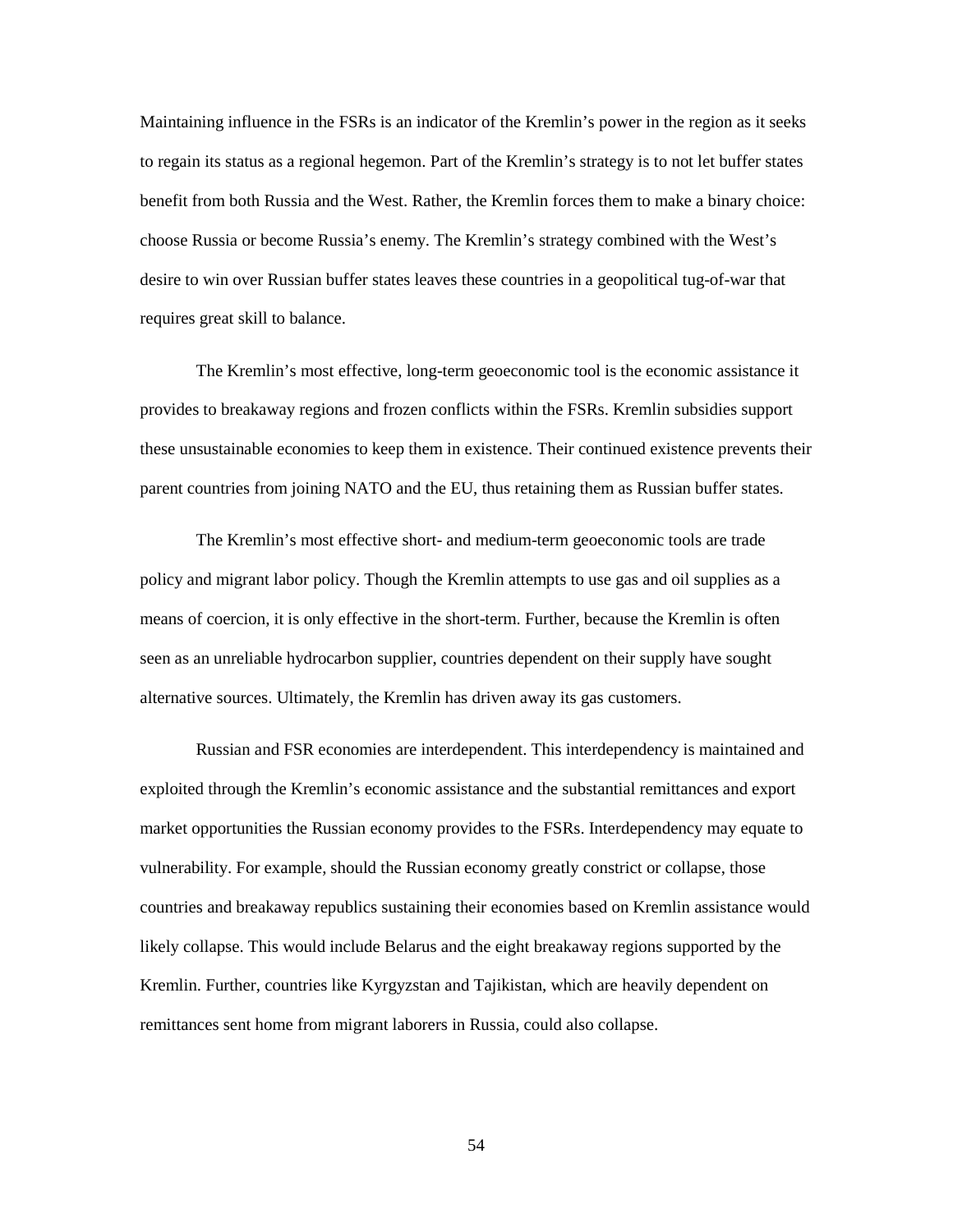Maintaining influence in the FSRs is an indicator of the Kremlin's power in the region as it seeks to regain its status as a regional hegemon. Part of the Kremlin's strategy is to not let buffer states benefit from both Russia and the West. Rather, the Kremlin forces them to make a binary choice: choose Russia or become Russia's enemy. The Kremlin's strategy combined with the West's desire to win over Russian buffer states leaves these countries in a geopolitical tug-of-war that requires great skill to balance.

The Kremlin's most effective, long-term geoeconomic tool is the economic assistance it provides to breakaway regions and frozen conflicts within the FSRs. Kremlin subsidies support these unsustainable economies to keep them in existence. Their continued existence prevents their parent countries from joining NATO and the EU, thus retaining them as Russian buffer states.

The Kremlin's most effective short- and medium-term geoeconomic tools are trade policy and migrant labor policy. Though the Kremlin attempts to use gas and oil supplies as a means of coercion, it is only effective in the short-term. Further, because the Kremlin is often seen as an unreliable hydrocarbon supplier, countries dependent on their supply have sought alternative sources. Ultimately, the Kremlin has driven away its gas customers.

Russian and FSR economies are interdependent. This interdependency is maintained and exploited through the Kremlin's economic assistance and the substantial remittances and export market opportunities the Russian economy provides to the FSRs. Interdependency may equate to vulnerability. For example, should the Russian economy greatly constrict or collapse, those countries and breakaway republics sustaining their economies based on Kremlin assistance would likely collapse. This would include Belarus and the eight breakaway regions supported by the Kremlin. Further, countries like Kyrgyzstan and Tajikistan, which are heavily dependent on remittances sent home from migrant laborers in Russia, could also collapse.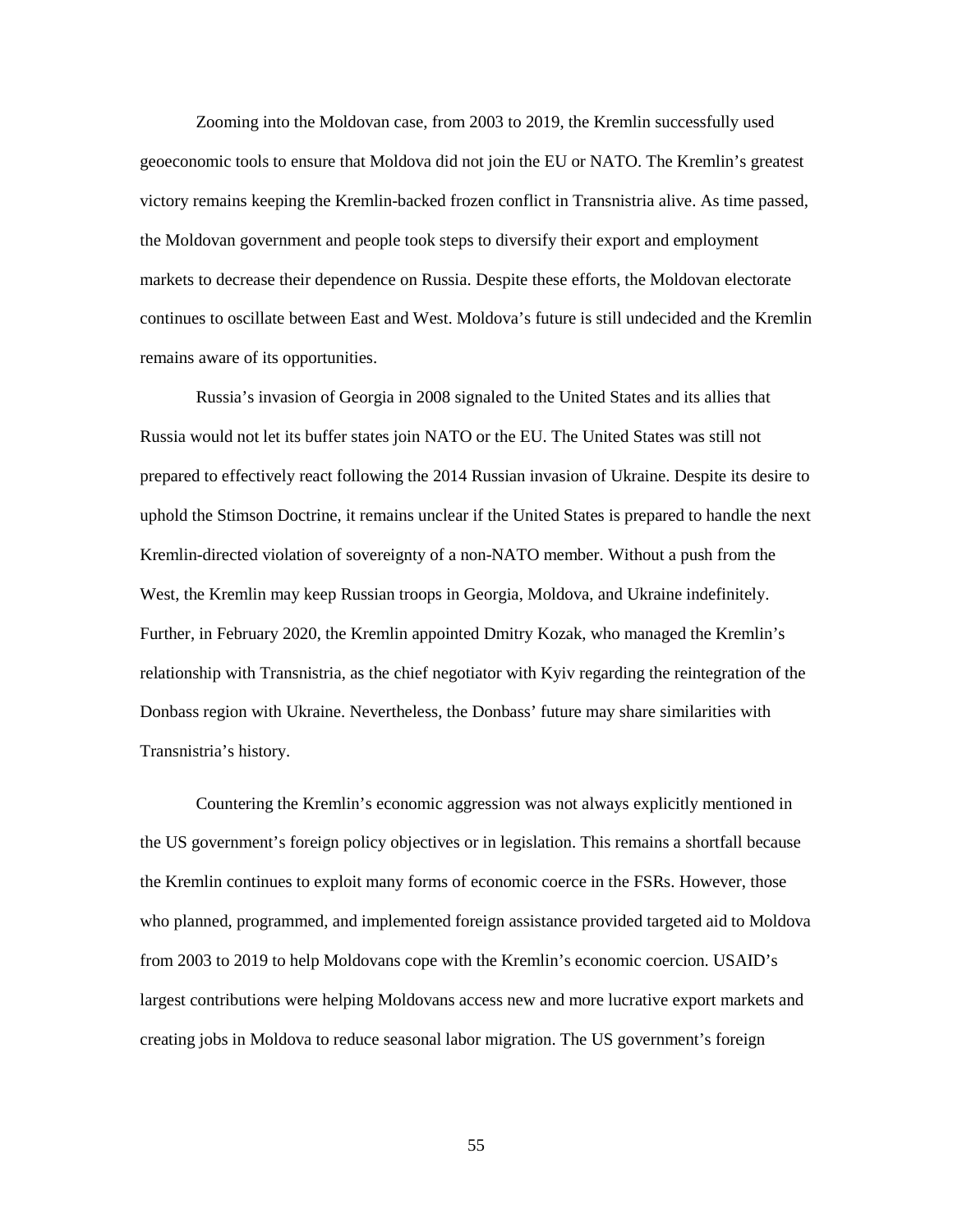Zooming into the Moldovan case, from 2003 to 2019, the Kremlin successfully used geoeconomic tools to ensure that Moldova did not join the EU or NATO. The Kremlin's greatest victory remains keeping the Kremlin-backed frozen conflict in Transnistria alive. As time passed, the Moldovan government and people took steps to diversify their export and employment markets to decrease their dependence on Russia. Despite these efforts, the Moldovan electorate continues to oscillate between East and West. Moldova's future is still undecided and the Kremlin remains aware of its opportunities.

Russia's invasion of Georgia in 2008 signaled to the United States and its allies that Russia would not let its buffer states join NATO or the EU. The United States was still not prepared to effectively react following the 2014 Russian invasion of Ukraine. Despite its desire to uphold the Stimson Doctrine, it remains unclear if the United States is prepared to handle the next Kremlin-directed violation of sovereignty of a non-NATO member. Without a push from the West, the Kremlin may keep Russian troops in Georgia, Moldova, and Ukraine indefinitely. Further, in February 2020, the Kremlin appointed Dmitry Kozak, who managed the Kremlin's relationship with Transnistria, as the chief negotiator with Kyiv regarding the reintegration of the Donbass region with Ukraine. Nevertheless, the Donbass' future may share similarities with Transnistria's history.

Countering the Kremlin's economic aggression was not always explicitly mentioned in the US government's foreign policy objectives or in legislation. This remains a shortfall because the Kremlin continues to exploit many forms of economic coerce in the FSRs. However, those who planned, programmed, and implemented foreign assistance provided targeted aid to Moldova from 2003 to 2019 to help Moldovans cope with the Kremlin's economic coercion. USAID's largest contributions were helping Moldovans access new and more lucrative export markets and creating jobs in Moldova to reduce seasonal labor migration. The US government's foreign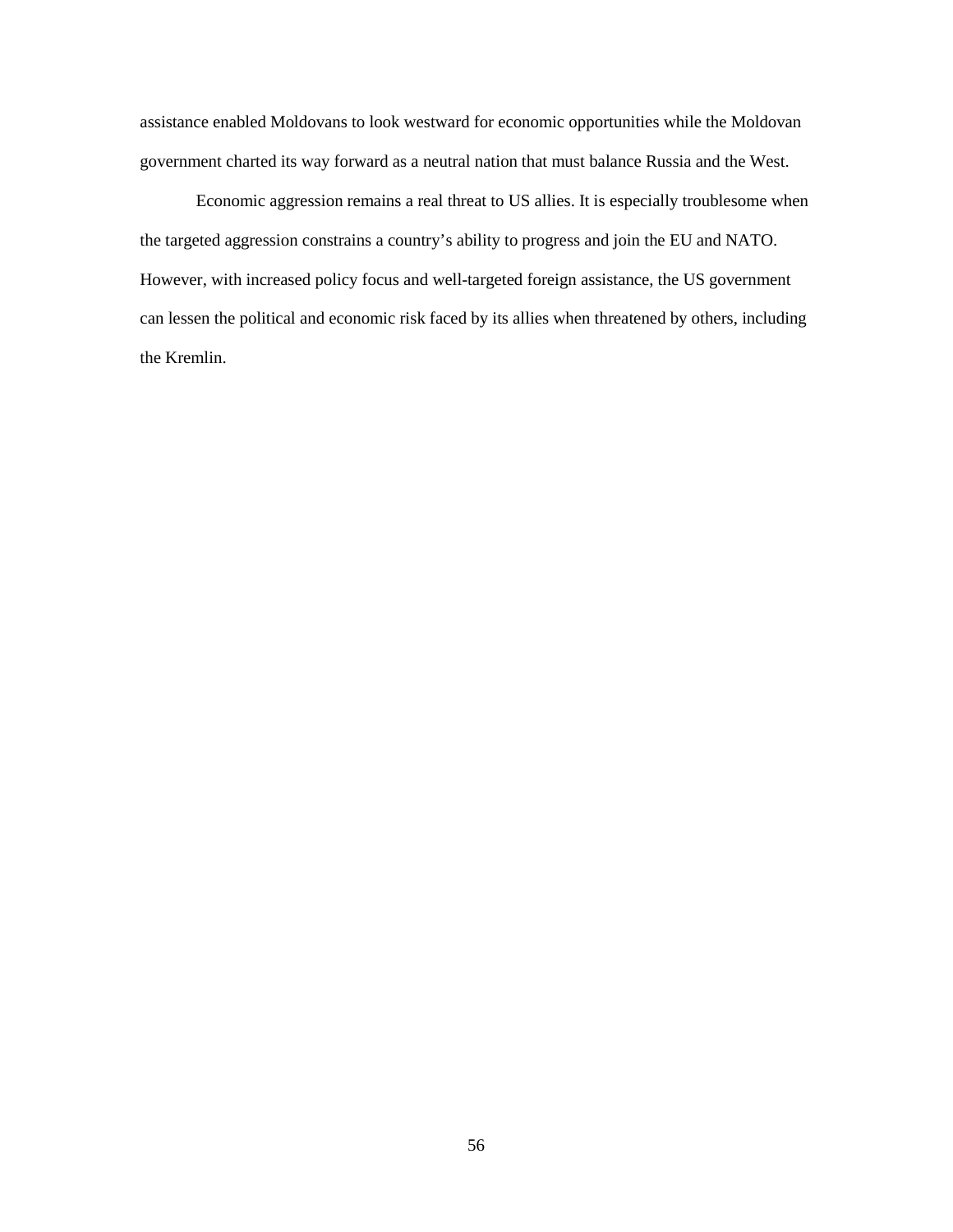assistance enabled Moldovans to look westward for economic opportunities while the Moldovan government charted its way forward as a neutral nation that must balance Russia and the West.

Economic aggression remains a real threat to US allies. It is especially troublesome when the targeted aggression constrains a country's ability to progress and join the EU and NATO. However, with increased policy focus and well-targeted foreign assistance, the US government can lessen the political and economic risk faced by its allies when threatened by others, including the Kremlin.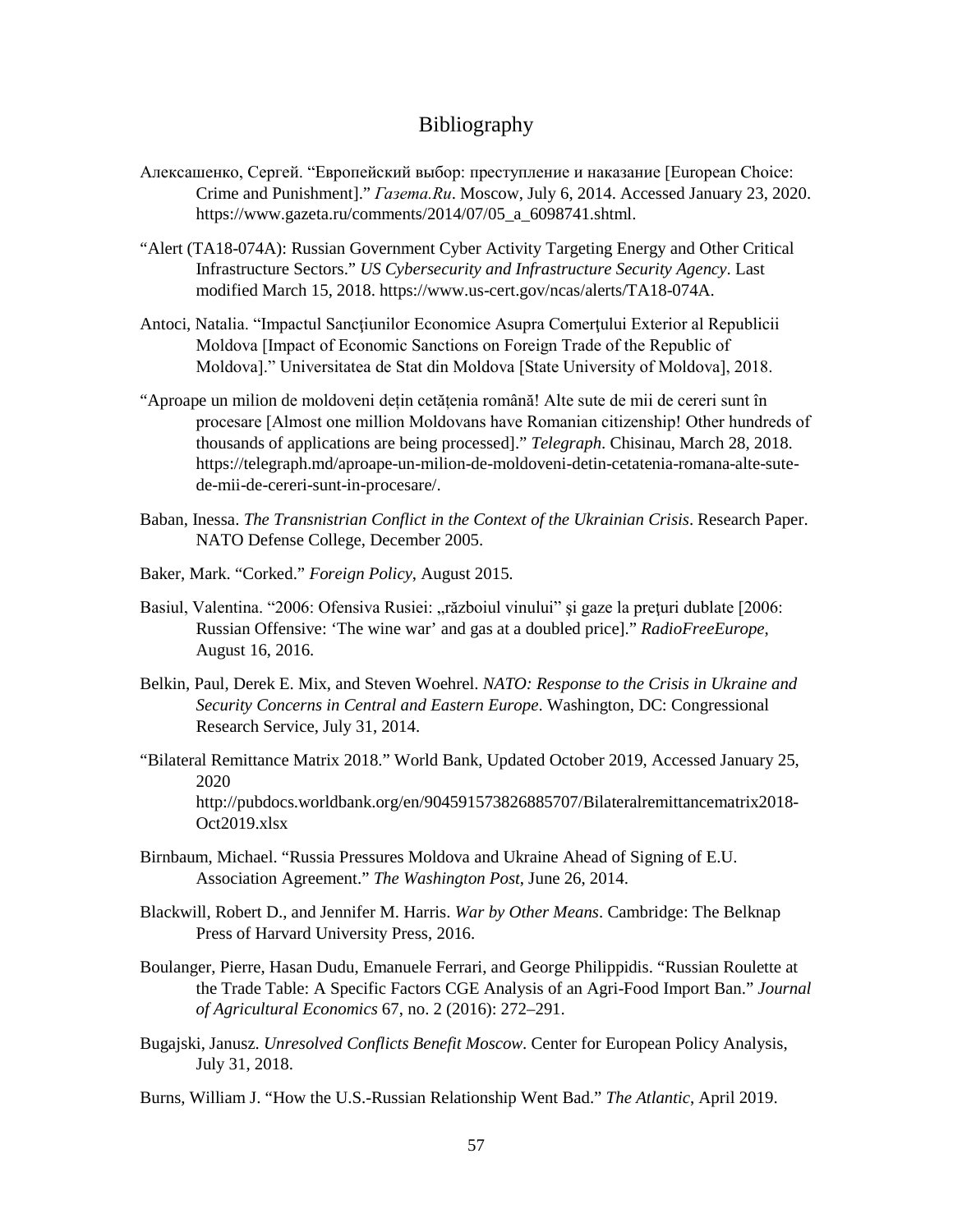# Bibliography

- Алексашенко, Сергей. "Европейский выбор: преступление и наказание [European Choice: Crime and Punishment]." *Газета.Ru*. Moscow, July 6, 2014. Accessed January 23, 2020. https://www.gazeta.ru/comments/2014/07/05\_a\_6098741.shtml.
- "Alert (TA18-074A): Russian Government Cyber Activity Targeting Energy and Other Critical Infrastructure Sectors." *US Cybersecurity and Infrastructure Security Agency*. Last modified March 15, 2018. https://www.us-cert.gov/ncas/alerts/TA18-074A.
- Antoci, Natalia. "Impactul Sancţiunilor Economice Asupra Comerţului Exterior al Republicii Moldova [Impact of Economic Sanctions on Foreign Trade of the Republic of Moldova]." Universitatea de Stat din Moldova [State University of Moldova], 2018.
- "Aproape un milion de moldoveni dețin cetățenia română! Alte sute de mii de cereri sunt în procesare [Almost one million Moldovans have Romanian citizenship! Other hundreds of thousands of applications are being processed]." *Telegraph*. Chisinau, March 28, 2018. https://telegraph.md/aproape-un-milion-de-moldoveni-detin-cetatenia-romana-alte-sutede-mii-de-cereri-sunt-in-procesare/.
- Baban, Inessa. *The Transnistrian Conflict in the Context of the Ukrainian Crisis*. Research Paper. NATO Defense College, December 2005.
- Baker, Mark. "Corked." *Foreign Policy*, August 2015.
- Basiul, Valentina. "2006: Ofensiva Rusiei: "războiul vinului" și gaze la prețuri dublate [2006: Russian Offensive: 'The wine war' and gas at a doubled price]." *RadioFreeEurope*, August 16, 2016.
- Belkin, Paul, Derek E. Mix, and Steven Woehrel. *NATO: Response to the Crisis in Ukraine and Security Concerns in Central and Eastern Europe*. Washington, DC: Congressional Research Service, July 31, 2014.
- "Bilateral Remittance Matrix 2018." World Bank, Updated October 2019, Accessed January 25, 2020 http://pubdocs.worldbank.org/en/904591573826885707/Bilateralremittancematrix2018- Oct2019.xlsx
- Birnbaum, Michael. "Russia Pressures Moldova and Ukraine Ahead of Signing of E.U. Association Agreement." *The Washington Post*, June 26, 2014.
- Blackwill, Robert D., and Jennifer M. Harris. *War by Other Means*. Cambridge: The Belknap Press of Harvard University Press, 2016.
- Boulanger, Pierre, Hasan Dudu, Emanuele Ferrari, and George Philippidis. "Russian Roulette at the Trade Table: A Specific Factors CGE Analysis of an Agri-Food Import Ban." *Journal of Agricultural Economics* 67, no. 2 (2016): 272–291.
- Bugajski, Janusz. *Unresolved Conflicts Benefit Moscow*. Center for European Policy Analysis, July 31, 2018.
- Burns, William J. "How the U.S.-Russian Relationship Went Bad." *The Atlantic*, April 2019.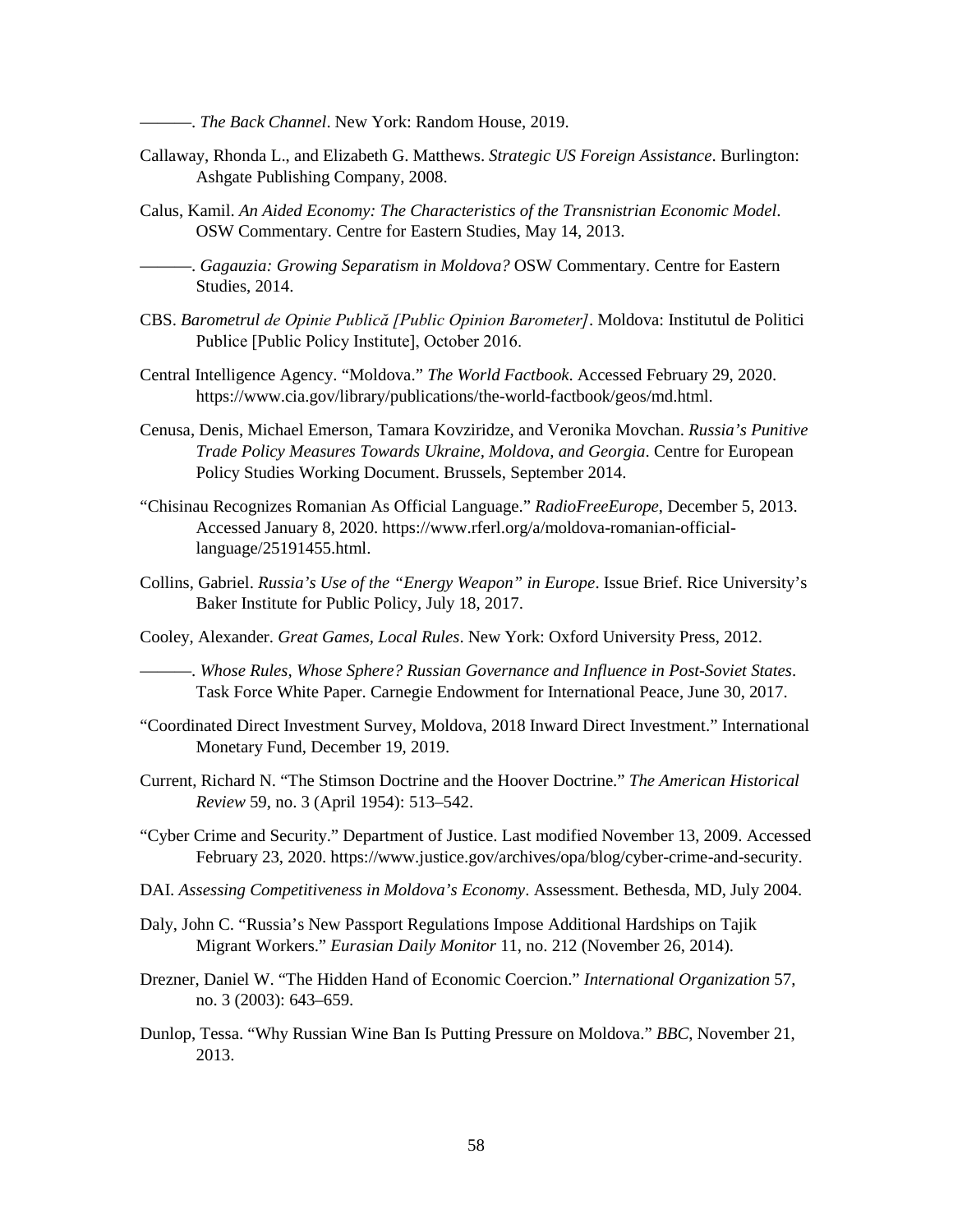———. *The Back Channel*. New York: Random House, 2019.

- Callaway, Rhonda L., and Elizabeth G. Matthews. *Strategic US Foreign Assistance*. Burlington: Ashgate Publishing Company, 2008.
- Calus, Kamil. *An Aided Economy: The Characteristics of the Transnistrian Economic Model*. OSW Commentary. Centre for Eastern Studies, May 14, 2013.

———. *Gagauzia: Growing Separatism in Moldova?* OSW Commentary. Centre for Eastern Studies, 2014.

- CBS. *Barometrul de Opinie Publică [Public Opinion Barometer]*. Moldova: Institutul de Politici Publice [Public Policy Institute], October 2016.
- Central Intelligence Agency. "Moldova." *The World Factbook*. Accessed February 29, 2020. https://www.cia.gov/library/publications/the-world-factbook/geos/md.html.
- Cenusa, Denis, Michael Emerson, Tamara Kovziridze, and Veronika Movchan. *Russia's Punitive Trade Policy Measures Towards Ukraine, Moldova, and Georgia*. Centre for European Policy Studies Working Document. Brussels, September 2014.
- "Chisinau Recognizes Romanian As Official Language." *RadioFreeEurope*, December 5, 2013. Accessed January 8, 2020. https://www.rferl.org/a/moldova-romanian-officiallanguage/25191455.html.
- Collins, Gabriel. *Russia's Use of the "Energy Weapon" in Europe*. Issue Brief. Rice University's Baker Institute for Public Policy, July 18, 2017.
- Cooley, Alexander. *Great Games, Local Rules*. New York: Oxford University Press, 2012.

———. *Whose Rules, Whose Sphere? Russian Governance and Influence in Post-Soviet States*. Task Force White Paper. Carnegie Endowment for International Peace, June 30, 2017.

- "Coordinated Direct Investment Survey, Moldova, 2018 Inward Direct Investment." International Monetary Fund, December 19, 2019.
- Current, Richard N. "The Stimson Doctrine and the Hoover Doctrine." *The American Historical Review* 59, no. 3 (April 1954): 513–542.
- "Cyber Crime and Security." Department of Justice. Last modified November 13, 2009. Accessed February 23, 2020. https://www.justice.gov/archives/opa/blog/cyber-crime-and-security.
- DAI. *Assessing Competitiveness in Moldova's Economy*. Assessment. Bethesda, MD, July 2004.
- Daly, John C. "Russia's New Passport Regulations Impose Additional Hardships on Tajik Migrant Workers." *Eurasian Daily Monitor* 11, no. 212 (November 26, 2014).
- Drezner, Daniel W. "The Hidden Hand of Economic Coercion." *International Organization* 57, no. 3 (2003): 643–659.
- Dunlop, Tessa. "Why Russian Wine Ban Is Putting Pressure on Moldova." *BBC*, November 21, 2013.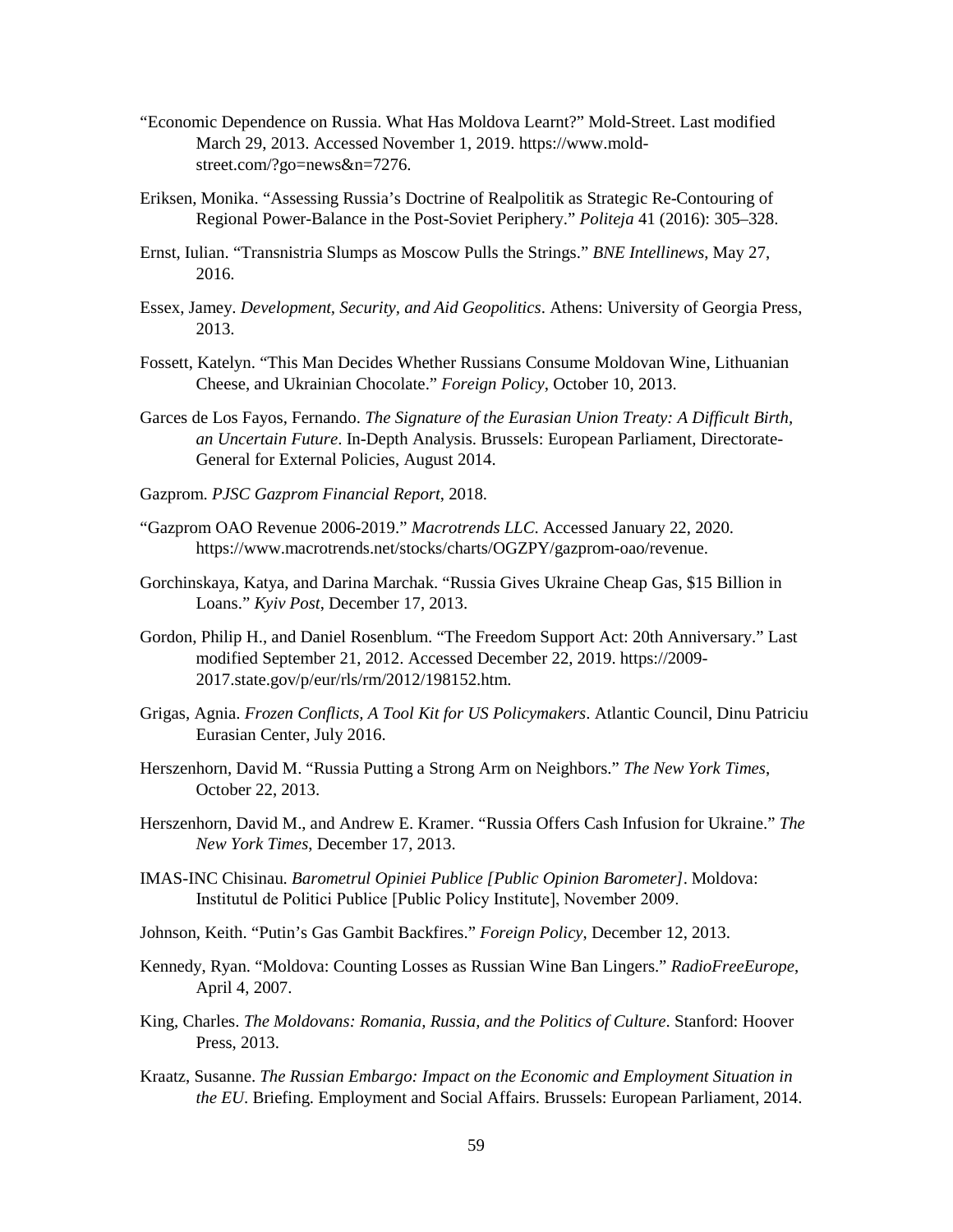- "Economic Dependence on Russia. What Has Moldova Learnt?" Mold-Street. Last modified March 29, 2013. Accessed November 1, 2019. https://www.moldstreet.com/?go=news&n=7276.
- Eriksen, Monika. "Assessing Russia's Doctrine of Realpolitik as Strategic Re-Contouring of Regional Power-Balance in the Post-Soviet Periphery." *Politeja* 41 (2016): 305–328.
- Ernst, Iulian. "Transnistria Slumps as Moscow Pulls the Strings." *BNE Intellinews*, May 27, 2016.
- Essex, Jamey. *Development, Security, and Aid Geopolitics*. Athens: University of Georgia Press, 2013.
- Fossett, Katelyn. "This Man Decides Whether Russians Consume Moldovan Wine, Lithuanian Cheese, and Ukrainian Chocolate." *Foreign Policy*, October 10, 2013.
- Garces de Los Fayos, Fernando. *The Signature of the Eurasian Union Treaty: A Difficult Birth, an Uncertain Future*. In-Depth Analysis. Brussels: European Parliament, Directorate-General for External Policies, August 2014.
- Gazprom. *PJSC Gazprom Financial Report*, 2018.
- "Gazprom OAO Revenue 2006-2019." *Macrotrends LLC*. Accessed January 22, 2020. https://www.macrotrends.net/stocks/charts/OGZPY/gazprom-oao/revenue.
- Gorchinskaya, Katya, and Darina Marchak. "Russia Gives Ukraine Cheap Gas, \$15 Billion in Loans." *Kyiv Post*, December 17, 2013.
- Gordon, Philip H., and Daniel Rosenblum. "The Freedom Support Act: 20th Anniversary." Last modified September 21, 2012. Accessed December 22, 2019. https://2009- 2017.state.gov/p/eur/rls/rm/2012/198152.htm.
- Grigas, Agnia. *Frozen Conflicts, A Tool Kit for US Policymakers*. Atlantic Council, Dinu Patriciu Eurasian Center, July 2016.
- Herszenhorn, David M. "Russia Putting a Strong Arm on Neighbors." *The New York Times*, October 22, 2013.
- Herszenhorn, David M., and Andrew E. Kramer. "Russia Offers Cash Infusion for Ukraine." *The New York Times*, December 17, 2013.
- IMAS-INC Chisinau. *Barometrul Opiniei Publice [Public Opinion Barometer]*. Moldova: Institutul de Politici Publice [Public Policy Institute], November 2009.
- Johnson, Keith. "Putin's Gas Gambit Backfires." *Foreign Policy*, December 12, 2013.
- Kennedy, Ryan. "Moldova: Counting Losses as Russian Wine Ban Lingers." *RadioFreeEurope*, April 4, 2007.
- King, Charles. *The Moldovans: Romania, Russia, and the Politics of Culture*. Stanford: Hoover Press, 2013.
- Kraatz, Susanne. *The Russian Embargo: Impact on the Economic and Employment Situation in the EU*. Briefing. Employment and Social Affairs. Brussels: European Parliament, 2014.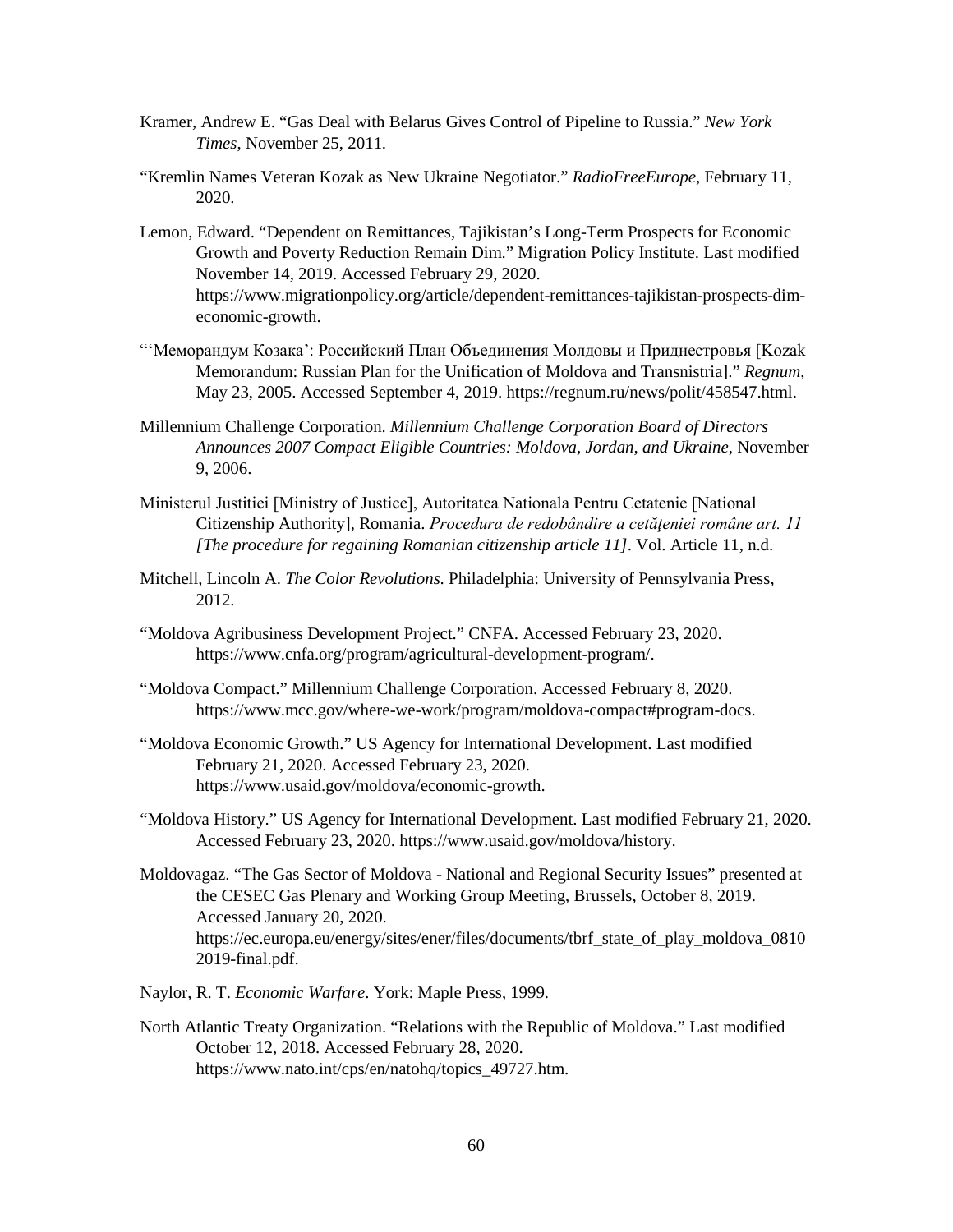- Kramer, Andrew E. "Gas Deal with Belarus Gives Control of Pipeline to Russia." *New York Times*, November 25, 2011.
- "Kremlin Names Veteran Kozak as New Ukraine Negotiator." *RadioFreeEurope*, February 11, 2020.
- Lemon, Edward. "Dependent on Remittances, Tajikistan's Long-Term Prospects for Economic Growth and Poverty Reduction Remain Dim." Migration Policy Institute. Last modified November 14, 2019. Accessed February 29, 2020. https://www.migrationpolicy.org/article/dependent-remittances-tajikistan-prospects-dimeconomic-growth.
- "'Меморандум Козака': Российский План Объединения Молдовы и Приднестровья [Kozak Memorandum: Russian Plan for the Unification of Moldova and Transnistria]." *Regnum*, May 23, 2005. Accessed September 4, 2019. https://regnum.ru/news/polit/458547.html.
- Millennium Challenge Corporation. *Millennium Challenge Corporation Board of Directors Announces 2007 Compact Eligible Countries: Moldova, Jordan, and Ukraine*, November 9, 2006.
- Ministerul Justitiei [Ministry of Justice], Autoritatea Nationala Pentru Cetatenie [National Citizenship Authority], Romania. *Procedura de redobândire a cetăţeniei române art. 11 [The procedure for regaining Romanian citizenship article 11]*. Vol. Article 11, n.d.
- Mitchell, Lincoln A. *The Color Revolutions*. Philadelphia: University of Pennsylvania Press, 2012.
- "Moldova Agribusiness Development Project." CNFA. Accessed February 23, 2020. https://www.cnfa.org/program/agricultural-development-program/.
- "Moldova Compact." Millennium Challenge Corporation. Accessed February 8, 2020. https://www.mcc.gov/where-we-work/program/moldova-compact#program-docs.
- "Moldova Economic Growth." US Agency for International Development. Last modified February 21, 2020. Accessed February 23, 2020. https://www.usaid.gov/moldova/economic-growth.
- "Moldova History." US Agency for International Development. Last modified February 21, 2020. Accessed February 23, 2020. https://www.usaid.gov/moldova/history.
- Moldovagaz. "The Gas Sector of Moldova National and Regional Security Issues" presented at the CESEC Gas Plenary and Working Group Meeting, Brussels, October 8, 2019. Accessed January 20, 2020. https://ec.europa.eu/energy/sites/ener/files/documents/tbrf\_state\_of\_play\_moldova\_0810 2019-final.pdf.
- Naylor, R. T. *Economic Warfare*. York: Maple Press, 1999.
- North Atlantic Treaty Organization. "Relations with the Republic of Moldova." Last modified October 12, 2018. Accessed February 28, 2020. https://www.nato.int/cps/en/natohq/topics\_49727.htm.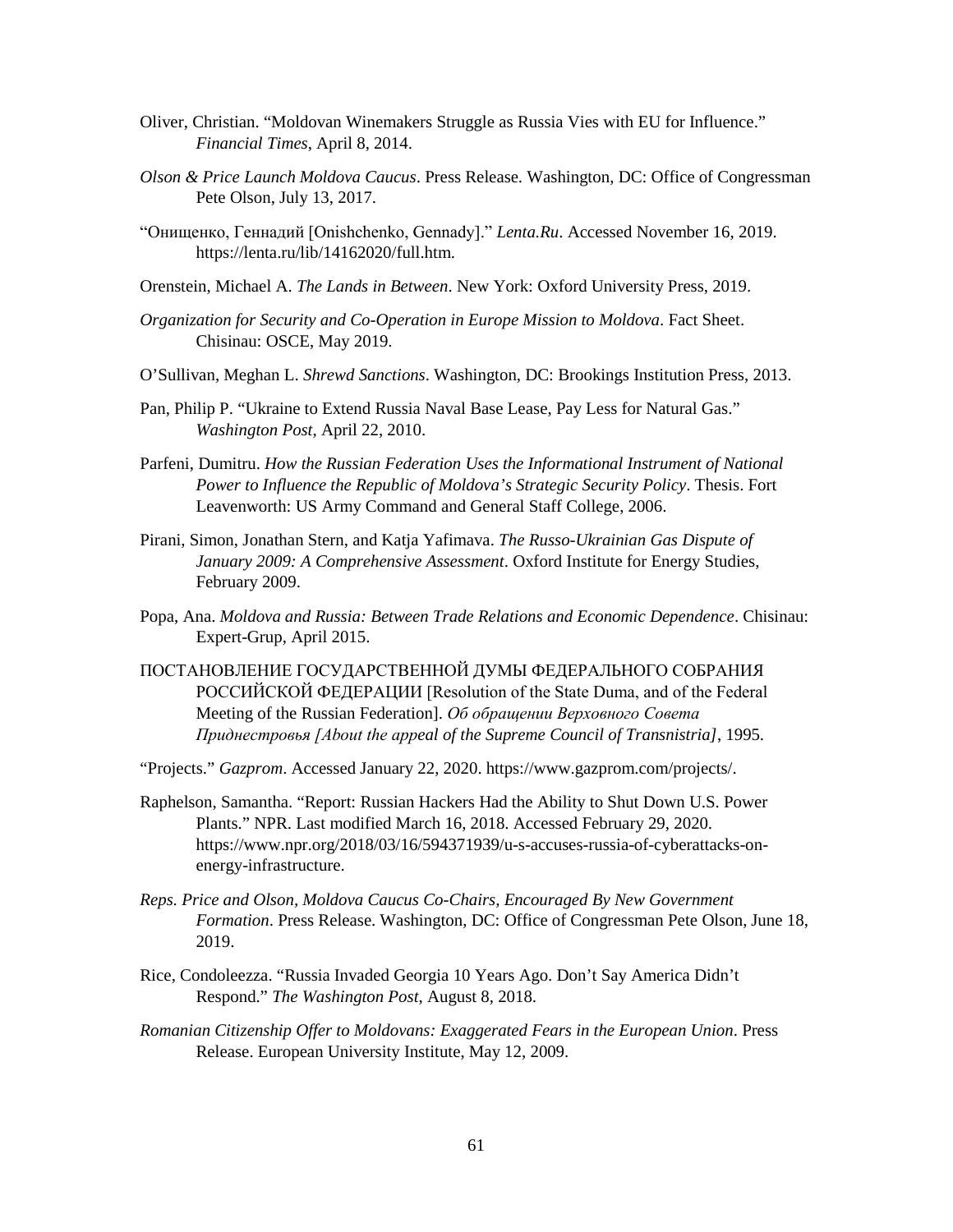- Oliver, Christian. "Moldovan Winemakers Struggle as Russia Vies with EU for Influence." *Financial Times*, April 8, 2014.
- *Olson & Price Launch Moldova Caucus*. Press Release. Washington, DC: Office of Congressman Pete Olson, July 13, 2017.
- "Онищенко, Геннадий [Onishchenko, Gennady]." *Lenta.Ru*. Accessed November 16, 2019. https://lenta.ru/lib/14162020/full.htm.
- Orenstein, Michael A. *The Lands in Between*. New York: Oxford University Press, 2019.
- *Organization for Security and Co-Operation in Europe Mission to Moldova*. Fact Sheet. Chisinau: OSCE, May 2019.
- O'Sullivan, Meghan L. *Shrewd Sanctions*. Washington, DC: Brookings Institution Press, 2013.
- Pan, Philip P. "Ukraine to Extend Russia Naval Base Lease, Pay Less for Natural Gas." *Washington Post*, April 22, 2010.
- Parfeni, Dumitru. *How the Russian Federation Uses the Informational Instrument of National Power to Influence the Republic of Moldova's Strategic Security Policy*. Thesis. Fort Leavenworth: US Army Command and General Staff College, 2006.
- Pirani, Simon, Jonathan Stern, and Katja Yafimava. *The Russo-Ukrainian Gas Dispute of January 2009: A Comprehensive Assessment*. Oxford Institute for Energy Studies, February 2009.
- Popa, Ana. *Moldova and Russia: Between Trade Relations and Economic Dependence*. Chisinau: Expert-Grup, April 2015.
- ПОСТАНОВЛЕНИЕ ГОСУДАРСТВЕННОЙ ДУМЫ ФЕДЕРАЛЬНОГО СОБРАНИЯ РОССИЙСКОЙ ФЕДЕРАЦИИ [Resolution of the State Duma, and of the Federal Meeting of the Russian Federation]. *Об обращении Верховного Совета Приднестровья [About the appeal of the Supreme Council of Transnistria]*, 1995.
- "Projects." *Gazprom*. Accessed January 22, 2020. https://www.gazprom.com/projects/.
- Raphelson, Samantha. "Report: Russian Hackers Had the Ability to Shut Down U.S. Power Plants." NPR. Last modified March 16, 2018. Accessed February 29, 2020. https://www.npr.org/2018/03/16/594371939/u-s-accuses-russia-of-cyberattacks-onenergy-infrastructure.
- *Reps. Price and Olson, Moldova Caucus Co-Chairs, Encouraged By New Government Formation*. Press Release. Washington, DC: Office of Congressman Pete Olson, June 18, 2019.
- Rice, Condoleezza. "Russia Invaded Georgia 10 Years Ago. Don't Say America Didn't Respond." *The Washington Post*, August 8, 2018.
- *Romanian Citizenship Offer to Moldovans: Exaggerated Fears in the European Union*. Press Release. European University Institute, May 12, 2009.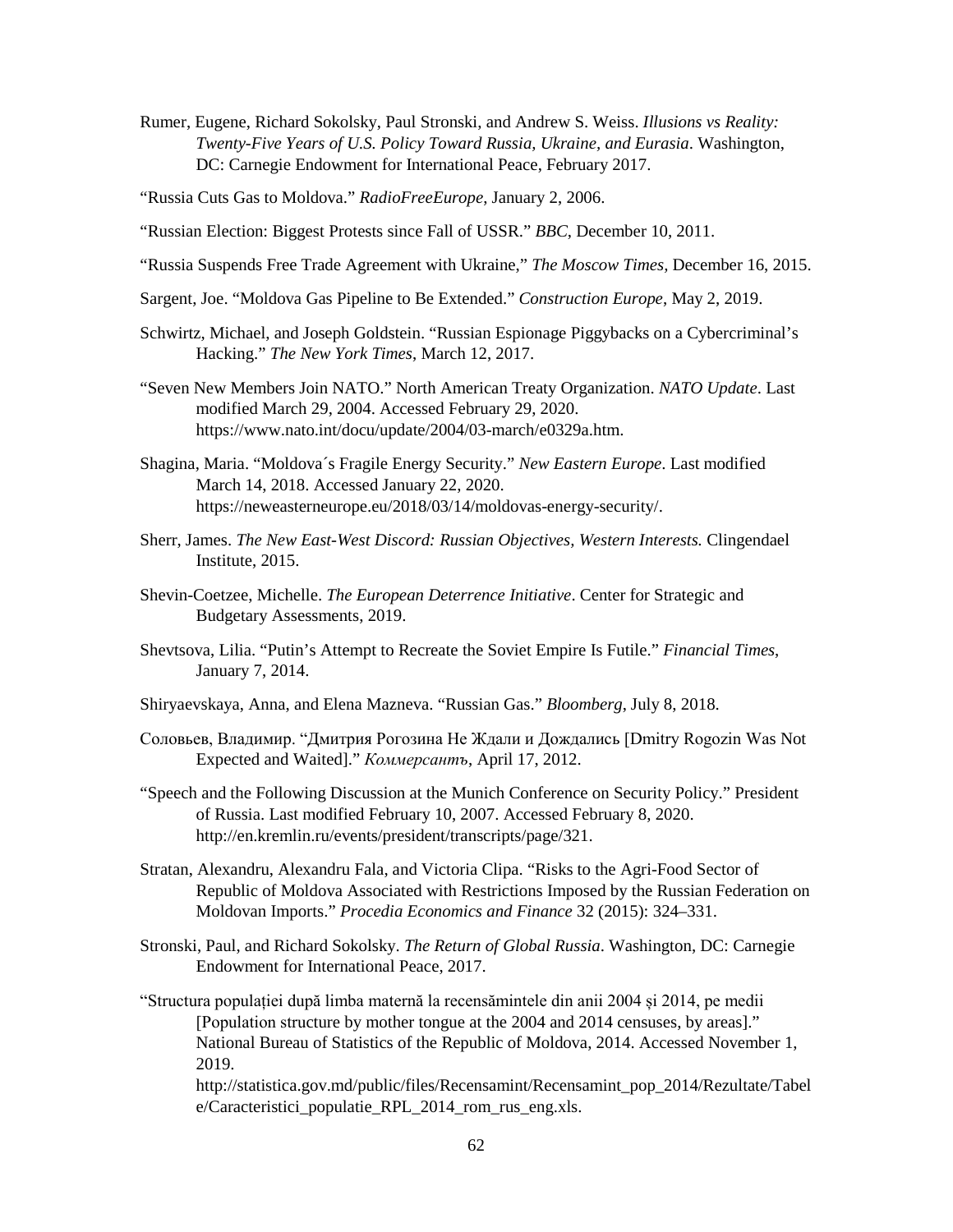Rumer, Eugene, Richard Sokolsky, Paul Stronski, and Andrew S. Weiss. *Illusions vs Reality: Twenty-Five Years of U.S. Policy Toward Russia, Ukraine, and Eurasia*. Washington, DC: Carnegie Endowment for International Peace, February 2017.

"Russia Cuts Gas to Moldova." *RadioFreeEurope*, January 2, 2006.

- "Russian Election: Biggest Protests since Fall of USSR." *BBC*, December 10, 2011.
- "Russia Suspends Free Trade Agreement with Ukraine," *The Moscow Times,* December 16, 2015.
- Sargent, Joe. "Moldova Gas Pipeline to Be Extended." *Construction Europe*, May 2, 2019.
- Schwirtz, Michael, and Joseph Goldstein. "Russian Espionage Piggybacks on a Cybercriminal's Hacking." *The New York Times*, March 12, 2017.
- "Seven New Members Join NATO." North American Treaty Organization. *NATO Update*. Last modified March 29, 2004. Accessed February 29, 2020. https://www.nato.int/docu/update/2004/03-march/e0329a.htm.
- Shagina, Maria. "Moldova´s Fragile Energy Security." *New Eastern Europe*. Last modified March 14, 2018. Accessed January 22, 2020. https://neweasterneurope.eu/2018/03/14/moldovas-energy-security/.
- Sherr, James. *The New East-West Discord: Russian Objectives, Western Interests.* Clingendael Institute, 2015.
- Shevin-Coetzee, Michelle. *The European Deterrence Initiative*. Center for Strategic and Budgetary Assessments, 2019.
- Shevtsova, Lilia. "Putin's Attempt to Recreate the Soviet Empire Is Futile." *Financial Times*, January 7, 2014.
- Shiryaevskaya, Anna, and Elena Mazneva. "Russian Gas." *Bloomberg*, July 8, 2018.
- Соловьев, Владимир. "Дмитрия Рогозина Не Ждали и Дождались [Dmitry Rogozin Was Not Expected and Waited]." *Коммерсантъ*, April 17, 2012.
- "Speech and the Following Discussion at the Munich Conference on Security Policy." President of Russia. Last modified February 10, 2007. Accessed February 8, 2020. http://en.kremlin.ru/events/president/transcripts/page/321.
- Stratan, Alexandru, Alexandru Fala, and Victoria Clipa. "Risks to the Agri-Food Sector of Republic of Moldova Associated with Restrictions Imposed by the Russian Federation on Moldovan Imports." *Procedia Economics and Finance* 32 (2015): 324–331.
- Stronski, Paul, and Richard Sokolsky. *The Return of Global Russia*. Washington, DC: Carnegie Endowment for International Peace, 2017.
- "Structura populației după limba maternă la recensămintele din anii 2004 și 2014, pe medii [Population structure by mother tongue at the 2004 and 2014 censuses, by areas]." National Bureau of Statistics of the Republic of Moldova, 2014. Accessed November 1, 2019.

http://statistica.gov.md/public/files/Recensamint/Recensamint\_pop\_2014/Rezultate/Tabel e/Caracteristici populatie RPL 2014 rom rus eng.xls.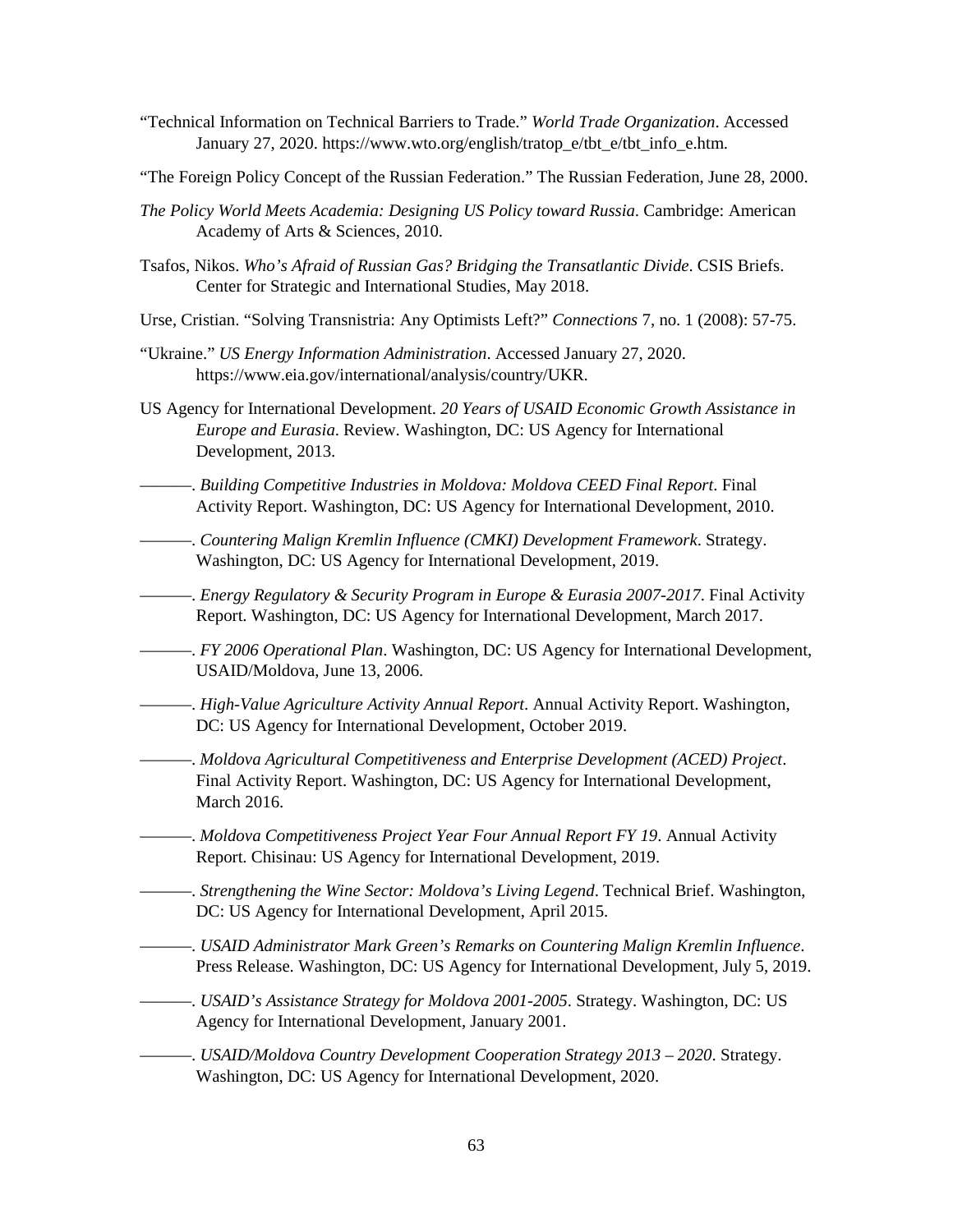- "Technical Information on Technical Barriers to Trade." *World Trade Organization*. Accessed January 27, 2020. https://www.wto.org/english/tratop\_e/tbt\_e/tbt\_info\_e.htm.
- "The Foreign Policy Concept of the Russian Federation." The Russian Federation, June 28, 2000.
- *The Policy World Meets Academia: Designing US Policy toward Russia*. Cambridge: American Academy of Arts & Sciences, 2010.
- Tsafos, Nikos. *Who's Afraid of Russian Gas? Bridging the Transatlantic Divide*. CSIS Briefs. Center for Strategic and International Studies, May 2018.
- Urse, Cristian. "Solving Transnistria: Any Optimists Left?" *Connections* 7, no. 1 (2008): 57-75.
- "Ukraine." *US Energy Information Administration*. Accessed January 27, 2020. https://www.eia.gov/international/analysis/country/UKR.
- US Agency for International Development. *20 Years of USAID Economic Growth Assistance in Europe and Eurasia*. Review. Washington, DC: US Agency for International Development, 2013.
	- ———. *Building Competitive Industries in Moldova: Moldova CEED Final Report*. Final Activity Report. Washington, DC: US Agency for International Development, 2010.
- ———. *Countering Malign Kremlin Influence (CMKI) Development Framework*. Strategy. Washington, DC: US Agency for International Development, 2019.
- ———. *Energy Regulatory & Security Program in Europe & Eurasia 2007-2017*. Final Activity Report. Washington, DC: US Agency for International Development, March 2017.
- ———. *FY 2006 Operational Plan*. Washington, DC: US Agency for International Development, USAID/Moldova, June 13, 2006.
- ———. *High-Value Agriculture Activity Annual Report*. Annual Activity Report. Washington, DC: US Agency for International Development, October 2019.
	- ———. *Moldova Agricultural Competitiveness and Enterprise Development (ACED) Project*. Final Activity Report. Washington, DC: US Agency for International Development, March 2016.
- ———. *Moldova Competitiveness Project Year Four Annual Report FY 19*. Annual Activity Report. Chisinau: US Agency for International Development, 2019.
- ———. *Strengthening the Wine Sector: Moldova's Living Legend*. Technical Brief. Washington, DC: US Agency for International Development, April 2015.
- ———. *USAID Administrator Mark Green's Remarks on Countering Malign Kremlin Influence*. Press Release. Washington, DC: US Agency for International Development, July 5, 2019.
- ———. *USAID's Assistance Strategy for Moldova 2001-2005*. Strategy. Washington, DC: US Agency for International Development, January 2001.
- ———. *USAID/Moldova Country Development Cooperation Strategy 2013 2020*. Strategy. Washington, DC: US Agency for International Development, 2020.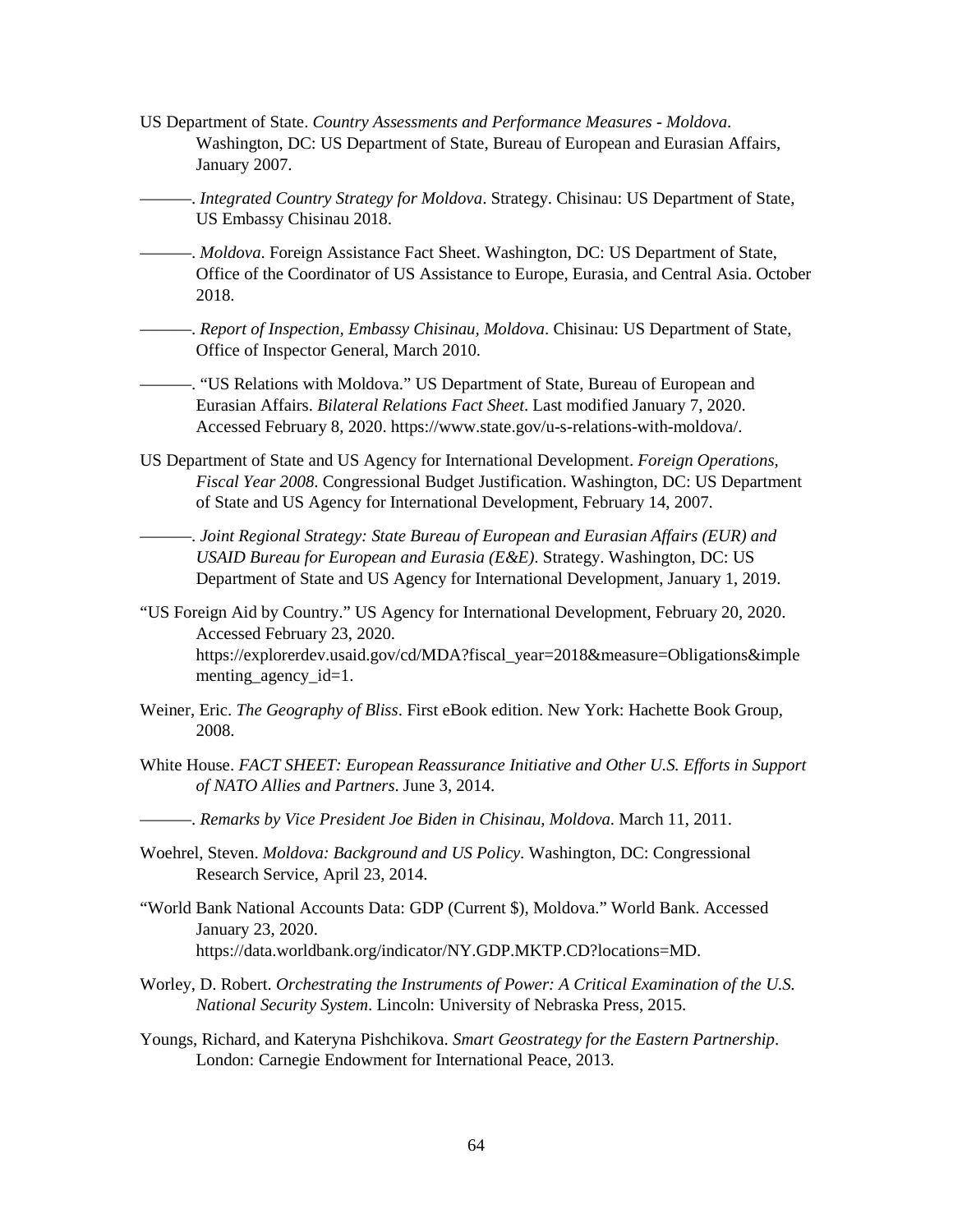- US Department of State. *Country Assessments and Performance Measures Moldova*. Washington, DC: US Department of State, Bureau of European and Eurasian Affairs, January 2007.
	- ———. *Integrated Country Strategy for Moldova*. Strategy. Chisinau: US Department of State, US Embassy Chisinau 2018.
- ———. *Moldova*. Foreign Assistance Fact Sheet. Washington, DC: US Department of State, Office of the Coordinator of US Assistance to Europe, Eurasia, and Central Asia. October 2018.
	- ———. *Report of Inspection, Embassy Chisinau, Moldova*. Chisinau: US Department of State, Office of Inspector General, March 2010.

———. "US Relations with Moldova." US Department of State, Bureau of European and Eurasian Affairs. *Bilateral Relations Fact Sheet*. Last modified January 7, 2020. Accessed February 8, 2020. https://www.state.gov/u-s-relations-with-moldova/.

US Department of State and US Agency for International Development. *Foreign Operations, Fiscal Year 2008*. Congressional Budget Justification. Washington, DC: US Department of State and US Agency for International Development, February 14, 2007.

———. *Joint Regional Strategy: State Bureau of European and Eurasian Affairs (EUR) and USAID Bureau for European and Eurasia (E&E)*. Strategy. Washington, DC: US Department of State and US Agency for International Development, January 1, 2019.

- "US Foreign Aid by Country." US Agency for International Development, February 20, 2020. Accessed February 23, 2020. https://explorerdev.usaid.gov/cd/MDA?fiscal\_year=2018&measure=Obligations&imple menting\_agency\_id=1.
- Weiner, Eric. *The Geography of Bliss*. First eBook edition. New York: Hachette Book Group, 2008.
- White House. *FACT SHEET: European Reassurance Initiative and Other U.S. Efforts in Support of NATO Allies and Partners*. June 3, 2014.
	- ———. *Remarks by Vice President Joe Biden in Chisinau, Moldova*. March 11, 2011.
- Woehrel, Steven. *Moldova: Background and US Policy*. Washington, DC: Congressional Research Service, April 23, 2014.
- "World Bank National Accounts Data: GDP (Current \$), Moldova." World Bank. Accessed January 23, 2020. https://data.worldbank.org/indicator/NY.GDP.MKTP.CD?locations=MD.
- Worley, D. Robert. *Orchestrating the Instruments of Power: A Critical Examination of the U.S. National Security System*. Lincoln: University of Nebraska Press, 2015.
- Youngs, Richard, and Kateryna Pishchikova. *Smart Geostrategy for the Eastern Partnership*. London: Carnegie Endowment for International Peace, 2013.